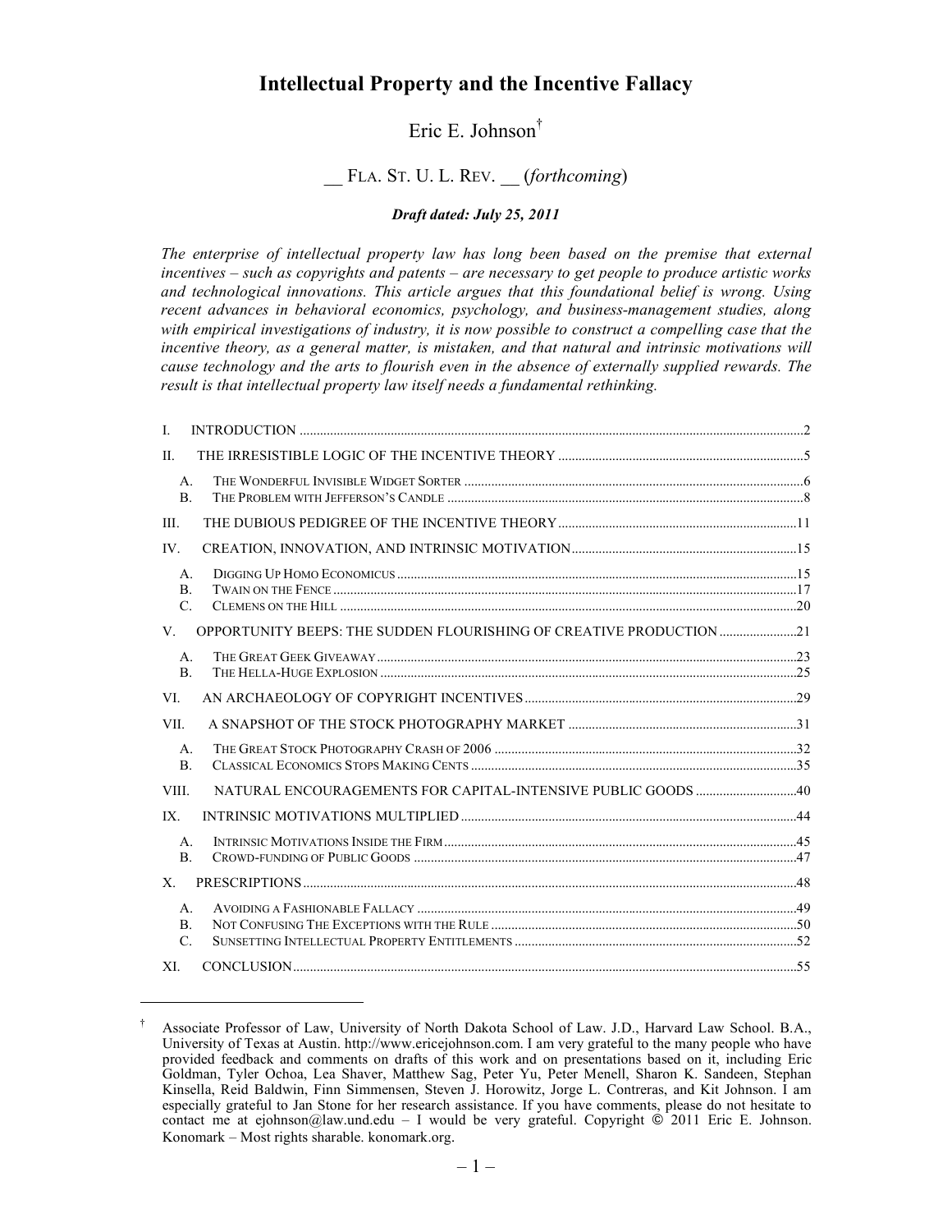# **Intellectual Property and the Incentive Fallacy**

# Eric E. Johnson†

# \_\_ FLA. ST. U. L. REV. \_\_ (*forthcoming*)

#### *Draft dated: July 25, 2011*

*The enterprise of intellectual property law has long been based on the premise that external incentives – such as copyrights and patents – are necessary to get people to produce artistic works and technological innovations. This article argues that this foundational belief is wrong. Using recent advances in behavioral economics, psychology, and business-management studies, along with empirical investigations of industry, it is now possible to construct a compelling case that the incentive theory, as a general matter, is mistaken, and that natural and intrinsic motivations will cause technology and the arts to flourish even in the absence of externally supplied rewards. The result is that intellectual property law itself needs a fundamental rethinking.*

| I.                                               |                                                                     |  |
|--------------------------------------------------|---------------------------------------------------------------------|--|
| $\Pi$ .                                          |                                                                     |  |
| $A_{\cdot}$<br>$\mathbf{B}$ .                    |                                                                     |  |
| III.                                             |                                                                     |  |
| IV.                                              |                                                                     |  |
| $A_{\cdot}$<br>$\mathbf{B}$ .<br>$\mathcal{C}$ . |                                                                     |  |
| V.                                               | OPPORTUNITY BEEPS: THE SUDDEN FLOURISHING OF CREATIVE PRODUCTION 21 |  |
| $\mathsf{A}$ .<br><sub>B</sub>                   |                                                                     |  |
| VI.                                              |                                                                     |  |
| VII.                                             |                                                                     |  |
| $\mathsf{A}$ .<br>$\mathbf{B}$ .                 |                                                                     |  |
| VIII.                                            |                                                                     |  |
| IX.                                              |                                                                     |  |
| $A_{\cdot}$<br>$\mathbf{B}$ .                    |                                                                     |  |
| $X_{-}$                                          |                                                                     |  |
| $A_{\cdot}$<br>B.<br>$C_{\cdot}$                 |                                                                     |  |
| XL                                               |                                                                     |  |

l

<sup>†</sup> Associate Professor of Law, University of North Dakota School of Law. J.D., Harvard Law School. B.A., University of Texas at Austin. http://www.ericejohnson.com. I am very grateful to the many people who have provided feedback and comments on drafts of this work and on presentations based on it, including Eric Goldman, Tyler Ochoa, Lea Shaver, Matthew Sag, Peter Yu, Peter Menell, Sharon K. Sandeen, Stephan Kinsella, Reid Baldwin, Finn Simmensen, Steven J. Horowitz, Jorge L. Contreras, and Kit Johnson. I am especially grateful to Jan Stone for her research assistance. If you have comments, please do not hesitate to contact me at ejohnson@law.und.edu – I would be very grateful. Copyright  $\odot$  2011 Eric E. Johnson. Konomark – Most rights sharable. konomark.org.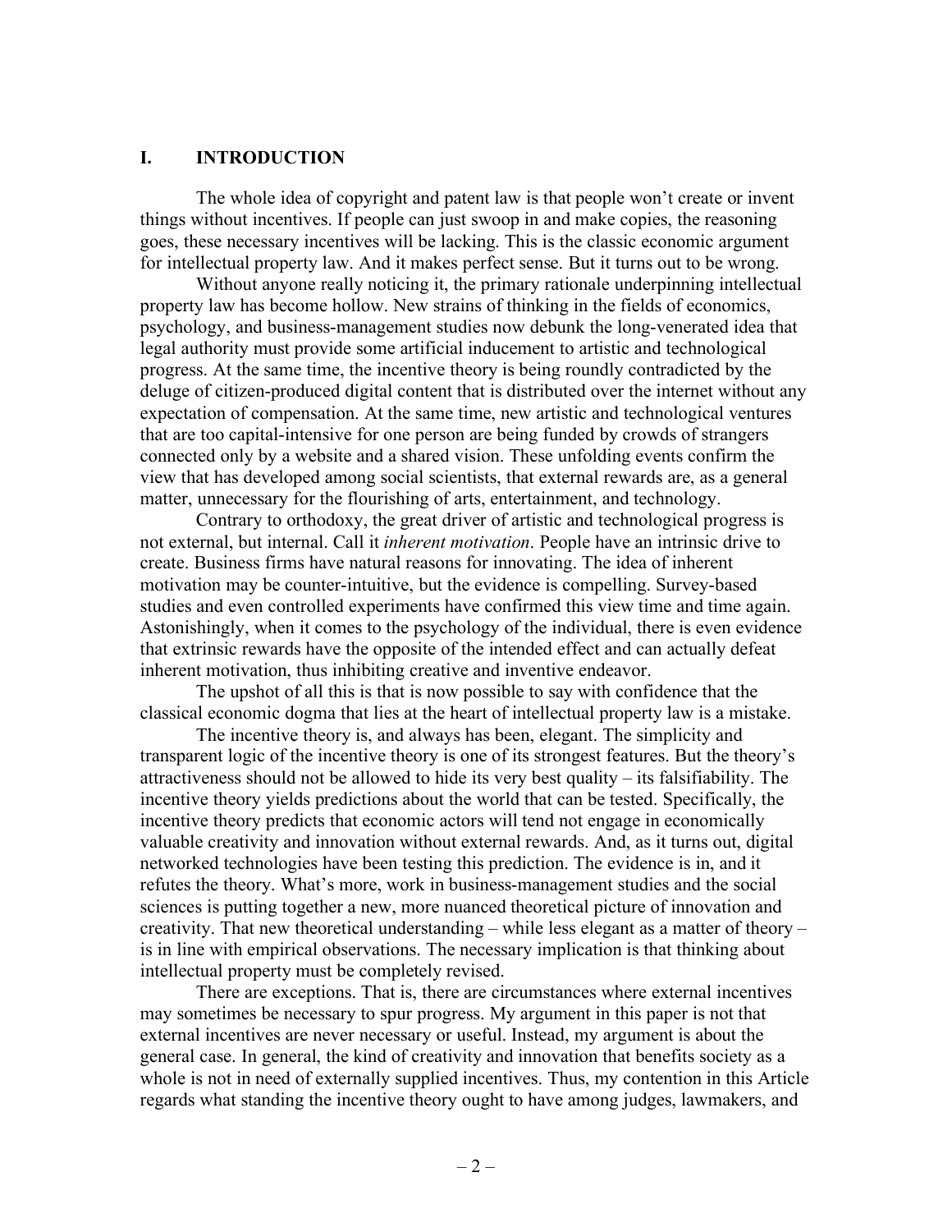### **I. INTRODUCTION**

The whole idea of copyright and patent law is that people won't create or invent things without incentives. If people can just swoop in and make copies, the reasoning goes, these necessary incentives will be lacking. This is the classic economic argument for intellectual property law. And it makes perfect sense. But it turns out to be wrong.

Without anyone really noticing it, the primary rationale underpinning intellectual property law has become hollow. New strains of thinking in the fields of economics, psychology, and business-management studies now debunk the long-venerated idea that legal authority must provide some artificial inducement to artistic and technological progress. At the same time, the incentive theory is being roundly contradicted by the deluge of citizen-produced digital content that is distributed over the internet without any expectation of compensation. At the same time, new artistic and technological ventures that are too capital-intensive for one person are being funded by crowds of strangers connected only by a website and a shared vision. These unfolding events confirm the view that has developed among social scientists, that external rewards are, as a general matter, unnecessary for the flourishing of arts, entertainment, and technology.

Contrary to orthodoxy, the great driver of artistic and technological progress is not external, but internal. Call it *inherent motivation*. People have an intrinsic drive to create. Business firms have natural reasons for innovating. The idea of inherent motivation may be counter-intuitive, but the evidence is compelling. Survey-based studies and even controlled experiments have confirmed this view time and time again. Astonishingly, when it comes to the psychology of the individual, there is even evidence that extrinsic rewards have the opposite of the intended effect and can actually defeat inherent motivation, thus inhibiting creative and inventive endeavor.

The upshot of all this is that is now possible to say with confidence that the classical economic dogma that lies at the heart of intellectual property law is a mistake.

The incentive theory is, and always has been, elegant. The simplicity and transparent logic of the incentive theory is one of its strongest features. But the theory's attractiveness should not be allowed to hide its very best quality – its falsifiability. The incentive theory yields predictions about the world that can be tested. Specifically, the incentive theory predicts that economic actors will tend not engage in economically valuable creativity and innovation without external rewards. And, as it turns out, digital networked technologies have been testing this prediction. The evidence is in, and it refutes the theory. What's more, work in business-management studies and the social sciences is putting together a new, more nuanced theoretical picture of innovation and creativity. That new theoretical understanding – while less elegant as a matter of theory – is in line with empirical observations. The necessary implication is that thinking about intellectual property must be completely revised.

There are exceptions. That is, there are circumstances where external incentives may sometimes be necessary to spur progress. My argument in this paper is not that external incentives are never necessary or useful. Instead, my argument is about the general case. In general, the kind of creativity and innovation that benefits society as a whole is not in need of externally supplied incentives. Thus, my contention in this Article regards what standing the incentive theory ought to have among judges, lawmakers, and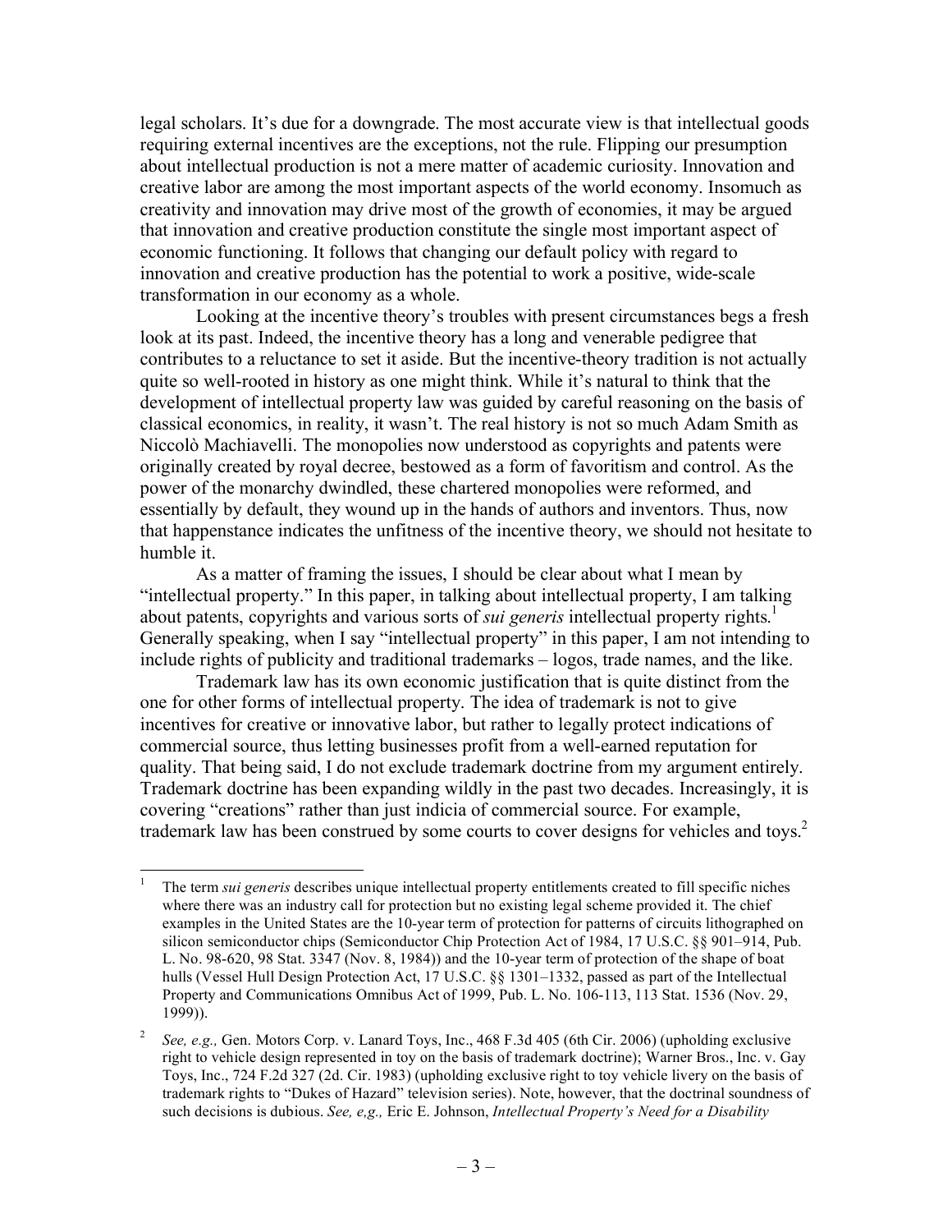legal scholars. It's due for a downgrade. The most accurate view is that intellectual goods requiring external incentives are the exceptions, not the rule. Flipping our presumption about intellectual production is not a mere matter of academic curiosity. Innovation and creative labor are among the most important aspects of the world economy. Insomuch as creativity and innovation may drive most of the growth of economies, it may be argued that innovation and creative production constitute the single most important aspect of economic functioning. It follows that changing our default policy with regard to innovation and creative production has the potential to work a positive, wide-scale transformation in our economy as a whole.

Looking at the incentive theory's troubles with present circumstances begs a fresh look at its past. Indeed, the incentive theory has a long and venerable pedigree that contributes to a reluctance to set it aside. But the incentive-theory tradition is not actually quite so well-rooted in history as one might think. While it's natural to think that the development of intellectual property law was guided by careful reasoning on the basis of classical economics, in reality, it wasn't. The real history is not so much Adam Smith as Niccolò Machiavelli. The monopolies now understood as copyrights and patents were originally created by royal decree, bestowed as a form of favoritism and control. As the power of the monarchy dwindled, these chartered monopolies were reformed, and essentially by default, they wound up in the hands of authors and inventors. Thus, now that happenstance indicates the unfitness of the incentive theory, we should not hesitate to humble it.

As a matter of framing the issues, I should be clear about what I mean by "intellectual property." In this paper, in talking about intellectual property, I am talking about patents, copyrights and various sorts of *sui generis* intellectual property rights.<sup>1</sup> Generally speaking, when I say "intellectual property" in this paper, I am not intending to include rights of publicity and traditional trademarks – logos, trade names, and the like.

Trademark law has its own economic justification that is quite distinct from the one for other forms of intellectual property. The idea of trademark is not to give incentives for creative or innovative labor, but rather to legally protect indications of commercial source, thus letting businesses profit from a well-earned reputation for quality. That being said, I do not exclude trademark doctrine from my argument entirely. Trademark doctrine has been expanding wildly in the past two decades. Increasingly, it is covering "creations" rather than just indicia of commercial source. For example, trademark law has been construed by some courts to cover designs for vehicles and toys.<sup>2</sup>

 <sup>1</sup> The term *sui generis* describes unique intellectual property entitlements created to fill specific niches where there was an industry call for protection but no existing legal scheme provided it. The chief examples in the United States are the 10-year term of protection for patterns of circuits lithographed on silicon semiconductor chips (Semiconductor Chip Protection Act of 1984, 17 U.S.C. §§ 901–914, Pub. L. No. 98-620, 98 Stat. 3347 (Nov. 8, 1984)) and the 10-year term of protection of the shape of boat hulls (Vessel Hull Design Protection Act, 17 U.S.C. §§ 1301–1332, passed as part of the Intellectual Property and Communications Omnibus Act of 1999, Pub. L. No. 106-113, 113 Stat. 1536 (Nov. 29, 1999)).

<sup>2</sup> *See, e.g.,* Gen. Motors Corp. v. Lanard Toys, Inc., 468 F.3d 405 (6th Cir. 2006) (upholding exclusive right to vehicle design represented in toy on the basis of trademark doctrine); Warner Bros., Inc. v. Gay Toys, Inc., 724 F.2d 327 (2d. Cir. 1983) (upholding exclusive right to toy vehicle livery on the basis of trademark rights to "Dukes of Hazard" television series). Note, however, that the doctrinal soundness of such decisions is dubious. *See, e,g.,* Eric E. Johnson, *Intellectual Property's Need for a Disability*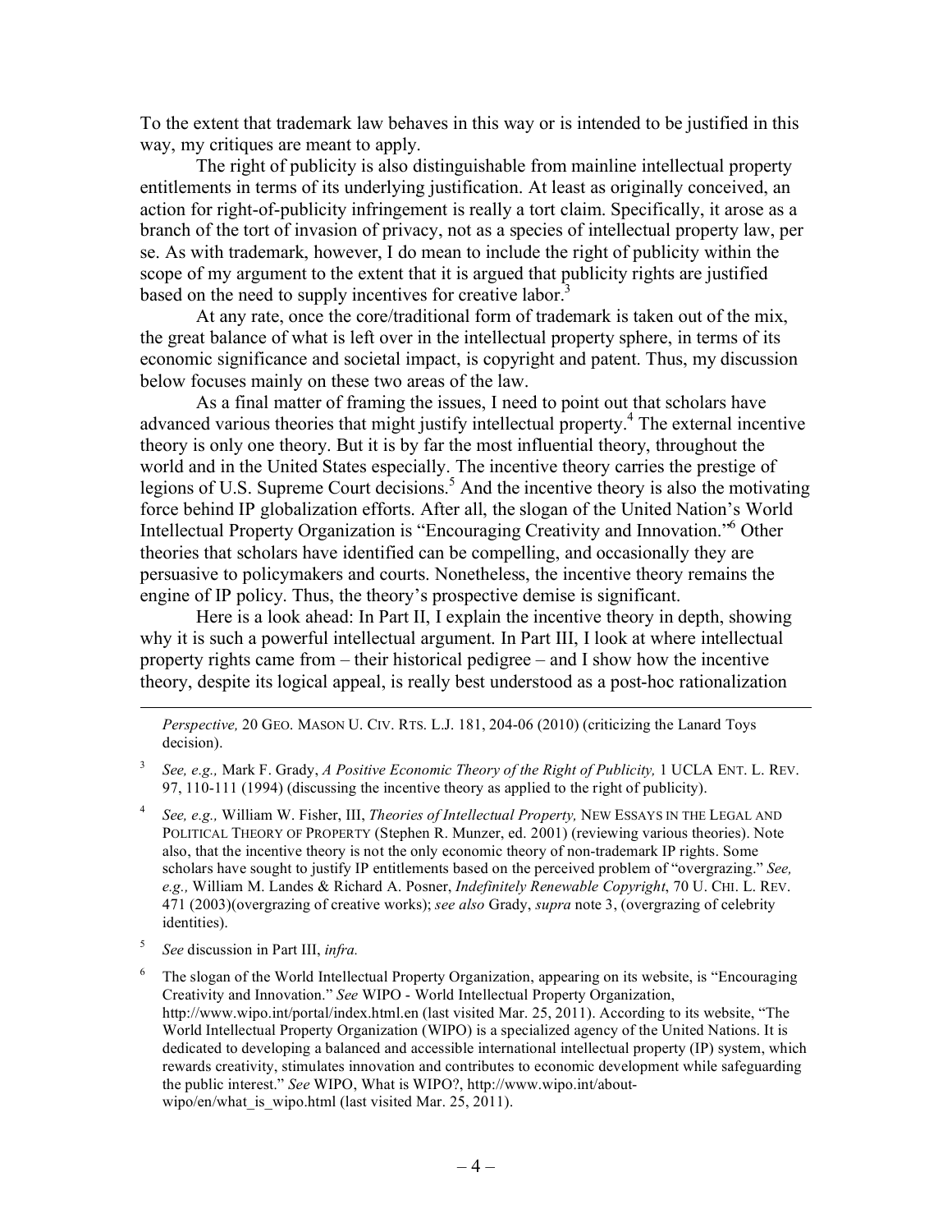To the extent that trademark law behaves in this way or is intended to be justified in this way, my critiques are meant to apply.

The right of publicity is also distinguishable from mainline intellectual property entitlements in terms of its underlying justification. At least as originally conceived, an action for right-of-publicity infringement is really a tort claim. Specifically, it arose as a branch of the tort of invasion of privacy, not as a species of intellectual property law, per se. As with trademark, however, I do mean to include the right of publicity within the scope of my argument to the extent that it is argued that publicity rights are justified based on the need to supply incentives for creative labor.<sup>3</sup>

At any rate, once the core/traditional form of trademark is taken out of the mix, the great balance of what is left over in the intellectual property sphere, in terms of its economic significance and societal impact, is copyright and patent. Thus, my discussion below focuses mainly on these two areas of the law.

As a final matter of framing the issues, I need to point out that scholars have advanced various theories that might justify intellectual property.<sup>4</sup> The external incentive theory is only one theory. But it is by far the most influential theory, throughout the world and in the United States especially. The incentive theory carries the prestige of legions of U.S. Supreme Court decisions.<sup>5</sup> And the incentive theory is also the motivating force behind IP globalization efforts. After all, the slogan of the United Nation's World Intellectual Property Organization is "Encouraging Creativity and Innovation."6 Other theories that scholars have identified can be compelling, and occasionally they are persuasive to policymakers and courts. Nonetheless, the incentive theory remains the engine of IP policy. Thus, the theory's prospective demise is significant.

Here is a look ahead: In Part II, I explain the incentive theory in depth, showing why it is such a powerful intellectual argument. In Part III, I look at where intellectual property rights came from – their historical pedigree – and I show how the incentive theory, despite its logical appeal, is really best understood as a post-hoc rationalization

*Perspective,* 20 GEO. MASON U. CIV. RTS. L.J. 181, 204-06 (2010) (criticizing the Lanard Toys decision).

<sup>3</sup> *See, e.g.,* Mark F. Grady, *A Positive Economic Theory of the Right of Publicity,* 1 UCLA ENT. L. REV. 97, 110-111 (1994) (discussing the incentive theory as applied to the right of publicity).

<sup>4</sup> *See, e.g.,* William W. Fisher, III, *Theories of Intellectual Property,* NEW ESSAYS IN THE LEGAL AND POLITICAL THEORY OF PROPERTY (Stephen R. Munzer, ed. 2001) (reviewing various theories). Note also, that the incentive theory is not the only economic theory of non-trademark IP rights. Some scholars have sought to justify IP entitlements based on the perceived problem of "overgrazing." *See, e.g.,* William M. Landes & Richard A. Posner, *Indefinitely Renewable Copyright*, 70 U. CHI. L. REV. 471 (2003)(overgrazing of creative works); *see also* Grady, *supra* note 3, (overgrazing of celebrity identities).

<sup>5</sup> *See* discussion in Part III, *infra.*

l

<sup>6</sup> The slogan of the World Intellectual Property Organization, appearing on its website, is "Encouraging Creativity and Innovation." *See* WIPO - World Intellectual Property Organization, http://www.wipo.int/portal/index.html.en (last visited Mar. 25, 2011). According to its website, "The World Intellectual Property Organization (WIPO) is a specialized agency of the United Nations. It is dedicated to developing a balanced and accessible international intellectual property (IP) system, which rewards creativity, stimulates innovation and contributes to economic development while safeguarding the public interest." *See* WIPO, What is WIPO?, http://www.wipo.int/aboutwipo/en/what is wipo.html (last visited Mar. 25, 2011).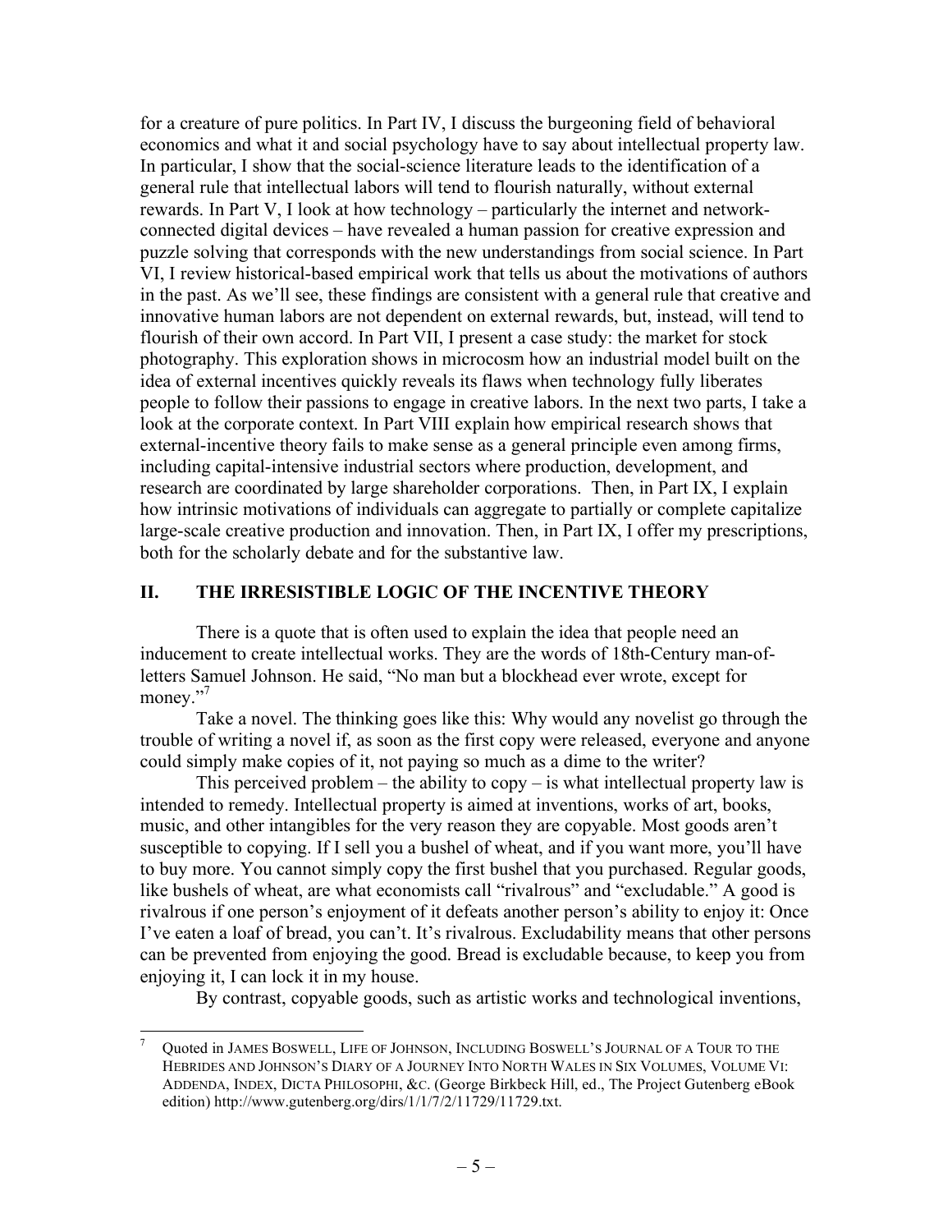for a creature of pure politics. In Part IV, I discuss the burgeoning field of behavioral economics and what it and social psychology have to say about intellectual property law. In particular, I show that the social-science literature leads to the identification of a general rule that intellectual labors will tend to flourish naturally, without external rewards. In Part V, I look at how technology – particularly the internet and networkconnected digital devices – have revealed a human passion for creative expression and puzzle solving that corresponds with the new understandings from social science. In Part VI, I review historical-based empirical work that tells us about the motivations of authors in the past. As we'll see, these findings are consistent with a general rule that creative and innovative human labors are not dependent on external rewards, but, instead, will tend to flourish of their own accord. In Part VII, I present a case study: the market for stock photography. This exploration shows in microcosm how an industrial model built on the idea of external incentives quickly reveals its flaws when technology fully liberates people to follow their passions to engage in creative labors. In the next two parts, I take a look at the corporate context. In Part VIII explain how empirical research shows that external-incentive theory fails to make sense as a general principle even among firms, including capital-intensive industrial sectors where production, development, and research are coordinated by large shareholder corporations. Then, in Part IX, I explain how intrinsic motivations of individuals can aggregate to partially or complete capitalize large-scale creative production and innovation. Then, in Part IX, I offer my prescriptions, both for the scholarly debate and for the substantive law.

## **II. THE IRRESISTIBLE LOGIC OF THE INCENTIVE THEORY**

There is a quote that is often used to explain the idea that people need an inducement to create intellectual works. They are the words of 18th-Century man-ofletters Samuel Johnson. He said, "No man but a blockhead ever wrote, except for money."<sup>7</sup>

Take a novel. The thinking goes like this: Why would any novelist go through the trouble of writing a novel if, as soon as the first copy were released, everyone and anyone could simply make copies of it, not paying so much as a dime to the writer?

This perceived problem – the ability to  $\text{copy} - \text{is what intellectual property law is}$ intended to remedy. Intellectual property is aimed at inventions, works of art, books, music, and other intangibles for the very reason they are copyable. Most goods aren't susceptible to copying. If I sell you a bushel of wheat, and if you want more, you'll have to buy more. You cannot simply copy the first bushel that you purchased. Regular goods, like bushels of wheat, are what economists call "rivalrous" and "excludable." A good is rivalrous if one person's enjoyment of it defeats another person's ability to enjoy it: Once I've eaten a loaf of bread, you can't. It's rivalrous. Excludability means that other persons can be prevented from enjoying the good. Bread is excludable because, to keep you from enjoying it, I can lock it in my house.

By contrast, copyable goods, such as artistic works and technological inventions,

Quoted in JAMES BOSWELL, LIFE OF JOHNSON, INCLUDING BOSWELL'S JOURNAL OF A TOUR TO THE HEBRIDES AND JOHNSON'S DIARY OF A JOURNEY INTO NORTH WALES IN SIX VOLUMES, VOLUME VI: ADDENDA, INDEX, DICTA PHILOSOPHI, &C. (George Birkbeck Hill, ed., The Project Gutenberg eBook edition) http://www.gutenberg.org/dirs/1/1/7/2/11729/11729.txt.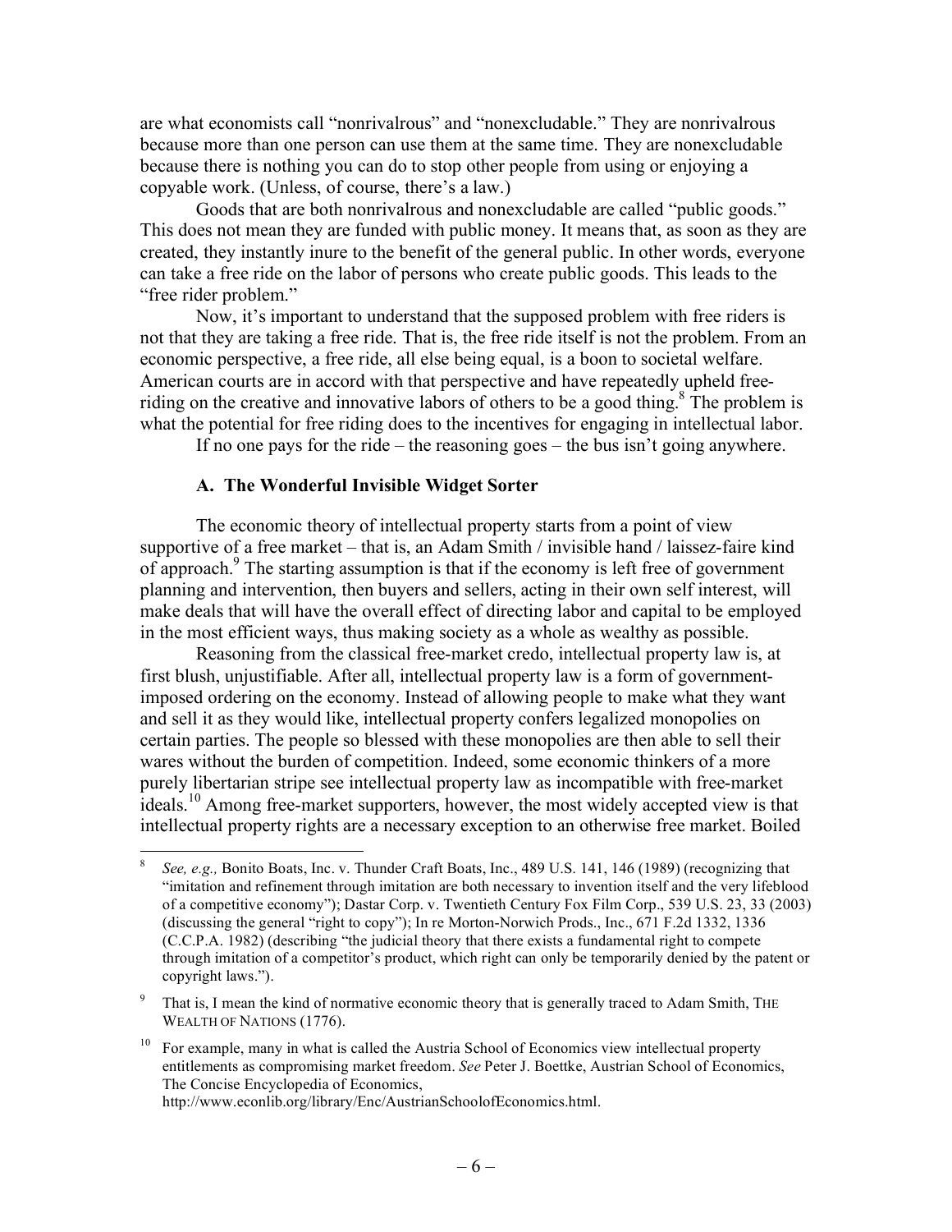are what economists call "nonrivalrous" and "nonexcludable." They are nonrivalrous because more than one person can use them at the same time. They are nonexcludable because there is nothing you can do to stop other people from using or enjoying a copyable work. (Unless, of course, there's a law.)

Goods that are both nonrivalrous and nonexcludable are called "public goods." This does not mean they are funded with public money. It means that, as soon as they are created, they instantly inure to the benefit of the general public. In other words, everyone can take a free ride on the labor of persons who create public goods. This leads to the "free rider problem."

Now, it's important to understand that the supposed problem with free riders is not that they are taking a free ride. That is, the free ride itself is not the problem. From an economic perspective, a free ride, all else being equal, is a boon to societal welfare. American courts are in accord with that perspective and have repeatedly upheld freeriding on the creative and innovative labors of others to be a good thing.<sup>8</sup> The problem is what the potential for free riding does to the incentives for engaging in intellectual labor.

If no one pays for the ride – the reasoning goes – the bus isn't going anywhere.

#### **A. The Wonderful Invisible Widget Sorter**

The economic theory of intellectual property starts from a point of view supportive of a free market – that is, an Adam Smith / invisible hand / laissez-faire kind of approach.<sup>9</sup> The starting assumption is that if the economy is left free of government planning and intervention, then buyers and sellers, acting in their own self interest, will make deals that will have the overall effect of directing labor and capital to be employed in the most efficient ways, thus making society as a whole as wealthy as possible.

Reasoning from the classical free-market credo, intellectual property law is, at first blush, unjustifiable. After all, intellectual property law is a form of governmentimposed ordering on the economy. Instead of allowing people to make what they want and sell it as they would like, intellectual property confers legalized monopolies on certain parties. The people so blessed with these monopolies are then able to sell their wares without the burden of competition. Indeed, some economic thinkers of a more purely libertarian stripe see intellectual property law as incompatible with free-market ideals.<sup>10</sup> Among free-market supporters, however, the most widely accepted view is that intellectual property rights are a necessary exception to an otherwise free market. Boiled

 <sup>8</sup> *See, e.g.,* Bonito Boats, Inc. v. Thunder Craft Boats, Inc., 489 U.S. 141, 146 (1989) (recognizing that "imitation and refinement through imitation are both necessary to invention itself and the very lifeblood of a competitive economy"); Dastar Corp. v. Twentieth Century Fox Film Corp., 539 U.S. 23, 33 (2003) (discussing the general "right to copy"); In re Morton-Norwich Prods., Inc., 671 F.2d 1332, 1336 (C.C.P.A. 1982) (describing "the judicial theory that there exists a fundamental right to compete through imitation of a competitor's product, which right can only be temporarily denied by the patent or copyright laws.").

<sup>&</sup>lt;sup>9</sup> That is, I mean the kind of normative economic theory that is generally traced to Adam Smith, THE WEALTH OF NATIONS (1776).

 $10$  For example, many in what is called the Austria School of Economics view intellectual property entitlements as compromising market freedom. *See* Peter J. Boettke, Austrian School of Economics, The Concise Encyclopedia of Economics,

http://www.econlib.org/library/Enc/AustrianSchoolofEconomics.html.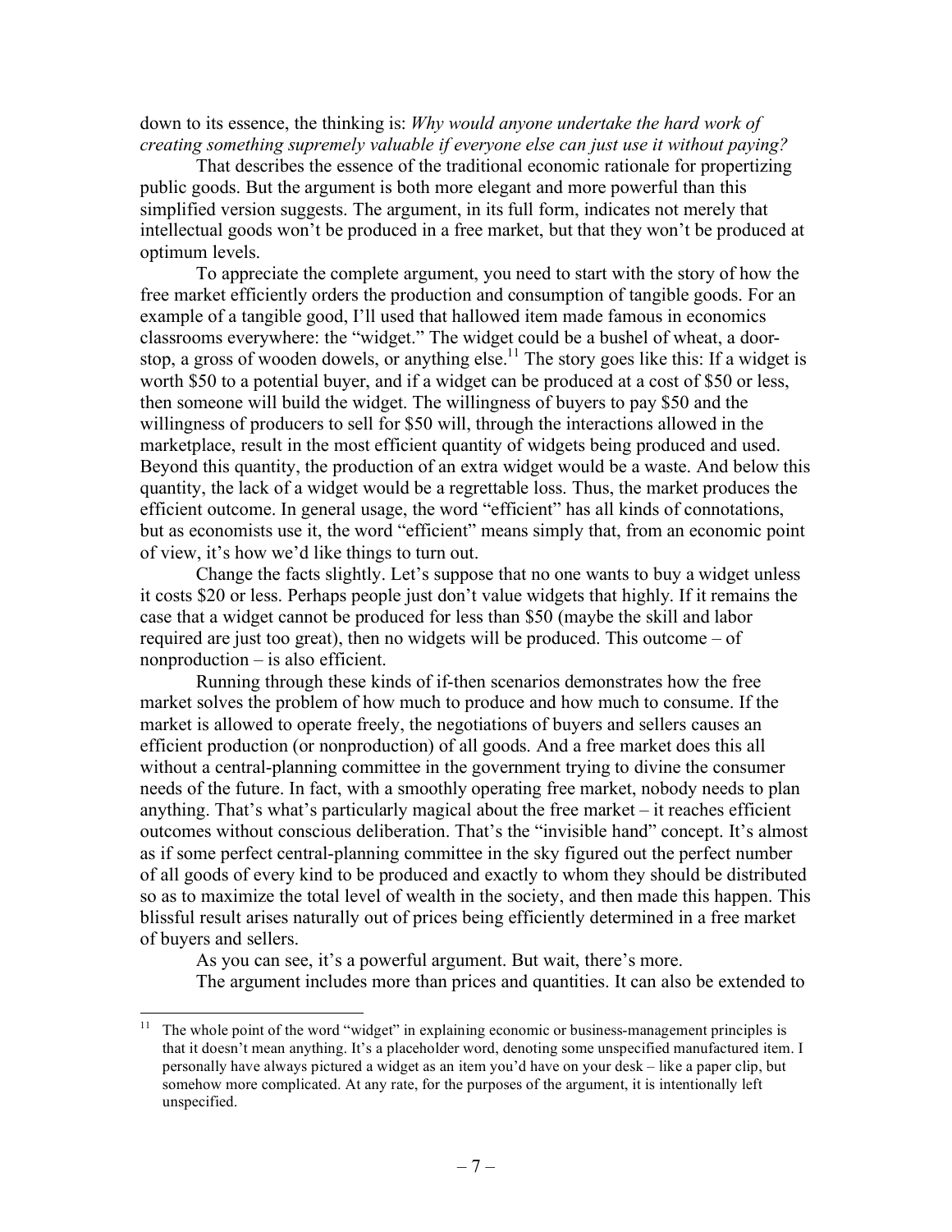down to its essence, the thinking is: *Why would anyone undertake the hard work of creating something supremely valuable if everyone else can just use it without paying?* 

That describes the essence of the traditional economic rationale for propertizing public goods. But the argument is both more elegant and more powerful than this simplified version suggests. The argument, in its full form, indicates not merely that intellectual goods won't be produced in a free market, but that they won't be produced at optimum levels.

To appreciate the complete argument, you need to start with the story of how the free market efficiently orders the production and consumption of tangible goods. For an example of a tangible good, I'll used that hallowed item made famous in economics classrooms everywhere: the "widget." The widget could be a bushel of wheat, a doorstop, a gross of wooden dowels, or anything else.<sup>11</sup> The story goes like this: If a widget is worth \$50 to a potential buyer, and if a widget can be produced at a cost of \$50 or less, then someone will build the widget. The willingness of buyers to pay \$50 and the willingness of producers to sell for \$50 will, through the interactions allowed in the marketplace, result in the most efficient quantity of widgets being produced and used. Beyond this quantity, the production of an extra widget would be a waste. And below this quantity, the lack of a widget would be a regrettable loss. Thus, the market produces the efficient outcome. In general usage, the word "efficient" has all kinds of connotations, but as economists use it, the word "efficient" means simply that, from an economic point of view, it's how we'd like things to turn out.

Change the facts slightly. Let's suppose that no one wants to buy a widget unless it costs \$20 or less. Perhaps people just don't value widgets that highly. If it remains the case that a widget cannot be produced for less than \$50 (maybe the skill and labor required are just too great), then no widgets will be produced. This outcome – of nonproduction – is also efficient.

Running through these kinds of if-then scenarios demonstrates how the free market solves the problem of how much to produce and how much to consume. If the market is allowed to operate freely, the negotiations of buyers and sellers causes an efficient production (or nonproduction) of all goods. And a free market does this all without a central-planning committee in the government trying to divine the consumer needs of the future. In fact, with a smoothly operating free market, nobody needs to plan anything. That's what's particularly magical about the free market – it reaches efficient outcomes without conscious deliberation. That's the "invisible hand" concept. It's almost as if some perfect central-planning committee in the sky figured out the perfect number of all goods of every kind to be produced and exactly to whom they should be distributed so as to maximize the total level of wealth in the society, and then made this happen. This blissful result arises naturally out of prices being efficiently determined in a free market of buyers and sellers.

As you can see, it's a powerful argument. But wait, there's more. The argument includes more than prices and quantities. It can also be extended to

 $11$  The whole point of the word "widget" in explaining economic or business-management principles is that it doesn't mean anything. It's a placeholder word, denoting some unspecified manufactured item. I personally have always pictured a widget as an item you'd have on your desk – like a paper clip, but somehow more complicated. At any rate, for the purposes of the argument, it is intentionally left unspecified.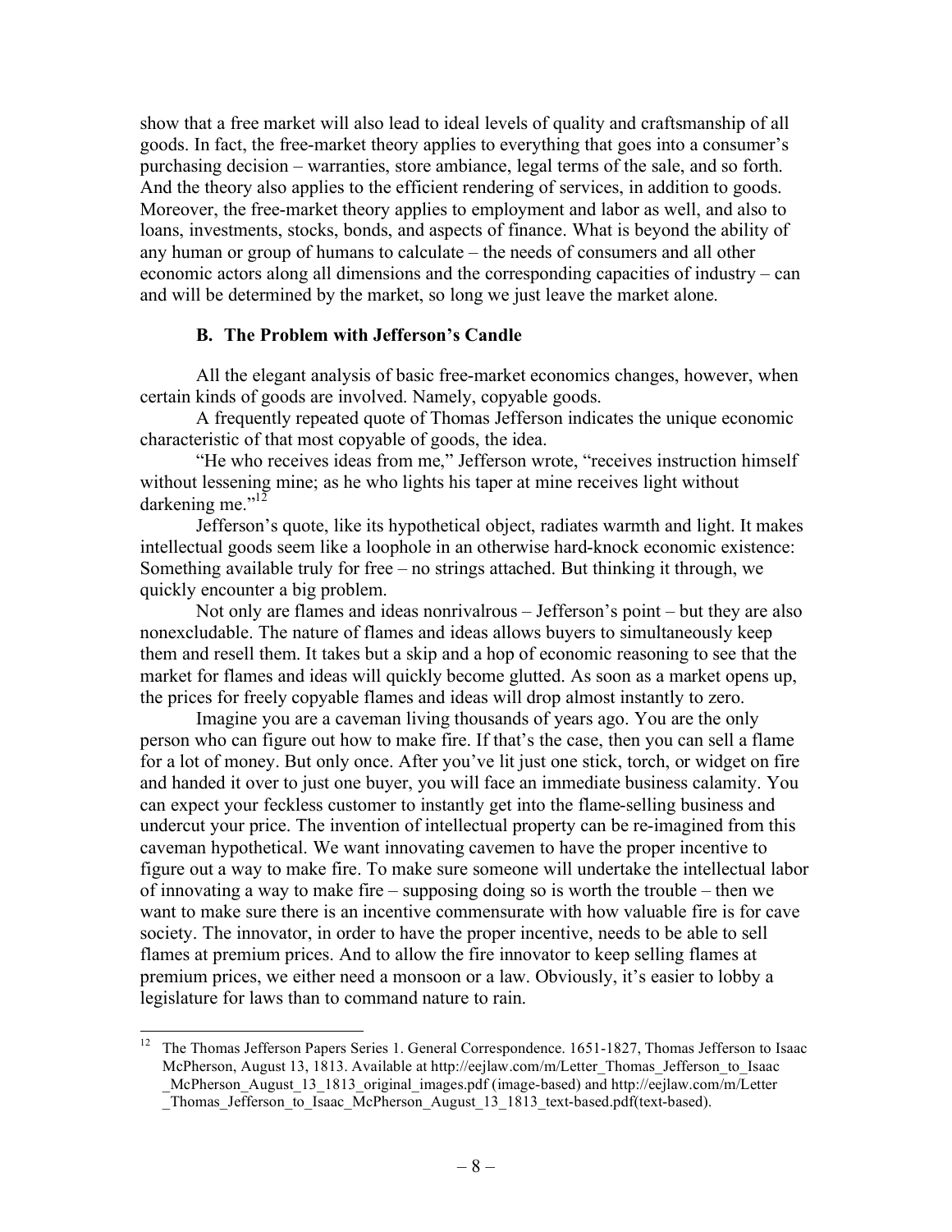show that a free market will also lead to ideal levels of quality and craftsmanship of all goods. In fact, the free-market theory applies to everything that goes into a consumer's purchasing decision – warranties, store ambiance, legal terms of the sale, and so forth. And the theory also applies to the efficient rendering of services, in addition to goods. Moreover, the free-market theory applies to employment and labor as well, and also to loans, investments, stocks, bonds, and aspects of finance. What is beyond the ability of any human or group of humans to calculate – the needs of consumers and all other economic actors along all dimensions and the corresponding capacities of industry – can and will be determined by the market, so long we just leave the market alone.

## **B. The Problem with Jefferson's Candle**

All the elegant analysis of basic free-market economics changes, however, when certain kinds of goods are involved. Namely, copyable goods.

A frequently repeated quote of Thomas Jefferson indicates the unique economic characteristic of that most copyable of goods, the idea.

"He who receives ideas from me," Jefferson wrote, "receives instruction himself without lessening mine; as he who lights his taper at mine receives light without darkening me. $v^{12}$ 

Jefferson's quote, like its hypothetical object, radiates warmth and light. It makes intellectual goods seem like a loophole in an otherwise hard-knock economic existence: Something available truly for free – no strings attached. But thinking it through, we quickly encounter a big problem.

Not only are flames and ideas nonrivalrous – Jefferson's point – but they are also nonexcludable. The nature of flames and ideas allows buyers to simultaneously keep them and resell them. It takes but a skip and a hop of economic reasoning to see that the market for flames and ideas will quickly become glutted. As soon as a market opens up, the prices for freely copyable flames and ideas will drop almost instantly to zero.

Imagine you are a caveman living thousands of years ago. You are the only person who can figure out how to make fire. If that's the case, then you can sell a flame for a lot of money. But only once. After you've lit just one stick, torch, or widget on fire and handed it over to just one buyer, you will face an immediate business calamity. You can expect your feckless customer to instantly get into the flame-selling business and undercut your price. The invention of intellectual property can be re-imagined from this caveman hypothetical. We want innovating cavemen to have the proper incentive to figure out a way to make fire. To make sure someone will undertake the intellectual labor of innovating a way to make fire – supposing doing so is worth the trouble – then we want to make sure there is an incentive commensurate with how valuable fire is for cave society. The innovator, in order to have the proper incentive, needs to be able to sell flames at premium prices. And to allow the fire innovator to keep selling flames at premium prices, we either need a monsoon or a law. Obviously, it's easier to lobby a legislature for laws than to command nature to rain.

 <sup>12</sup> The Thomas Jefferson Papers Series 1. General Correspondence. 1651-1827, Thomas Jefferson to Isaac McPherson, August 13, 1813. Available at http://eejlaw.com/m/Letter\_Thomas\_Jefferson\_to\_Isaac \_McPherson\_August\_13\_1813\_original\_images.pdf (image-based) and http://eejlaw.com/m/Letter Thomas Jefferson to Isaac McPherson August 13 1813 text-based.pdf(text-based).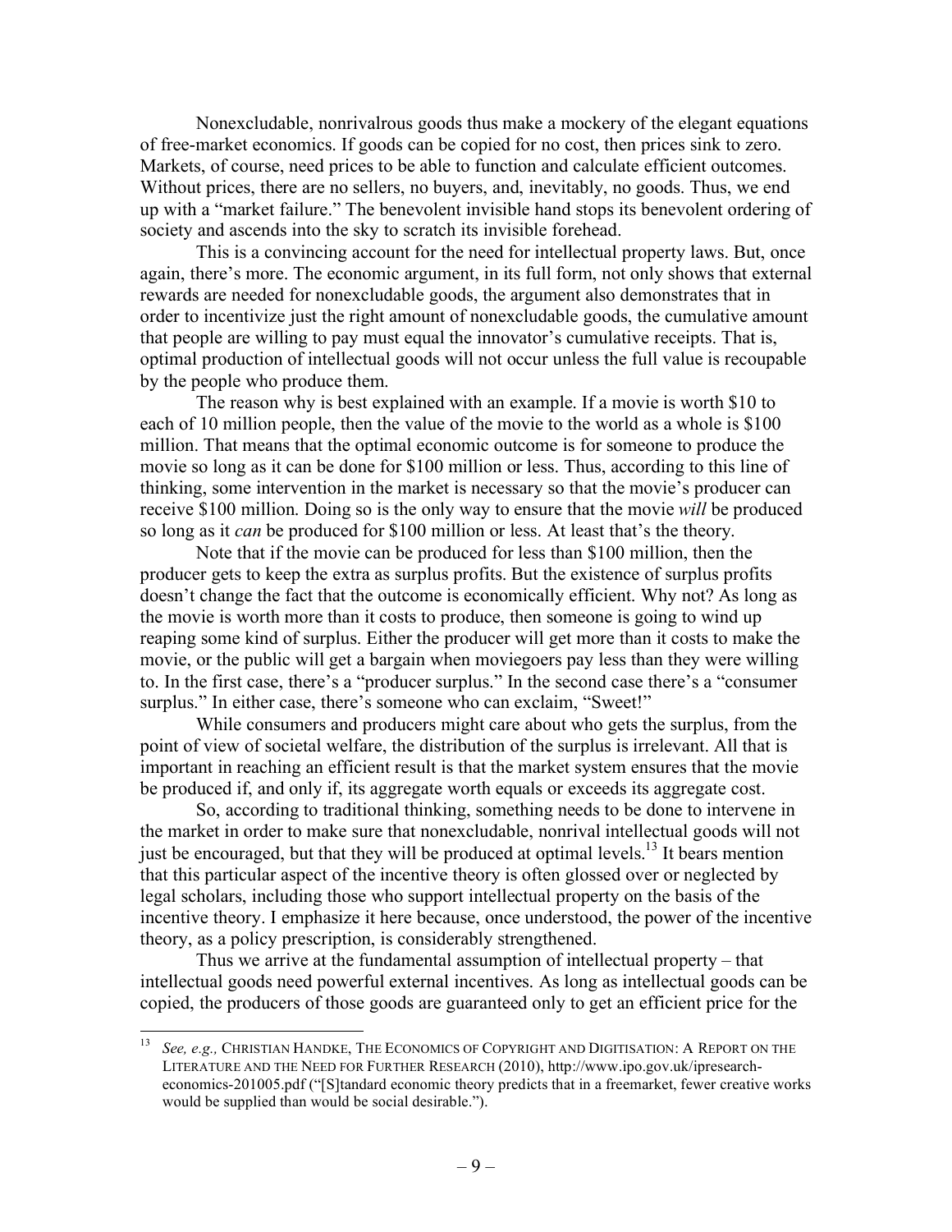Nonexcludable, nonrivalrous goods thus make a mockery of the elegant equations of free-market economics. If goods can be copied for no cost, then prices sink to zero. Markets, of course, need prices to be able to function and calculate efficient outcomes. Without prices, there are no sellers, no buyers, and, inevitably, no goods. Thus, we end up with a "market failure." The benevolent invisible hand stops its benevolent ordering of society and ascends into the sky to scratch its invisible forehead.

This is a convincing account for the need for intellectual property laws. But, once again, there's more. The economic argument, in its full form, not only shows that external rewards are needed for nonexcludable goods, the argument also demonstrates that in order to incentivize just the right amount of nonexcludable goods, the cumulative amount that people are willing to pay must equal the innovator's cumulative receipts. That is, optimal production of intellectual goods will not occur unless the full value is recoupable by the people who produce them.

The reason why is best explained with an example. If a movie is worth \$10 to each of 10 million people, then the value of the movie to the world as a whole is \$100 million. That means that the optimal economic outcome is for someone to produce the movie so long as it can be done for \$100 million or less. Thus, according to this line of thinking, some intervention in the market is necessary so that the movie's producer can receive \$100 million. Doing so is the only way to ensure that the movie *will* be produced so long as it *can* be produced for \$100 million or less. At least that's the theory.

Note that if the movie can be produced for less than \$100 million, then the producer gets to keep the extra as surplus profits. But the existence of surplus profits doesn't change the fact that the outcome is economically efficient. Why not? As long as the movie is worth more than it costs to produce, then someone is going to wind up reaping some kind of surplus. Either the producer will get more than it costs to make the movie, or the public will get a bargain when moviegoers pay less than they were willing to. In the first case, there's a "producer surplus." In the second case there's a "consumer surplus." In either case, there's someone who can exclaim, "Sweet!"

While consumers and producers might care about who gets the surplus, from the point of view of societal welfare, the distribution of the surplus is irrelevant. All that is important in reaching an efficient result is that the market system ensures that the movie be produced if, and only if, its aggregate worth equals or exceeds its aggregate cost.

So, according to traditional thinking, something needs to be done to intervene in the market in order to make sure that nonexcludable, nonrival intellectual goods will not just be encouraged, but that they will be produced at optimal levels.<sup>13</sup> It bears mention that this particular aspect of the incentive theory is often glossed over or neglected by legal scholars, including those who support intellectual property on the basis of the incentive theory. I emphasize it here because, once understood, the power of the incentive theory, as a policy prescription, is considerably strengthened.

Thus we arrive at the fundamental assumption of intellectual property – that intellectual goods need powerful external incentives. As long as intellectual goods can be copied, the producers of those goods are guaranteed only to get an efficient price for the

 <sup>13</sup> *See, e.g.,* CHRISTIAN HANDKE, THE ECONOMICS OF COPYRIGHT AND DIGITISATION: A REPORT ON THE LITERATURE AND THE NEED FOR FURTHER RESEARCH (2010), http://www.ipo.gov.uk/ipresearcheconomics-201005.pdf ("[S]tandard economic theory predicts that in a freemarket, fewer creative works would be supplied than would be social desirable.").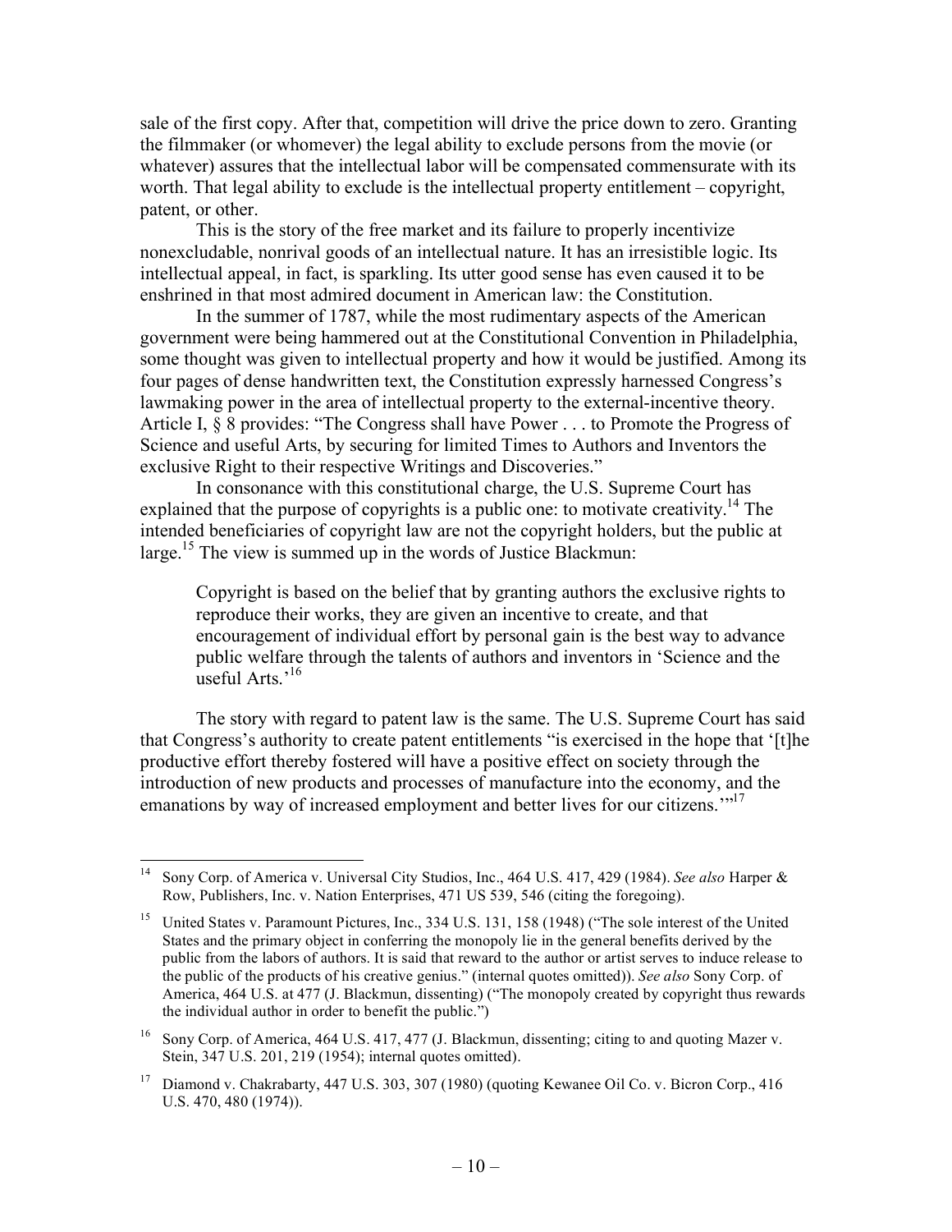sale of the first copy. After that, competition will drive the price down to zero. Granting the filmmaker (or whomever) the legal ability to exclude persons from the movie (or whatever) assures that the intellectual labor will be compensated commensurate with its worth. That legal ability to exclude is the intellectual property entitlement – copyright, patent, or other.

This is the story of the free market and its failure to properly incentivize nonexcludable, nonrival goods of an intellectual nature. It has an irresistible logic. Its intellectual appeal, in fact, is sparkling. Its utter good sense has even caused it to be enshrined in that most admired document in American law: the Constitution.

In the summer of 1787, while the most rudimentary aspects of the American government were being hammered out at the Constitutional Convention in Philadelphia, some thought was given to intellectual property and how it would be justified. Among its four pages of dense handwritten text, the Constitution expressly harnessed Congress's lawmaking power in the area of intellectual property to the external-incentive theory. Article I, § 8 provides: "The Congress shall have Power . . . to Promote the Progress of Science and useful Arts, by securing for limited Times to Authors and Inventors the exclusive Right to their respective Writings and Discoveries."

In consonance with this constitutional charge, the U.S. Supreme Court has explained that the purpose of copyrights is a public one: to motivate creativity.<sup>14</sup> The intended beneficiaries of copyright law are not the copyright holders, but the public at large.<sup>15</sup> The view is summed up in the words of Justice Blackmun:

Copyright is based on the belief that by granting authors the exclusive rights to reproduce their works, they are given an incentive to create, and that encouragement of individual effort by personal gain is the best way to advance public welfare through the talents of authors and inventors in 'Science and the useful Arts.'16

The story with regard to patent law is the same. The U.S. Supreme Court has said that Congress's authority to create patent entitlements "is exercised in the hope that '[t]he productive effort thereby fostered will have a positive effect on society through the introduction of new products and processes of manufacture into the economy, and the emanations by way of increased employment and better lives for our citizens."<sup>17</sup>

 <sup>14</sup> Sony Corp. of America v. Universal City Studios, Inc., 464 U.S. 417, 429 (1984). *See also* Harper & Row, Publishers, Inc. v. Nation Enterprises, 471 US 539, 546 (citing the foregoing).

<sup>&</sup>lt;sup>15</sup> United States v. Paramount Pictures, Inc., 334 U.S. 131, 158 (1948) ("The sole interest of the United States and the primary object in conferring the monopoly lie in the general benefits derived by the public from the labors of authors. It is said that reward to the author or artist serves to induce release to the public of the products of his creative genius." (internal quotes omitted)). *See also* Sony Corp. of America, 464 U.S. at 477 (J. Blackmun, dissenting) ("The monopoly created by copyright thus rewards the individual author in order to benefit the public.")

<sup>&</sup>lt;sup>16</sup> Sony Corp. of America, 464 U.S. 417, 477 (J. Blackmun, dissenting; citing to and quoting Mazer v. Stein, 347 U.S. 201, 219 (1954); internal quotes omitted).

<sup>&</sup>lt;sup>17</sup> Diamond v. Chakrabarty, 447 U.S. 303, 307 (1980) (quoting Kewanee Oil Co. v. Bicron Corp., 416 U.S. 470, 480 (1974)).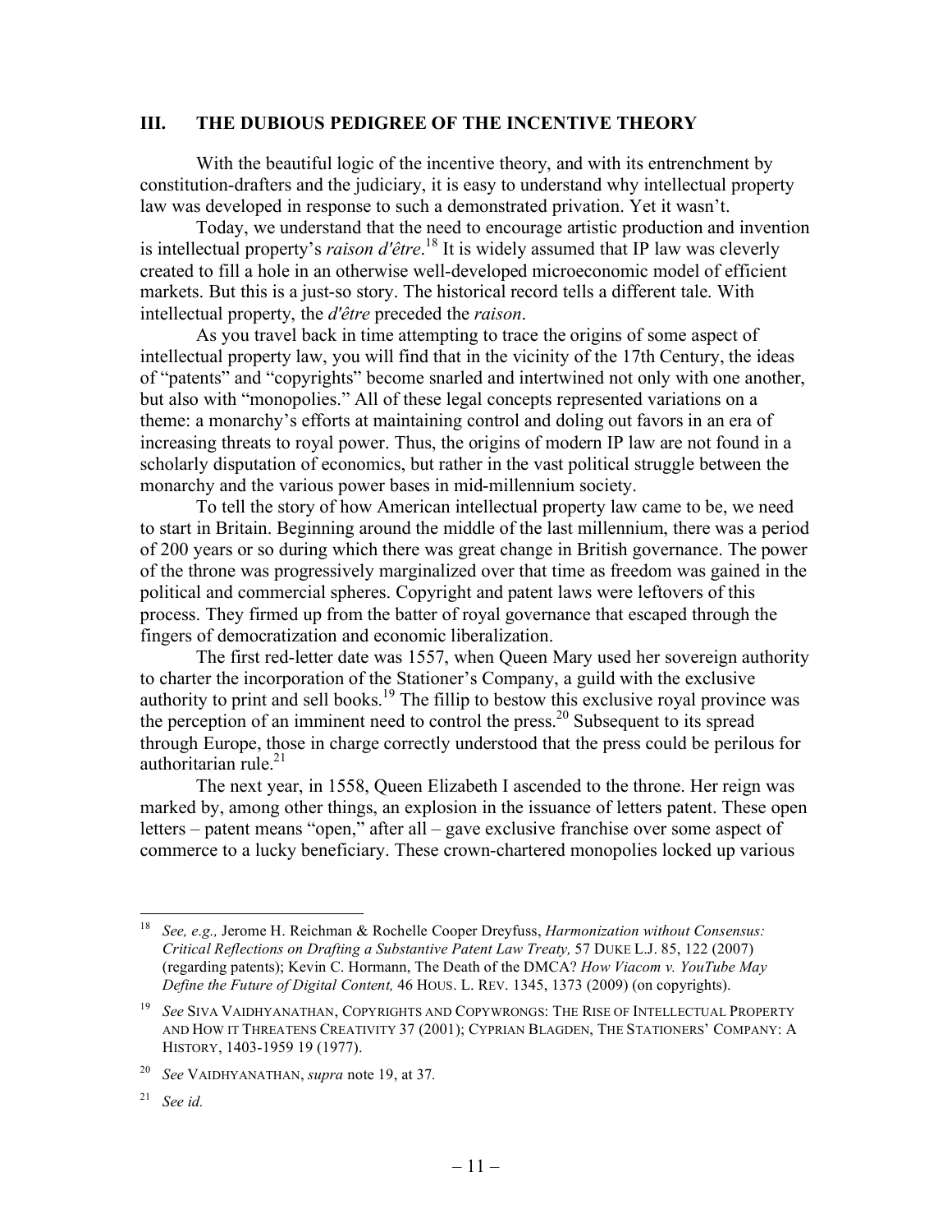### **III. THE DUBIOUS PEDIGREE OF THE INCENTIVE THEORY**

With the beautiful logic of the incentive theory, and with its entrenchment by constitution-drafters and the judiciary, it is easy to understand why intellectual property law was developed in response to such a demonstrated privation. Yet it wasn't.

Today, we understand that the need to encourage artistic production and invention is intellectual property's *raison d'être*. 18 It is widely assumed that IP law was cleverly created to fill a hole in an otherwise well-developed microeconomic model of efficient markets. But this is a just-so story. The historical record tells a different tale. With intellectual property, the *d'être* preceded the *raison*.

As you travel back in time attempting to trace the origins of some aspect of intellectual property law, you will find that in the vicinity of the 17th Century, the ideas of "patents" and "copyrights" become snarled and intertwined not only with one another, but also with "monopolies." All of these legal concepts represented variations on a theme: a monarchy's efforts at maintaining control and doling out favors in an era of increasing threats to royal power. Thus, the origins of modern IP law are not found in a scholarly disputation of economics, but rather in the vast political struggle between the monarchy and the various power bases in mid-millennium society.

To tell the story of how American intellectual property law came to be, we need to start in Britain. Beginning around the middle of the last millennium, there was a period of 200 years or so during which there was great change in British governance. The power of the throne was progressively marginalized over that time as freedom was gained in the political and commercial spheres. Copyright and patent laws were leftovers of this process. They firmed up from the batter of royal governance that escaped through the fingers of democratization and economic liberalization.

The first red-letter date was 1557, when Queen Mary used her sovereign authority to charter the incorporation of the Stationer's Company, a guild with the exclusive authority to print and sell books.19 The fillip to bestow this exclusive royal province was the perception of an imminent need to control the press.<sup>20</sup> Subsequent to its spread through Europe, those in charge correctly understood that the press could be perilous for authoritarian rule. $21$ 

The next year, in 1558, Queen Elizabeth I ascended to the throne. Her reign was marked by, among other things, an explosion in the issuance of letters patent. These open letters – patent means "open," after all – gave exclusive franchise over some aspect of commerce to a lucky beneficiary. These crown-chartered monopolies locked up various

 <sup>18</sup> *See, e.g.,* Jerome H. Reichman & Rochelle Cooper Dreyfuss, *Harmonization without Consensus: Critical Reflections on Drafting a Substantive Patent Law Treaty,* 57 DUKE L.J. 85, 122 (2007) (regarding patents); Kevin C. Hormann, The Death of the DMCA? *How Viacom v. YouTube May Define the Future of Digital Content,* 46 HOUS. L. REV. 1345, 1373 (2009) (on copyrights).

<sup>19</sup> *See* SIVA VAIDHYANATHAN, COPYRIGHTS AND COPYWRONGS: THE RISE OF INTELLECTUAL PROPERTY AND HOW IT THREATENS CREATIVITY 37 (2001); CYPRIAN BLAGDEN, THE STATIONERS' COMPANY: A HISTORY, 1403-1959 19 (1977).

<sup>20</sup> *See* VAIDHYANATHAN, *supra* note 19, at 37*.*

<sup>21</sup> *See id.*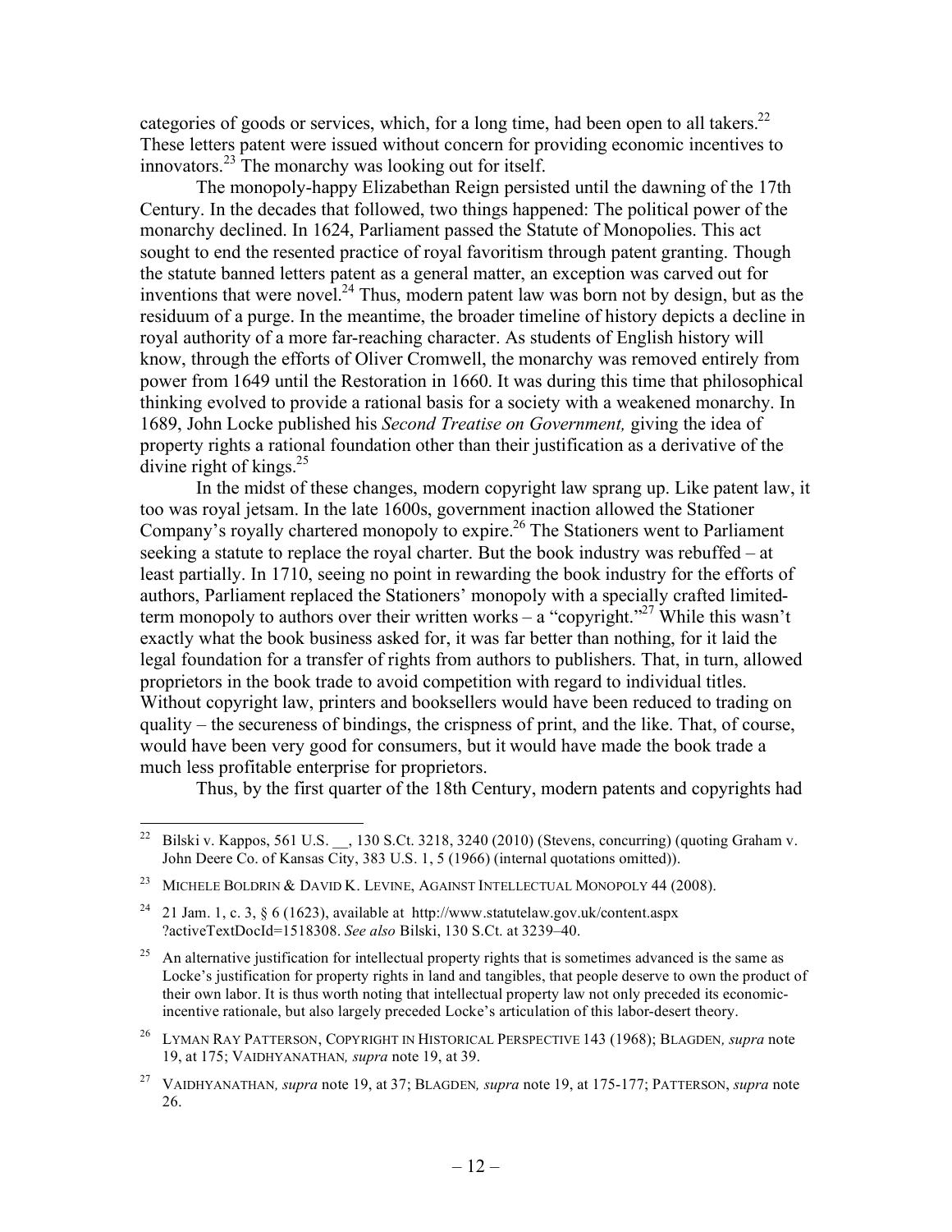categories of goods or services, which, for a long time, had been open to all takers.<sup>22</sup> These letters patent were issued without concern for providing economic incentives to innovators.23 The monarchy was looking out for itself.

The monopoly-happy Elizabethan Reign persisted until the dawning of the 17th Century. In the decades that followed, two things happened: The political power of the monarchy declined. In 1624, Parliament passed the Statute of Monopolies. This act sought to end the resented practice of royal favoritism through patent granting. Though the statute banned letters patent as a general matter, an exception was carved out for inventions that were novel.<sup>24</sup> Thus, modern patent law was born not by design, but as the residuum of a purge. In the meantime, the broader timeline of history depicts a decline in royal authority of a more far-reaching character. As students of English history will know, through the efforts of Oliver Cromwell, the monarchy was removed entirely from power from 1649 until the Restoration in 1660. It was during this time that philosophical thinking evolved to provide a rational basis for a society with a weakened monarchy. In 1689, John Locke published his *Second Treatise on Government,* giving the idea of property rights a rational foundation other than their justification as a derivative of the divine right of kings. $^{25}$ 

In the midst of these changes, modern copyright law sprang up. Like patent law, it too was royal jetsam. In the late 1600s, government inaction allowed the Stationer Company's royally chartered monopoly to expire.<sup>26</sup> The Stationers went to Parliament seeking a statute to replace the royal charter. But the book industry was rebuffed – at least partially. In 1710, seeing no point in rewarding the book industry for the efforts of authors, Parliament replaced the Stationers' monopoly with a specially crafted limitedterm monopoly to authors over their written works – a "copyright."<sup>27</sup> While this wasn't exactly what the book business asked for, it was far better than nothing, for it laid the legal foundation for a transfer of rights from authors to publishers. That, in turn, allowed proprietors in the book trade to avoid competition with regard to individual titles. Without copyright law, printers and booksellers would have been reduced to trading on quality – the secureness of bindings, the crispness of print, and the like. That, of course, would have been very good for consumers, but it would have made the book trade a much less profitable enterprise for proprietors.

Thus, by the first quarter of the 18th Century, modern patents and copyrights had

<sup>&</sup>lt;sup>22</sup> Bilski v. Kappos, 561 U.S.  $\,$ , 130 S.Ct. 3218, 3240 (2010) (Stevens, concurring) (quoting Graham v. John Deere Co. of Kansas City, 383 U.S. 1, 5 (1966) (internal quotations omitted)).

<sup>&</sup>lt;sup>23</sup> MICHELE BOLDRIN & DAVID K. LEVINE, AGAINST INTELLECTUAL MONOPOLY 44 (2008).

<sup>24</sup> 21 Jam. 1, c. 3, § 6 (1623), available at http://www.statutelaw.gov.uk/content.aspx ?activeTextDocId=1518308. *See also* Bilski, 130 S.Ct. at 3239–40.

<sup>&</sup>lt;sup>25</sup> An alternative justification for intellectual property rights that is sometimes advanced is the same as Locke's justification for property rights in land and tangibles, that people deserve to own the product of their own labor. It is thus worth noting that intellectual property law not only preceded its economicincentive rationale, but also largely preceded Locke's articulation of this labor-desert theory.

<sup>26</sup> LYMAN RAY PATTERSON, COPYRIGHT IN HISTORICAL PERSPECTIVE 143 (1968); BLAGDEN*, supra* note 19, at 175; VAIDHYANATHAN*, supra* note 19, at 39.

<sup>27</sup> VAIDHYANATHAN*, supra* note 19, at 37; BLAGDEN*, supra* note 19, at 175-177; PATTERSON, *supra* note 26.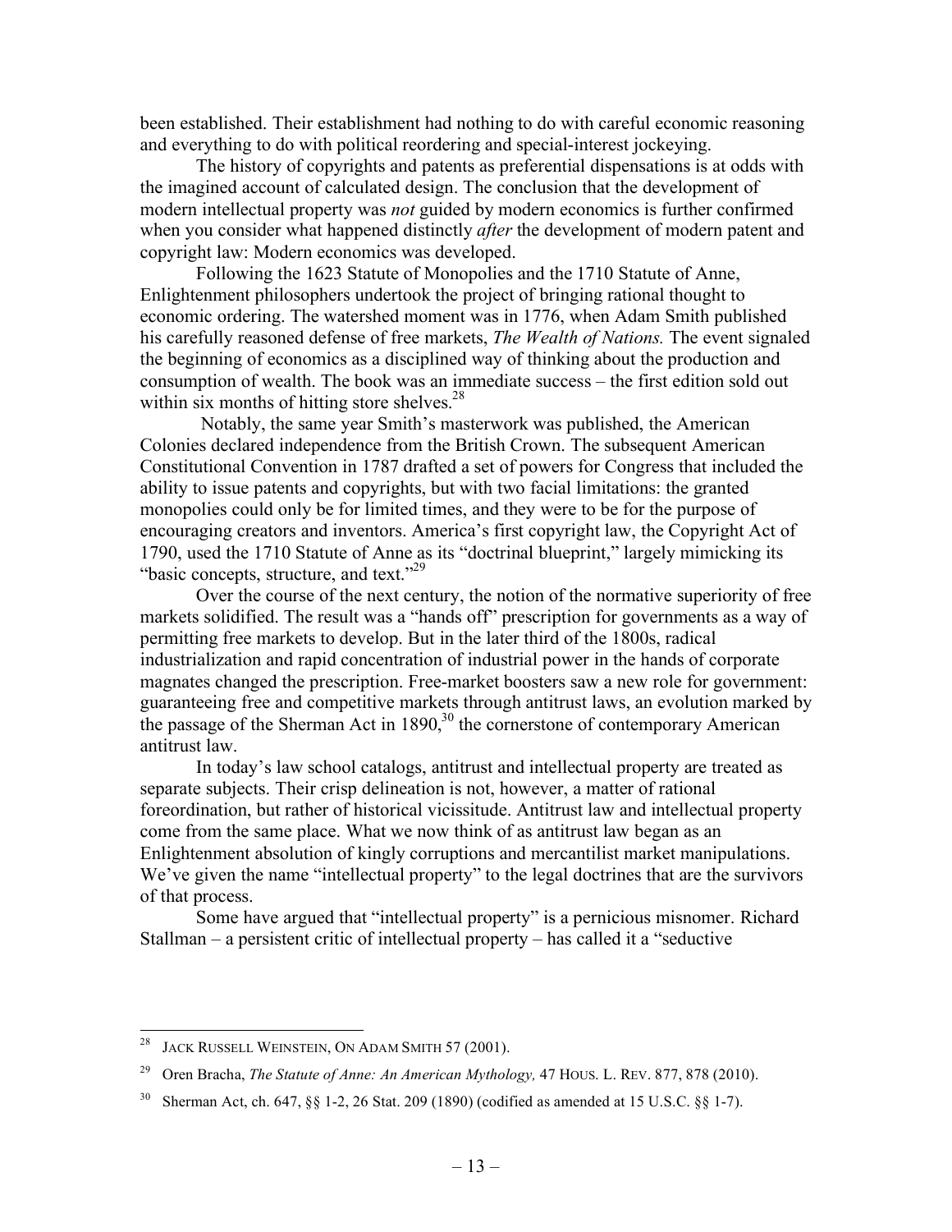been established. Their establishment had nothing to do with careful economic reasoning and everything to do with political reordering and special-interest jockeying.

The history of copyrights and patents as preferential dispensations is at odds with the imagined account of calculated design. The conclusion that the development of modern intellectual property was *not* guided by modern economics is further confirmed when you consider what happened distinctly *after* the development of modern patent and copyright law: Modern economics was developed.

Following the 1623 Statute of Monopolies and the 1710 Statute of Anne, Enlightenment philosophers undertook the project of bringing rational thought to economic ordering. The watershed moment was in 1776, when Adam Smith published his carefully reasoned defense of free markets, *The Wealth of Nations.* The event signaled the beginning of economics as a disciplined way of thinking about the production and consumption of wealth. The book was an immediate success – the first edition sold out within six months of hitting store shelves. $28$ 

 Notably, the same year Smith's masterwork was published, the American Colonies declared independence from the British Crown. The subsequent American Constitutional Convention in 1787 drafted a set of powers for Congress that included the ability to issue patents and copyrights, but with two facial limitations: the granted monopolies could only be for limited times, and they were to be for the purpose of encouraging creators and inventors. America's first copyright law, the Copyright Act of 1790, used the 1710 Statute of Anne as its "doctrinal blueprint," largely mimicking its "basic concepts, structure, and text."<sup>29</sup>

Over the course of the next century, the notion of the normative superiority of free markets solidified. The result was a "hands off" prescription for governments as a way of permitting free markets to develop. But in the later third of the 1800s, radical industrialization and rapid concentration of industrial power in the hands of corporate magnates changed the prescription. Free-market boosters saw a new role for government: guaranteeing free and competitive markets through antitrust laws, an evolution marked by the passage of the Sherman Act in  $1890$ ,<sup>30</sup> the cornerstone of contemporary American antitrust law.

In today's law school catalogs, antitrust and intellectual property are treated as separate subjects. Their crisp delineation is not, however, a matter of rational foreordination, but rather of historical vicissitude. Antitrust law and intellectual property come from the same place. What we now think of as antitrust law began as an Enlightenment absolution of kingly corruptions and mercantilist market manipulations. We've given the name "intellectual property" to the legal doctrines that are the survivors of that process.

Some have argued that "intellectual property" is a pernicious misnomer. Richard Stallman – a persistent critic of intellectual property – has called it a "seductive

<sup>&</sup>lt;sup>28</sup> JACK RUSSELL WEINSTEIN, ON ADAM SMITH 57 (2001).

<sup>29</sup> Oren Bracha, *The Statute of Anne: An American Mythology,* 47 HOUS. L. REV. 877, 878 (2010).

<sup>&</sup>lt;sup>30</sup> Sherman Act, ch. 647, §§ 1-2, 26 Stat. 209 (1890) (codified as amended at 15 U.S.C. §§ 1-7).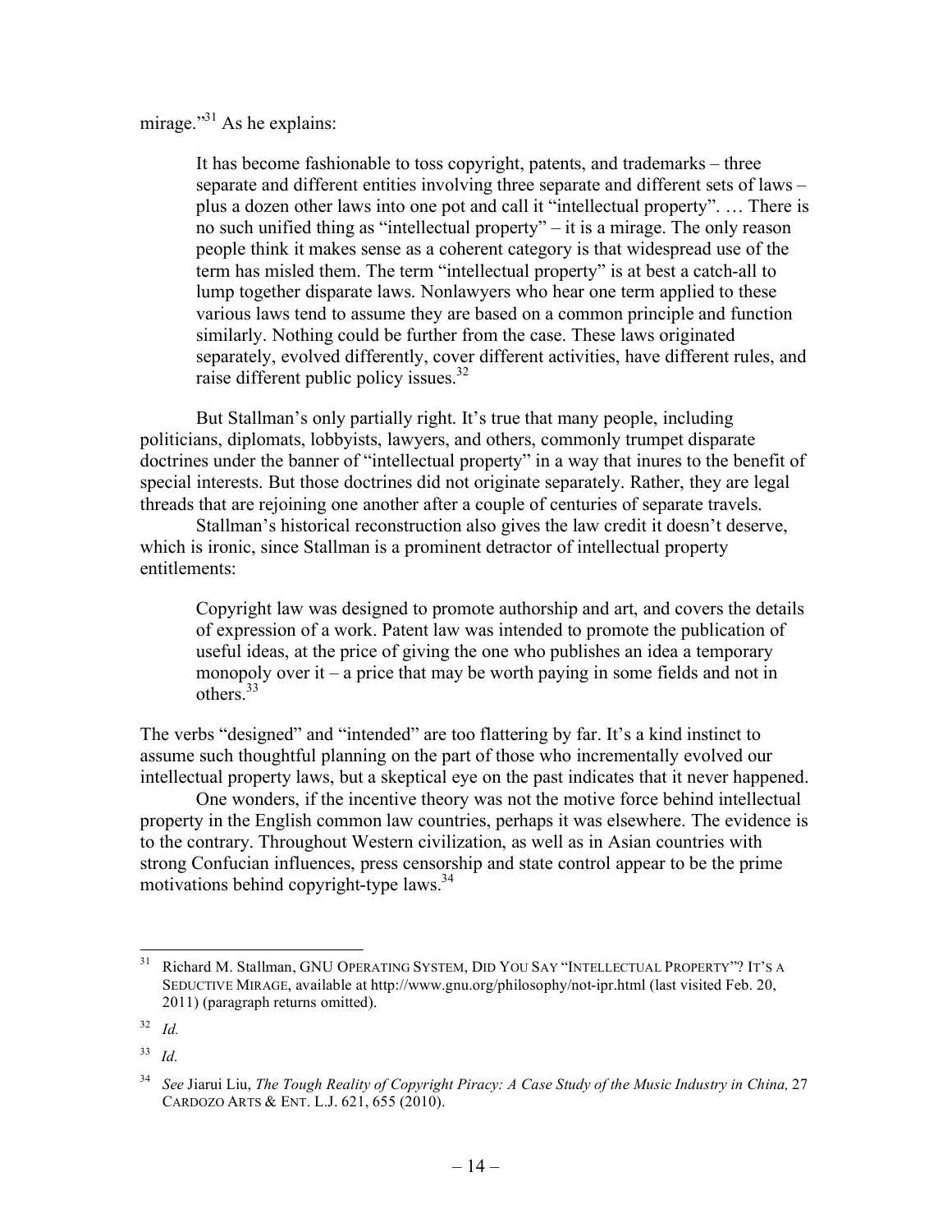mirage."<sup>31</sup> As he explains:

It has become fashionable to toss copyright, patents, and trademarks – three separate and different entities involving three separate and different sets of laws – plus a dozen other laws into one pot and call it "intellectual property". … There is no such unified thing as "intellectual property" – it is a mirage. The only reason people think it makes sense as a coherent category is that widespread use of the term has misled them. The term "intellectual property" is at best a catch-all to lump together disparate laws. Nonlawyers who hear one term applied to these various laws tend to assume they are based on a common principle and function similarly. Nothing could be further from the case. These laws originated separately, evolved differently, cover different activities, have different rules, and raise different public policy issues.<sup>32</sup>

But Stallman's only partially right. It's true that many people, including politicians, diplomats, lobbyists, lawyers, and others, commonly trumpet disparate doctrines under the banner of "intellectual property" in a way that inures to the benefit of special interests. But those doctrines did not originate separately. Rather, they are legal threads that are rejoining one another after a couple of centuries of separate travels.

Stallman's historical reconstruction also gives the law credit it doesn't deserve, which is ironic, since Stallman is a prominent detractor of intellectual property entitlements:

Copyright law was designed to promote authorship and art, and covers the details of expression of a work. Patent law was intended to promote the publication of useful ideas, at the price of giving the one who publishes an idea a temporary monopoly over it – a price that may be worth paying in some fields and not in others $33$ 

The verbs "designed" and "intended" are too flattering by far. It's a kind instinct to assume such thoughtful planning on the part of those who incrementally evolved our intellectual property laws, but a skeptical eye on the past indicates that it never happened.

One wonders, if the incentive theory was not the motive force behind intellectual property in the English common law countries, perhaps it was elsewhere. The evidence is to the contrary. Throughout Western civilization, as well as in Asian countries with strong Confucian influences, press censorship and state control appear to be the prime motivations behind copyright-type laws.<sup>34</sup>

<sup>&</sup>lt;sup>31</sup> Richard M. Stallman, GNU OPERATING SYSTEM, DID YOU SAY "INTELLECTUAL PROPERTY"? IT'S A SEDUCTIVE MIRAGE, available at http://www.gnu.org/philosophy/not-ipr.html (last visited Feb. 20, 2011) (paragraph returns omitted).

<sup>32</sup> *Id.*

<sup>33</sup> *Id.*

<sup>34</sup> *See* Jiarui Liu, *The Tough Reality of Copyright Piracy: A Case Study of the Music Industry in China,* 27 CARDOZO ARTS & ENT. L.J. 621, 655 (2010).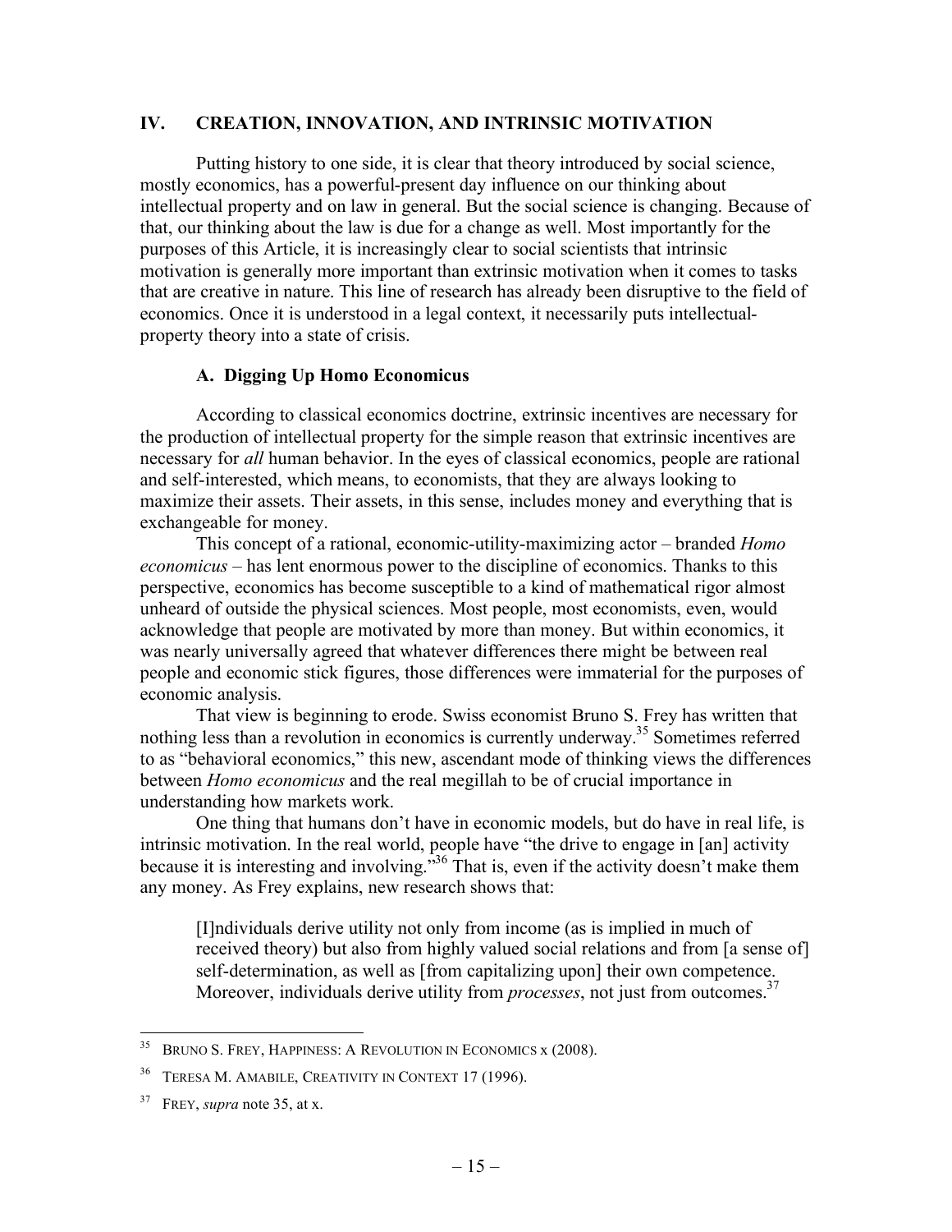### **IV. CREATION, INNOVATION, AND INTRINSIC MOTIVATION**

Putting history to one side, it is clear that theory introduced by social science, mostly economics, has a powerful-present day influence on our thinking about intellectual property and on law in general. But the social science is changing. Because of that, our thinking about the law is due for a change as well. Most importantly for the purposes of this Article, it is increasingly clear to social scientists that intrinsic motivation is generally more important than extrinsic motivation when it comes to tasks that are creative in nature. This line of research has already been disruptive to the field of economics. Once it is understood in a legal context, it necessarily puts intellectualproperty theory into a state of crisis.

## **A. Digging Up Homo Economicus**

According to classical economics doctrine, extrinsic incentives are necessary for the production of intellectual property for the simple reason that extrinsic incentives are necessary for *all* human behavior. In the eyes of classical economics, people are rational and self-interested, which means, to economists, that they are always looking to maximize their assets. Their assets, in this sense, includes money and everything that is exchangeable for money.

This concept of a rational, economic-utility-maximizing actor – branded *Homo economicus* – has lent enormous power to the discipline of economics. Thanks to this perspective, economics has become susceptible to a kind of mathematical rigor almost unheard of outside the physical sciences. Most people, most economists, even, would acknowledge that people are motivated by more than money. But within economics, it was nearly universally agreed that whatever differences there might be between real people and economic stick figures, those differences were immaterial for the purposes of economic analysis.

That view is beginning to erode. Swiss economist Bruno S. Frey has written that nothing less than a revolution in economics is currently underway.35 Sometimes referred to as "behavioral economics," this new, ascendant mode of thinking views the differences between *Homo economicus* and the real megillah to be of crucial importance in understanding how markets work.

One thing that humans don't have in economic models, but do have in real life, is intrinsic motivation. In the real world, people have "the drive to engage in [an] activity because it is interesting and involving.<sup>536</sup> That is, even if the activity doesn't make them any money. As Frey explains, new research shows that:

[I]ndividuals derive utility not only from income (as is implied in much of received theory) but also from highly valued social relations and from [a sense of] self-determination, as well as [from capitalizing upon] their own competence. Moreover, individuals derive utility from *processes*, not just from outcomes.<sup>37</sup>

<sup>&</sup>lt;sup>35</sup> BRUNO S. FREY, HAPPINESS: A REVOLUTION IN ECONOMICS x (2008).

TERESA M. AMABILE, CREATIVITY IN CONTEXT 17 (1996).

<sup>37</sup> FREY, *supra* note 35, at x.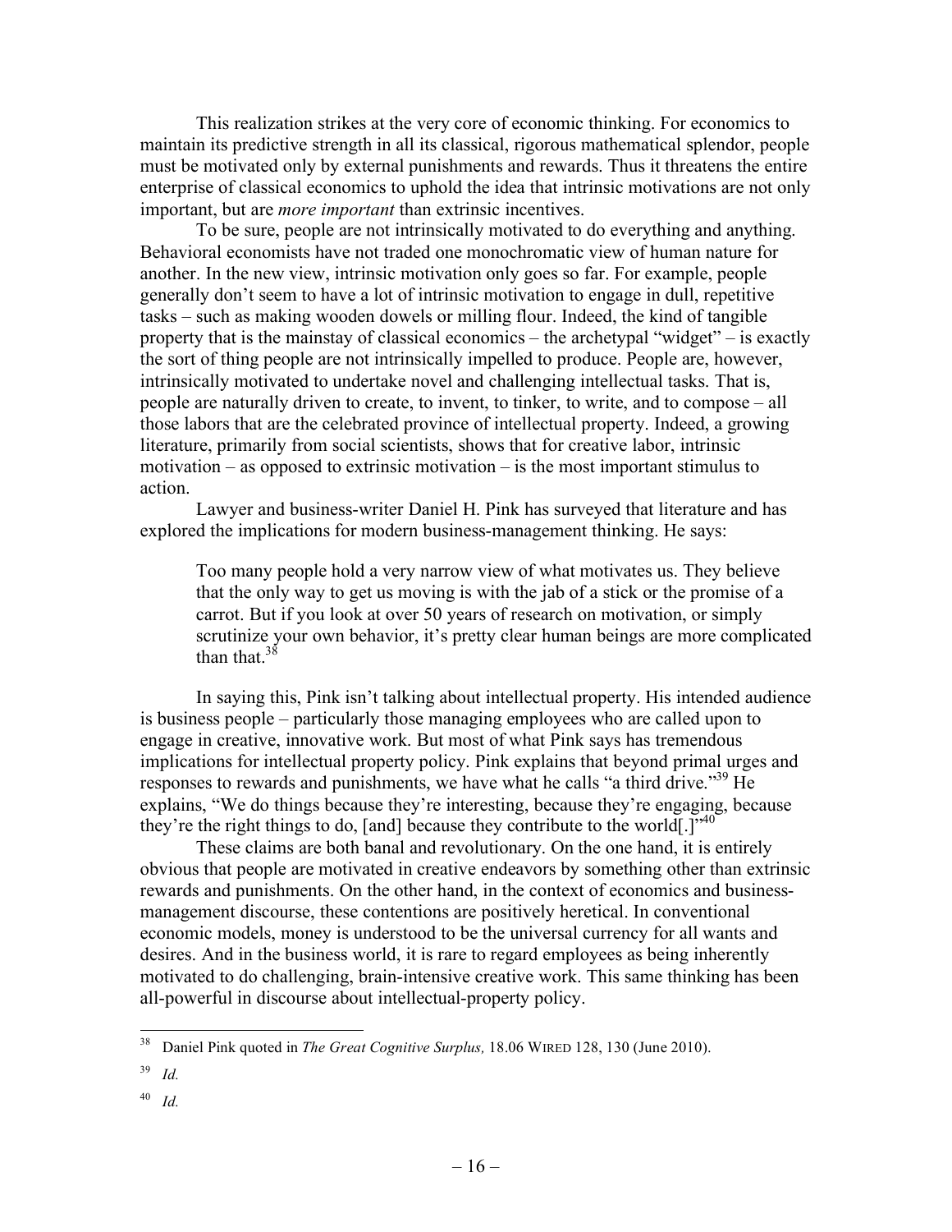This realization strikes at the very core of economic thinking. For economics to maintain its predictive strength in all its classical, rigorous mathematical splendor, people must be motivated only by external punishments and rewards. Thus it threatens the entire enterprise of classical economics to uphold the idea that intrinsic motivations are not only important, but are *more important* than extrinsic incentives.

To be sure, people are not intrinsically motivated to do everything and anything. Behavioral economists have not traded one monochromatic view of human nature for another. In the new view, intrinsic motivation only goes so far. For example, people generally don't seem to have a lot of intrinsic motivation to engage in dull, repetitive tasks – such as making wooden dowels or milling flour. Indeed, the kind of tangible property that is the mainstay of classical economics – the archetypal "widget" – is exactly the sort of thing people are not intrinsically impelled to produce. People are, however, intrinsically motivated to undertake novel and challenging intellectual tasks. That is, people are naturally driven to create, to invent, to tinker, to write, and to compose – all those labors that are the celebrated province of intellectual property. Indeed, a growing literature, primarily from social scientists, shows that for creative labor, intrinsic motivation – as opposed to extrinsic motivation – is the most important stimulus to action.

Lawyer and business-writer Daniel H. Pink has surveyed that literature and has explored the implications for modern business-management thinking. He says:

Too many people hold a very narrow view of what motivates us. They believe that the only way to get us moving is with the jab of a stick or the promise of a carrot. But if you look at over 50 years of research on motivation, or simply scrutinize your own behavior, it's pretty clear human beings are more complicated than that  $38$ 

In saying this, Pink isn't talking about intellectual property. His intended audience is business people – particularly those managing employees who are called upon to engage in creative, innovative work. But most of what Pink says has tremendous implications for intellectual property policy. Pink explains that beyond primal urges and responses to rewards and punishments, we have what he calls "a third drive."<sup>39</sup> He explains, "We do things because they're interesting, because they're engaging, because they're the right things to do, [and] because they contribute to the world[.]<sup>540</sup>

These claims are both banal and revolutionary. On the one hand, it is entirely obvious that people are motivated in creative endeavors by something other than extrinsic rewards and punishments. On the other hand, in the context of economics and businessmanagement discourse, these contentions are positively heretical. In conventional economic models, money is understood to be the universal currency for all wants and desires. And in the business world, it is rare to regard employees as being inherently motivated to do challenging, brain-intensive creative work. This same thinking has been all-powerful in discourse about intellectual-property policy.

<sup>39</sup> *Id.*

<sup>40</sup> *Id.*

 <sup>38</sup> Daniel Pink quoted in *The Great Cognitive Surplus,* 18.06 WIRED 128, 130 (June 2010).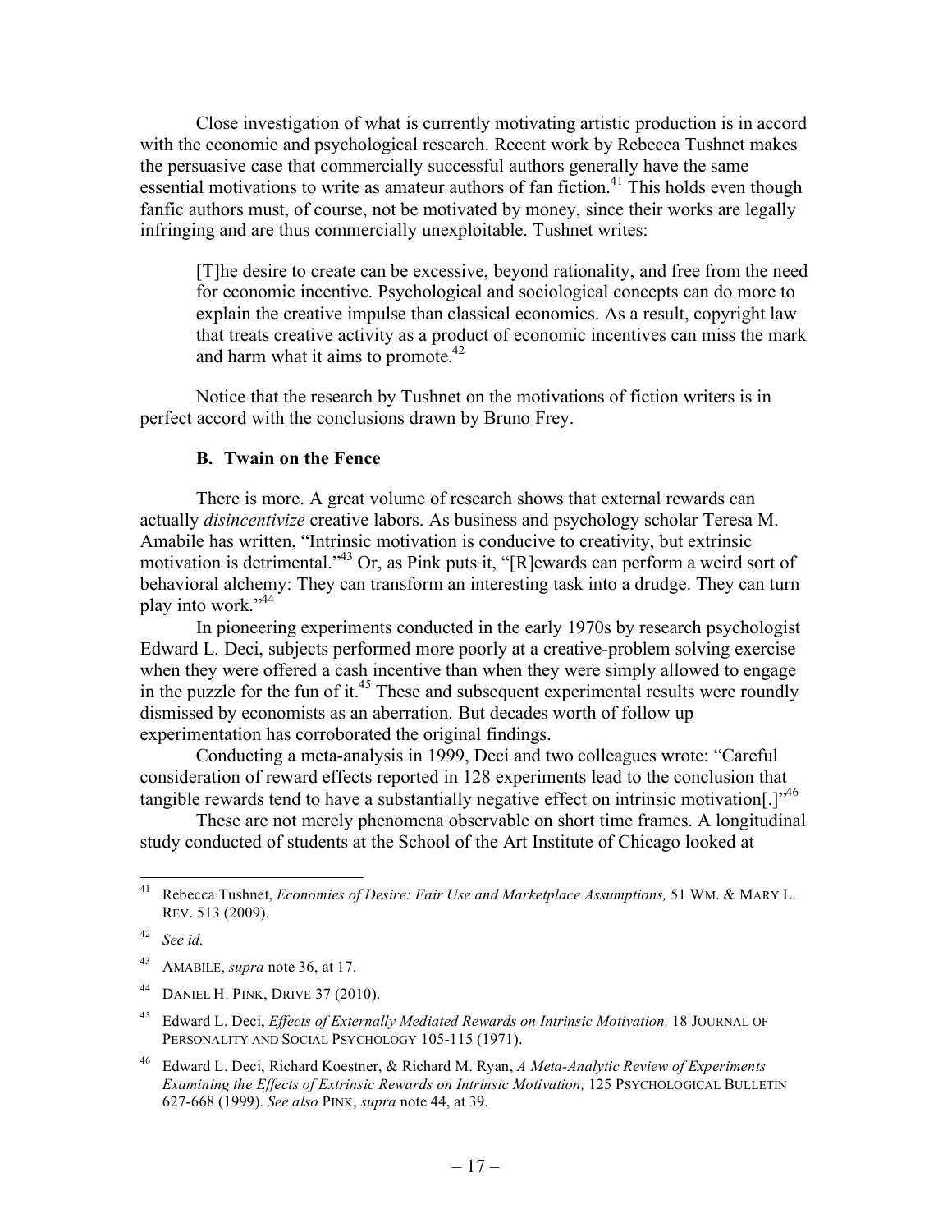Close investigation of what is currently motivating artistic production is in accord with the economic and psychological research. Recent work by Rebecca Tushnet makes the persuasive case that commercially successful authors generally have the same essential motivations to write as amateur authors of fan fiction.<sup>41</sup> This holds even though fanfic authors must, of course, not be motivated by money, since their works are legally infringing and are thus commercially unexploitable. Tushnet writes:

[T]he desire to create can be excessive, beyond rationality, and free from the need for economic incentive. Psychological and sociological concepts can do more to explain the creative impulse than classical economics. As a result, copyright law that treats creative activity as a product of economic incentives can miss the mark and harm what it aims to promote. $42$ 

Notice that the research by Tushnet on the motivations of fiction writers is in perfect accord with the conclusions drawn by Bruno Frey.

#### **B. Twain on the Fence**

There is more. A great volume of research shows that external rewards can actually *disincentivize* creative labors. As business and psychology scholar Teresa M. Amabile has written, "Intrinsic motivation is conducive to creativity, but extrinsic motivation is detrimental."43 Or, as Pink puts it, "[R]ewards can perform a weird sort of behavioral alchemy: They can transform an interesting task into a drudge. They can turn play into work."<sup>44</sup>

In pioneering experiments conducted in the early 1970s by research psychologist Edward L. Deci, subjects performed more poorly at a creative-problem solving exercise when they were offered a cash incentive than when they were simply allowed to engage in the puzzle for the fun of it.<sup>45</sup> These and subsequent experimental results were roundly dismissed by economists as an aberration. But decades worth of follow up experimentation has corroborated the original findings.

Conducting a meta-analysis in 1999, Deci and two colleagues wrote: "Careful consideration of reward effects reported in 128 experiments lead to the conclusion that tangible rewards tend to have a substantially negative effect on intrinsic motivation[.]"<sup>46</sup>

These are not merely phenomena observable on short time frames. A longitudinal study conducted of students at the School of the Art Institute of Chicago looked at

 <sup>41</sup> Rebecca Tushnet, *Economies of Desire: Fair Use and Marketplace Assumptions,* 51 WM. & MARY L. REV. 513 (2009).

<sup>42</sup> *See id.*

<sup>43</sup> AMABILE, *supra* note 36, at 17.

<sup>44</sup> DANIEL H. PINK, DRIVE 37 (2010).

<sup>&</sup>lt;sup>45</sup> Edward L. Deci, *Effects of Externally Mediated Rewards on Intrinsic Motivation*, 18 JOURNAL OF PERSONALITY AND SOCIAL PSYCHOLOGY 105-115 (1971).

<sup>46</sup> Edward L. Deci, Richard Koestner, & Richard M. Ryan, *A Meta-Analytic Review of Experiments Examining the Effects of Extrinsic Rewards on Intrinsic Motivation,* 125 PSYCHOLOGICAL BULLETIN 627-668 (1999). *See also* PINK, *supra* note 44, at 39.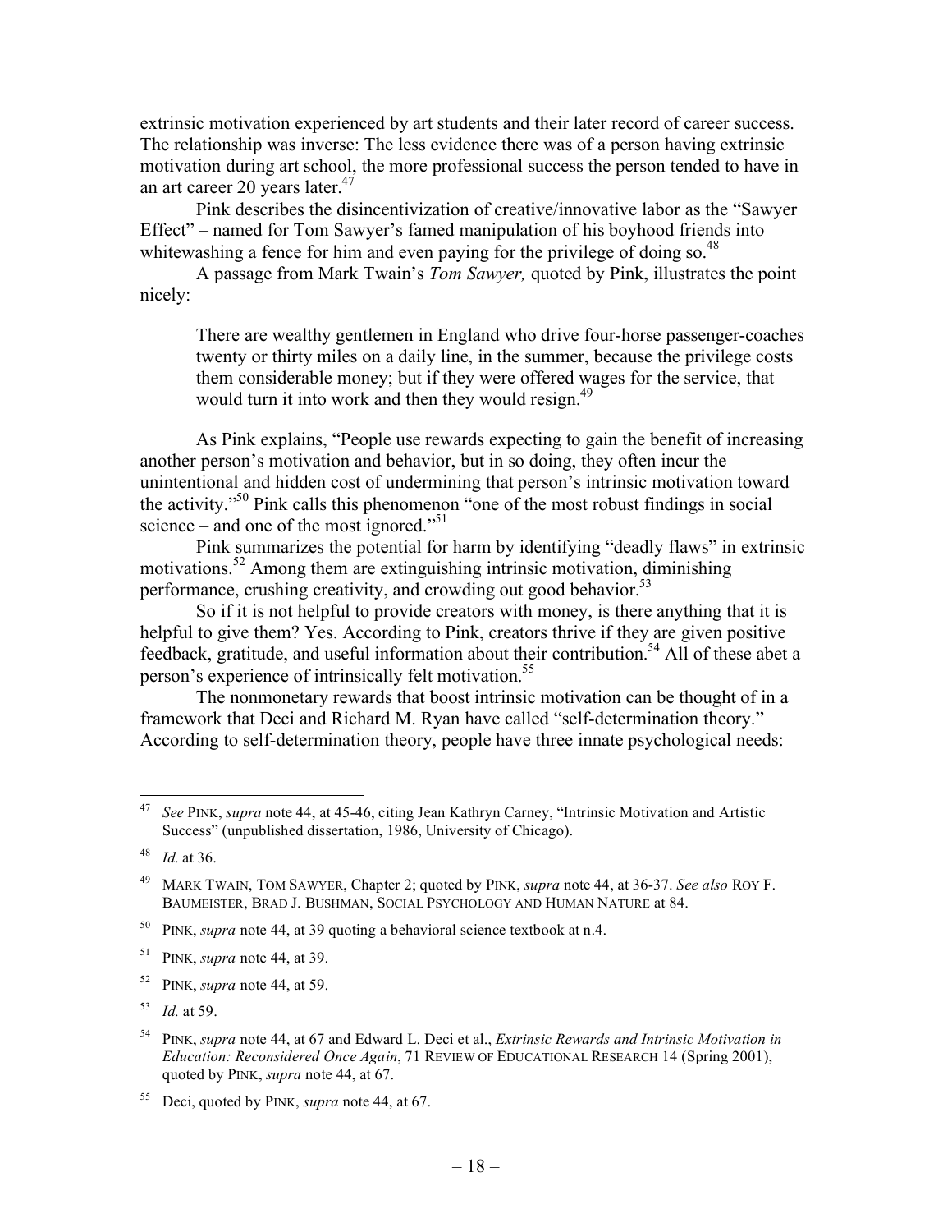extrinsic motivation experienced by art students and their later record of career success. The relationship was inverse: The less evidence there was of a person having extrinsic motivation during art school, the more professional success the person tended to have in an art career 20 years later.<sup>47</sup>

Pink describes the disincentivization of creative/innovative labor as the "Sawyer Effect" – named for Tom Sawyer's famed manipulation of his boyhood friends into whitewashing a fence for him and even paying for the privilege of doing so.<sup>48</sup>

A passage from Mark Twain's *Tom Sawyer,* quoted by Pink, illustrates the point nicely:

There are wealthy gentlemen in England who drive four-horse passenger-coaches twenty or thirty miles on a daily line, in the summer, because the privilege costs them considerable money; but if they were offered wages for the service, that would turn it into work and then they would resign.<sup>49</sup>

As Pink explains, "People use rewards expecting to gain the benefit of increasing another person's motivation and behavior, but in so doing, they often incur the unintentional and hidden cost of undermining that person's intrinsic motivation toward the activity.<sup>50</sup> Pink calls this phenomenon "one of the most robust findings in social science – and one of the most ignored."<sup>51</sup>

Pink summarizes the potential for harm by identifying "deadly flaws" in extrinsic motivations.52 Among them are extinguishing intrinsic motivation, diminishing performance, crushing creativity, and crowding out good behavior.<sup>53</sup>

So if it is not helpful to provide creators with money, is there anything that it is helpful to give them? Yes. According to Pink, creators thrive if they are given positive feedback, gratitude, and useful information about their contribution.<sup>54</sup> All of these abet a person's experience of intrinsically felt motivation.<sup>55</sup>

The nonmonetary rewards that boost intrinsic motivation can be thought of in a framework that Deci and Richard M. Ryan have called "self-determination theory." According to self-determination theory, people have three innate psychological needs:

<sup>50</sup> PINK, *supra* note 44, at 39 quoting a behavioral science textbook at n.4.

 <sup>47</sup> *See* PINK, *supra* note 44, at 45-46, citing Jean Kathryn Carney, "Intrinsic Motivation and Artistic Success" (unpublished dissertation, 1986, University of Chicago).

<sup>48</sup> *Id.* at 36.

<sup>49</sup> MARK TWAIN, TOM SAWYER, Chapter 2; quoted by PINK, *supra* note 44, at 36-37. *See also* ROY F. BAUMEISTER, BRAD J. BUSHMAN, SOCIAL PSYCHOLOGY AND HUMAN NATURE at 84.

<sup>51</sup> PINK, *supra* note 44, at 39.

<sup>52</sup> PINK, *supra* note 44, at 59.

<sup>53</sup> *Id.* at 59.

<sup>54</sup> PINK, *supra* note 44, at 67 and Edward L. Deci et al., *Extrinsic Rewards and Intrinsic Motivation in Education: Reconsidered Once Again*, 71 REVIEW OF EDUCATIONAL RESEARCH 14 (Spring 2001), quoted by PINK, *supra* note 44, at 67.

<sup>55</sup> Deci, quoted by PINK, *supra* note 44, at 67.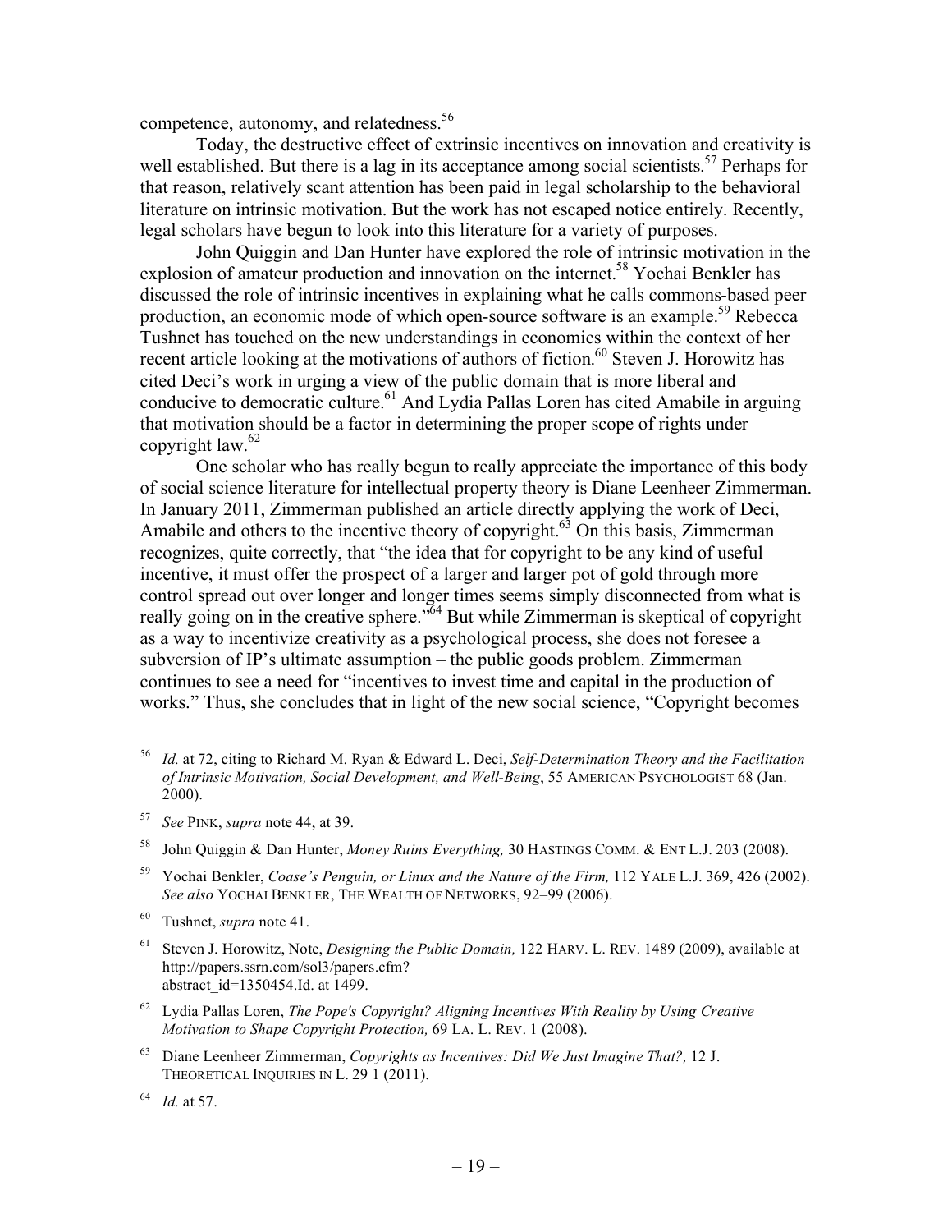competence, autonomy, and relatedness.<sup>56</sup>

Today, the destructive effect of extrinsic incentives on innovation and creativity is well established. But there is a lag in its acceptance among social scientists.<sup>57</sup> Perhaps for that reason, relatively scant attention has been paid in legal scholarship to the behavioral literature on intrinsic motivation. But the work has not escaped notice entirely. Recently, legal scholars have begun to look into this literature for a variety of purposes.

John Quiggin and Dan Hunter have explored the role of intrinsic motivation in the explosion of amateur production and innovation on the internet.<sup>58</sup> Yochai Benkler has discussed the role of intrinsic incentives in explaining what he calls commons-based peer production, an economic mode of which open-source software is an example.<sup>59</sup> Rebecca Tushnet has touched on the new understandings in economics within the context of her recent article looking at the motivations of authors of fiction.<sup>60</sup> Steven J. Horowitz has cited Deci's work in urging a view of the public domain that is more liberal and conducive to democratic culture.<sup>61</sup> And Lydia Pallas Loren has cited Amabile in arguing that motivation should be a factor in determining the proper scope of rights under copyright law. $62$ 

One scholar who has really begun to really appreciate the importance of this body of social science literature for intellectual property theory is Diane Leenheer Zimmerman. In January 2011, Zimmerman published an article directly applying the work of Deci, Amabile and others to the incentive theory of copyright.<sup>63</sup> On this basis, Zimmerman recognizes, quite correctly, that "the idea that for copyright to be any kind of useful incentive, it must offer the prospect of a larger and larger pot of gold through more control spread out over longer and longer times seems simply disconnected from what is really going on in the creative sphere.<sup>764</sup> But while Zimmerman is skeptical of copyright as a way to incentivize creativity as a psychological process, she does not foresee a subversion of IP's ultimate assumption – the public goods problem. Zimmerman continues to see a need for "incentives to invest time and capital in the production of works." Thus, she concludes that in light of the new social science, "Copyright becomes

<sup>63</sup> Diane Leenheer Zimmerman, *Copyrights as Incentives: Did We Just Imagine That?,* 12 J. THEORETICAL INQUIRIES IN L. 29 1 (2011).

 <sup>56</sup> *Id.* at 72, citing to Richard M. Ryan & Edward L. Deci, *Self-Determination Theory and the Facilitation of Intrinsic Motivation, Social Development, and Well-Being*, 55 AMERICAN PSYCHOLOGIST 68 (Jan. 2000).

<sup>57</sup> *See* PINK, *supra* note 44, at 39.

<sup>58</sup> John Quiggin & Dan Hunter, *Money Ruins Everything,* 30 HASTINGS COMM. & ENT L.J. 203 (2008).

<sup>59</sup> Yochai Benkler, *Coase's Penguin, or Linux and the Nature of the Firm,* 112 YALE L.J. 369, 426 (2002). *See also* YOCHAI BENKLER, THE WEALTH OF NETWORKS, 92–99 (2006).

<sup>60</sup> Tushnet, *supra* note 41.

<sup>61</sup> Steven J. Horowitz, Note, *Designing the Public Domain,* 122 HARV. L. REV. 1489 (2009), available at http://papers.ssrn.com/sol3/papers.cfm? abstract\_id=1350454.Id. at 1499.

<sup>62</sup> Lydia Pallas Loren, *The Pope's Copyright? Aligning Incentives With Reality by Using Creative Motivation to Shape Copyright Protection,* 69 LA. L. REV. 1 (2008).

<sup>64</sup> *Id.* at 57.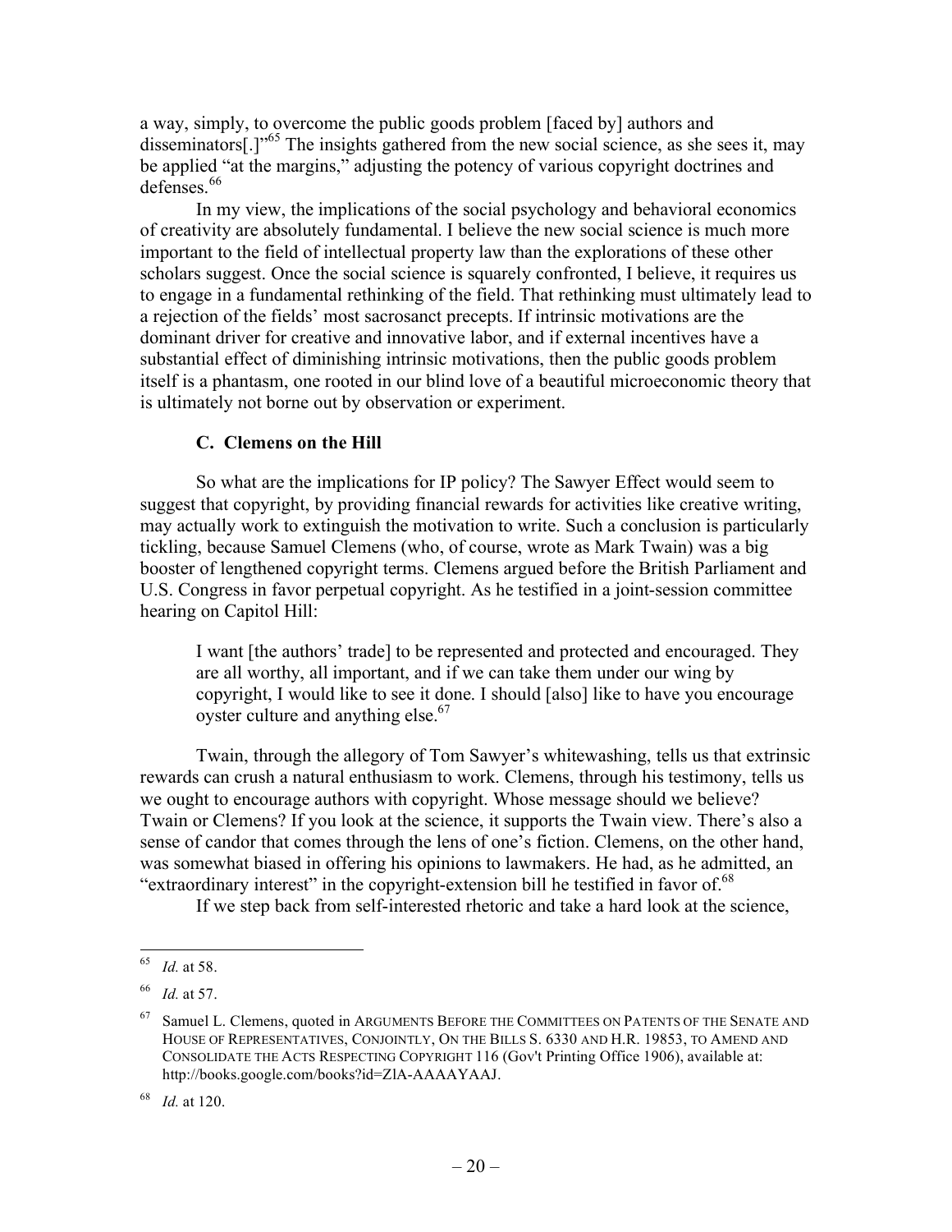a way, simply, to overcome the public goods problem [faced by] authors and disseminators[.]"<sup>65</sup> The insights gathered from the new social science, as she sees it, may be applied "at the margins," adjusting the potency of various copyright doctrines and defenses.<sup>66</sup>

In my view, the implications of the social psychology and behavioral economics of creativity are absolutely fundamental. I believe the new social science is much more important to the field of intellectual property law than the explorations of these other scholars suggest. Once the social science is squarely confronted, I believe, it requires us to engage in a fundamental rethinking of the field. That rethinking must ultimately lead to a rejection of the fields' most sacrosanct precepts. If intrinsic motivations are the dominant driver for creative and innovative labor, and if external incentives have a substantial effect of diminishing intrinsic motivations, then the public goods problem itself is a phantasm, one rooted in our blind love of a beautiful microeconomic theory that is ultimately not borne out by observation or experiment.

## **C. Clemens on the Hill**

So what are the implications for IP policy? The Sawyer Effect would seem to suggest that copyright, by providing financial rewards for activities like creative writing, may actually work to extinguish the motivation to write. Such a conclusion is particularly tickling, because Samuel Clemens (who, of course, wrote as Mark Twain) was a big booster of lengthened copyright terms. Clemens argued before the British Parliament and U.S. Congress in favor perpetual copyright. As he testified in a joint-session committee hearing on Capitol Hill:

I want [the authors' trade] to be represented and protected and encouraged. They are all worthy, all important, and if we can take them under our wing by copyright, I would like to see it done. I should [also] like to have you encourage oyster culture and anything else.<sup>67</sup>

Twain, through the allegory of Tom Sawyer's whitewashing, tells us that extrinsic rewards can crush a natural enthusiasm to work. Clemens, through his testimony, tells us we ought to encourage authors with copyright. Whose message should we believe? Twain or Clemens? If you look at the science, it supports the Twain view. There's also a sense of candor that comes through the lens of one's fiction. Clemens, on the other hand, was somewhat biased in offering his opinions to lawmakers. He had, as he admitted, an "extraordinary interest" in the copyright-extension bill he testified in favor of.<sup>68</sup>

If we step back from self-interested rhetoric and take a hard look at the science,

 <sup>65</sup> *Id.* at 58.

<sup>66</sup> *Id.* at 57.

<sup>&</sup>lt;sup>67</sup> Samuel L. Clemens, quoted in ARGUMENTS BEFORE THE COMMITTEES ON PATENTS OF THE SENATE AND HOUSE OF REPRESENTATIVES, CONJOINTLY, ON THE BILLS S. 6330 AND H.R. 19853, TO AMEND AND CONSOLIDATE THE ACTS RESPECTING COPYRIGHT 116 (Gov't Printing Office 1906), available at: http://books.google.com/books?id=ZlA-AAAAYAAJ.

<sup>68</sup> *Id.* at 120.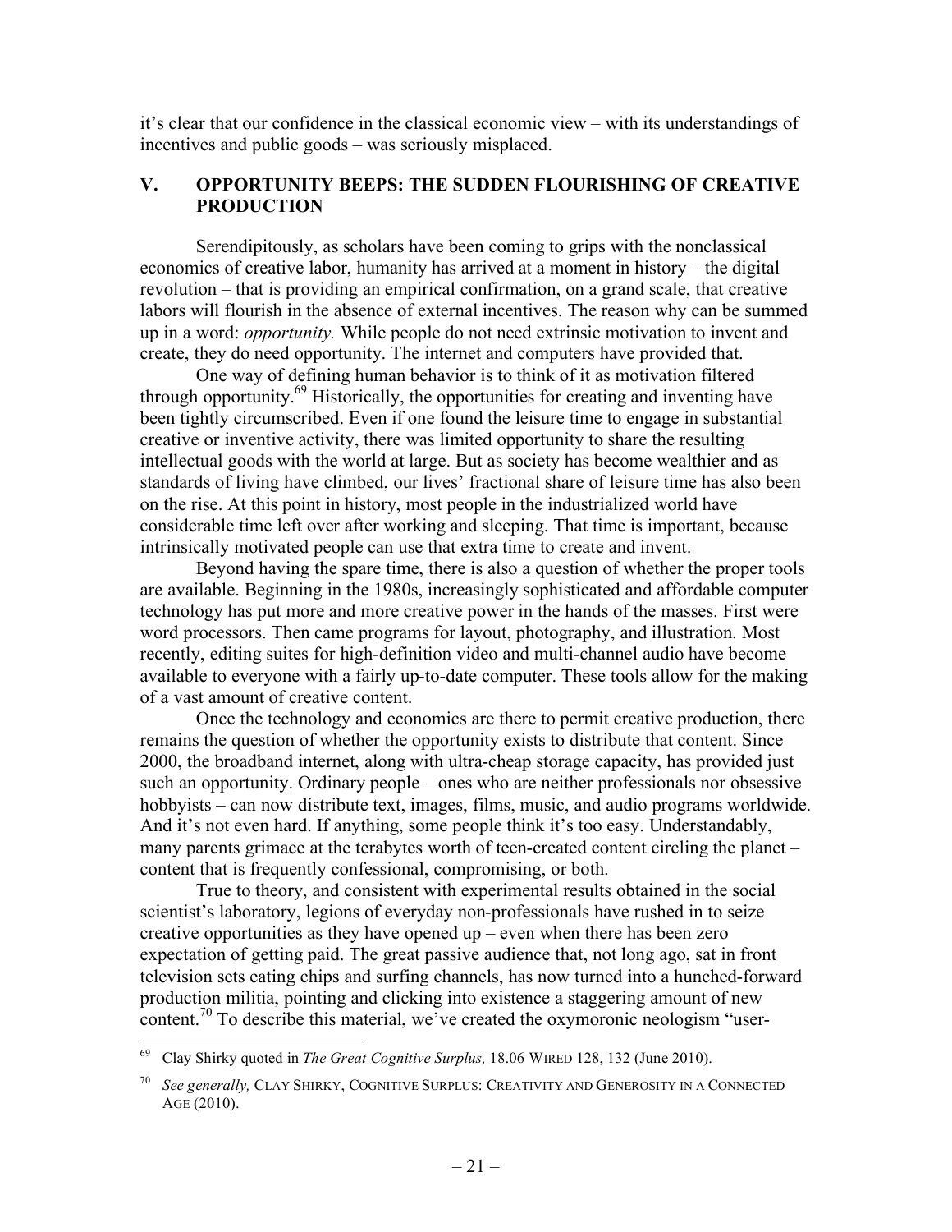it's clear that our confidence in the classical economic view – with its understandings of incentives and public goods – was seriously misplaced.

## **V. OPPORTUNITY BEEPS: THE SUDDEN FLOURISHING OF CREATIVE PRODUCTION**

Serendipitously, as scholars have been coming to grips with the nonclassical economics of creative labor, humanity has arrived at a moment in history – the digital revolution – that is providing an empirical confirmation, on a grand scale, that creative labors will flourish in the absence of external incentives. The reason why can be summed up in a word: *opportunity.* While people do not need extrinsic motivation to invent and create, they do need opportunity. The internet and computers have provided that.

One way of defining human behavior is to think of it as motivation filtered through opportunity.69 Historically, the opportunities for creating and inventing have been tightly circumscribed. Even if one found the leisure time to engage in substantial creative or inventive activity, there was limited opportunity to share the resulting intellectual goods with the world at large. But as society has become wealthier and as standards of living have climbed, our lives' fractional share of leisure time has also been on the rise. At this point in history, most people in the industrialized world have considerable time left over after working and sleeping. That time is important, because intrinsically motivated people can use that extra time to create and invent.

Beyond having the spare time, there is also a question of whether the proper tools are available. Beginning in the 1980s, increasingly sophisticated and affordable computer technology has put more and more creative power in the hands of the masses. First were word processors. Then came programs for layout, photography, and illustration. Most recently, editing suites for high-definition video and multi-channel audio have become available to everyone with a fairly up-to-date computer. These tools allow for the making of a vast amount of creative content.

Once the technology and economics are there to permit creative production, there remains the question of whether the opportunity exists to distribute that content. Since 2000, the broadband internet, along with ultra-cheap storage capacity, has provided just such an opportunity. Ordinary people – ones who are neither professionals nor obsessive hobbyists – can now distribute text, images, films, music, and audio programs worldwide. And it's not even hard. If anything, some people think it's too easy. Understandably, many parents grimace at the terabytes worth of teen-created content circling the planet – content that is frequently confessional, compromising, or both.

True to theory, and consistent with experimental results obtained in the social scientist's laboratory, legions of everyday non-professionals have rushed in to seize creative opportunities as they have opened up – even when there has been zero expectation of getting paid. The great passive audience that, not long ago, sat in front television sets eating chips and surfing channels, has now turned into a hunched-forward production militia, pointing and clicking into existence a staggering amount of new content.70 To describe this material, we've created the oxymoronic neologism "user-

 <sup>69</sup> Clay Shirky quoted in *The Great Cognitive Surplus,* 18.06 WIRED 128, 132 (June 2010).

<sup>70</sup> *See generally,* CLAY SHIRKY, COGNITIVE SURPLUS: CREATIVITY AND GENEROSITY IN A CONNECTED AGE (2010).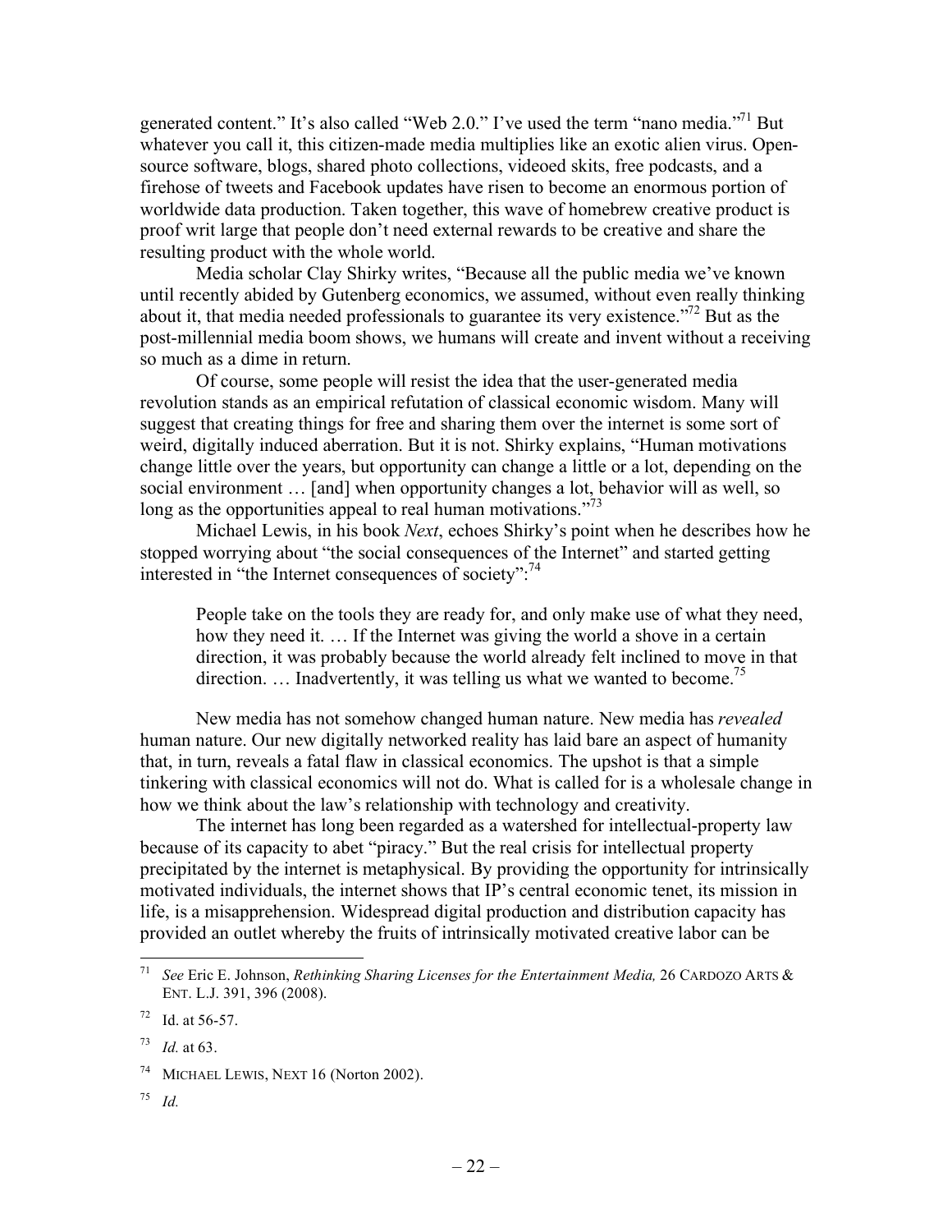generated content." It's also called "Web 2.0." I've used the term "nano media."<sup>71</sup> But whatever you call it, this citizen-made media multiplies like an exotic alien virus. Opensource software, blogs, shared photo collections, videoed skits, free podcasts, and a firehose of tweets and Facebook updates have risen to become an enormous portion of worldwide data production. Taken together, this wave of homebrew creative product is proof writ large that people don't need external rewards to be creative and share the resulting product with the whole world.

Media scholar Clay Shirky writes, "Because all the public media we've known until recently abided by Gutenberg economics, we assumed, without even really thinking about it, that media needed professionals to guarantee its very existence."72 But as the post-millennial media boom shows, we humans will create and invent without a receiving so much as a dime in return.

Of course, some people will resist the idea that the user-generated media revolution stands as an empirical refutation of classical economic wisdom. Many will suggest that creating things for free and sharing them over the internet is some sort of weird, digitally induced aberration. But it is not. Shirky explains, "Human motivations change little over the years, but opportunity can change a little or a lot, depending on the social environment … [and] when opportunity changes a lot, behavior will as well, so long as the opportunities appeal to real human motivations.<sup>73</sup>

Michael Lewis, in his book *Next*, echoes Shirky's point when he describes how he stopped worrying about "the social consequences of the Internet" and started getting interested in "the Internet consequences of society":<sup>74</sup>

People take on the tools they are ready for, and only make use of what they need, how they need it. … If the Internet was giving the world a shove in a certain direction, it was probably because the world already felt inclined to move in that direction.  $\ldots$  Inadvertently, it was telling us what we wanted to become.<sup>75</sup>

New media has not somehow changed human nature. New media has *revealed* human nature. Our new digitally networked reality has laid bare an aspect of humanity that, in turn, reveals a fatal flaw in classical economics. The upshot is that a simple tinkering with classical economics will not do. What is called for is a wholesale change in how we think about the law's relationship with technology and creativity.

The internet has long been regarded as a watershed for intellectual-property law because of its capacity to abet "piracy." But the real crisis for intellectual property precipitated by the internet is metaphysical. By providing the opportunity for intrinsically motivated individuals, the internet shows that IP's central economic tenet, its mission in life, is a misapprehension. Widespread digital production and distribution capacity has provided an outlet whereby the fruits of intrinsically motivated creative labor can be

<sup>75</sup> *Id.*

 <sup>71</sup> *See* Eric E. Johnson, *Rethinking Sharing Licenses for the Entertainment Media,* 26 CARDOZO ARTS & ENT. L.J. 391, 396 (2008).

<sup>72</sup> Id. at 56-57.

*Id.* at 63.

<sup>74</sup> MICHAEL LEWIS, NEXT 16 (Norton 2002).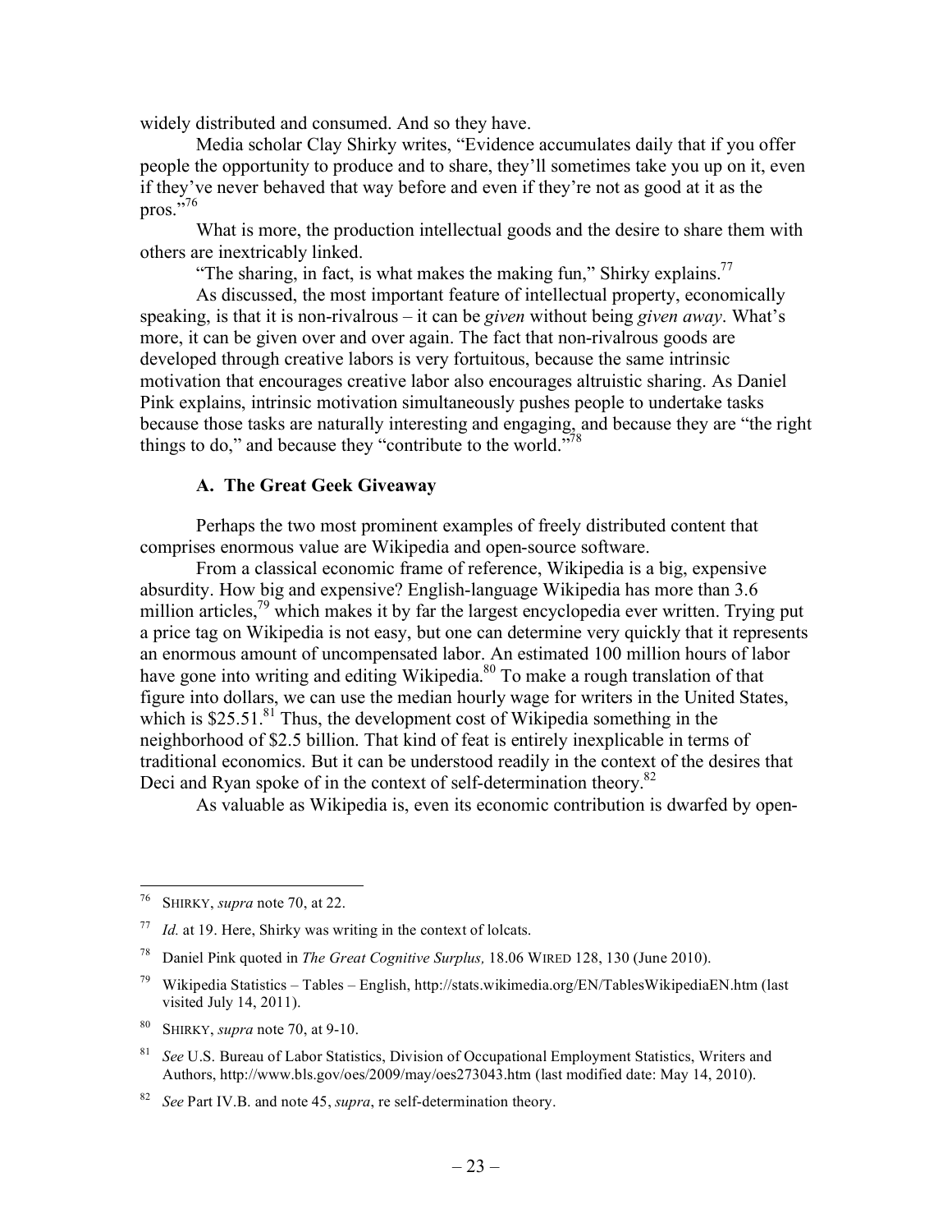widely distributed and consumed. And so they have.

Media scholar Clay Shirky writes, "Evidence accumulates daily that if you offer people the opportunity to produce and to share, they'll sometimes take you up on it, even if they've never behaved that way before and even if they're not as good at it as the pros. $\cdot$ <sup>576</sup>

What is more, the production intellectual goods and the desire to share them with others are inextricably linked.

"The sharing, in fact, is what makes the making fun," Shirky explains.<sup>77</sup>

As discussed, the most important feature of intellectual property, economically speaking, is that it is non-rivalrous – it can be *given* without being *given away*. What's more, it can be given over and over again. The fact that non-rivalrous goods are developed through creative labors is very fortuitous, because the same intrinsic motivation that encourages creative labor also encourages altruistic sharing. As Daniel Pink explains, intrinsic motivation simultaneously pushes people to undertake tasks because those tasks are naturally interesting and engaging, and because they are "the right things to do," and because they "contribute to the world."<sup>78</sup>

#### **A. The Great Geek Giveaway**

Perhaps the two most prominent examples of freely distributed content that comprises enormous value are Wikipedia and open-source software.

From a classical economic frame of reference, Wikipedia is a big, expensive absurdity. How big and expensive? English-language Wikipedia has more than 3.6 million articles,<sup>79</sup> which makes it by far the largest encyclopedia ever written. Trying put a price tag on Wikipedia is not easy, but one can determine very quickly that it represents an enormous amount of uncompensated labor. An estimated 100 million hours of labor have gone into writing and editing Wikipedia.<sup>80</sup> To make a rough translation of that figure into dollars, we can use the median hourly wage for writers in the United States, which is  $$25.51$ .<sup>81</sup> Thus, the development cost of Wikipedia something in the neighborhood of \$2.5 billion. That kind of feat is entirely inexplicable in terms of traditional economics. But it can be understood readily in the context of the desires that Deci and Ryan spoke of in the context of self-determination theory.<sup>82</sup>

As valuable as Wikipedia is, even its economic contribution is dwarfed by open-

- <sup>79</sup> Wikipedia Statistics Tables English, http://stats.wikimedia.org/EN/TablesWikipediaEN.htm (last visited July 14, 2011).
- <sup>80</sup> SHIRKY, *supra* note 70, at 9-10.
- <sup>81</sup> *See* U.S. Bureau of Labor Statistics, Division of Occupational Employment Statistics, Writers and Authors, http://www.bls.gov/oes/2009/may/oes273043.htm (last modified date: May 14, 2010).

 <sup>76</sup> SHIRKY, *supra* note 70, at 22.

*Id.* at 19. Here, Shirky was writing in the context of lolcats.

<sup>78</sup> Daniel Pink quoted in *The Great Cognitive Surplus,* 18.06 WIRED 128, 130 (June 2010).

<sup>82</sup> *See* Part IV.B. and note 45, *supra*, re self-determination theory.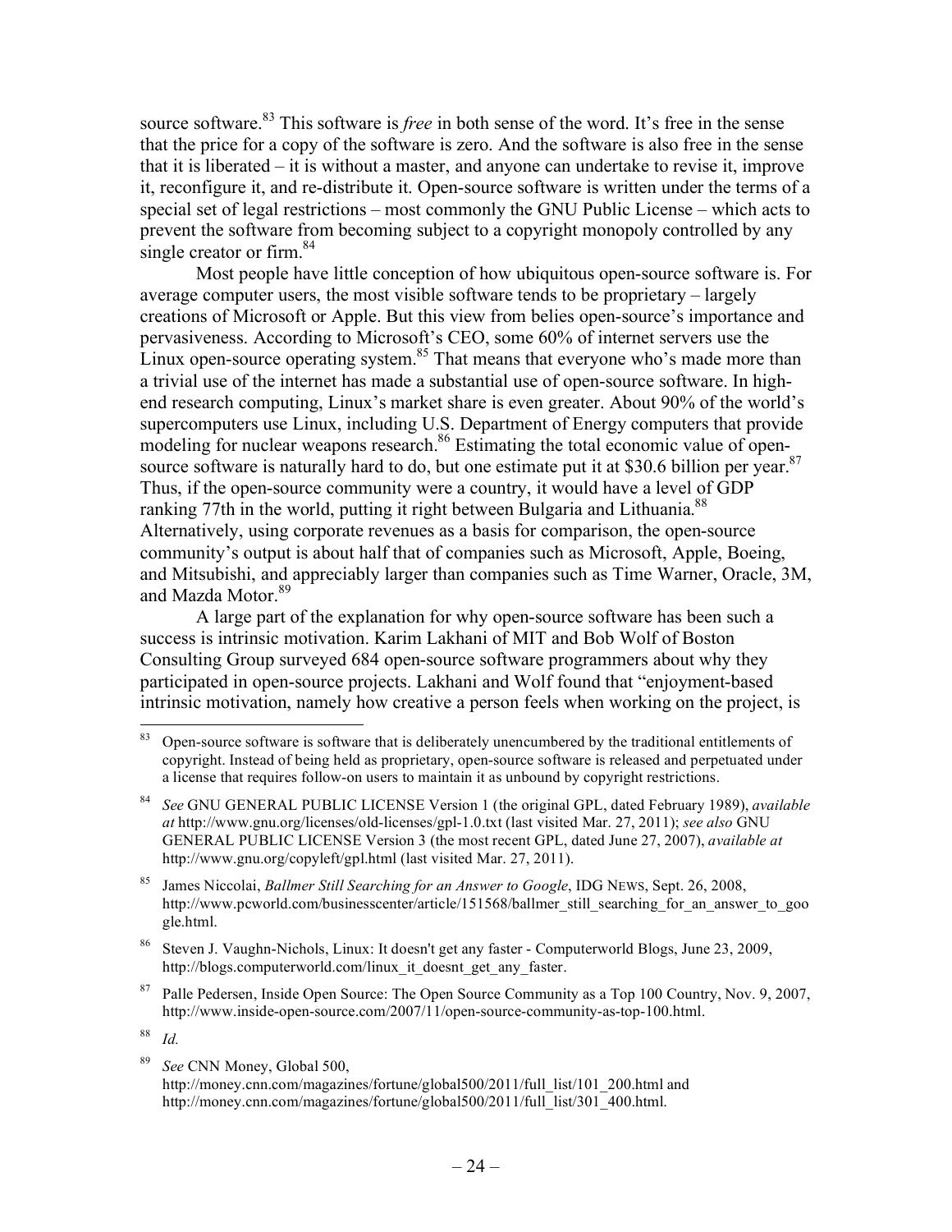source software.<sup>83</sup> This software is *free* in both sense of the word. It's free in the sense that the price for a copy of the software is zero. And the software is also free in the sense that it is liberated – it is without a master, and anyone can undertake to revise it, improve it, reconfigure it, and re-distribute it. Open-source software is written under the terms of a special set of legal restrictions – most commonly the GNU Public License – which acts to prevent the software from becoming subject to a copyright monopoly controlled by any single creator or firm. $84$ 

Most people have little conception of how ubiquitous open-source software is. For average computer users, the most visible software tends to be proprietary – largely creations of Microsoft or Apple. But this view from belies open-source's importance and pervasiveness. According to Microsoft's CEO, some 60% of internet servers use the Linux open-source operating system. $85$  That means that everyone who's made more than a trivial use of the internet has made a substantial use of open-source software. In highend research computing, Linux's market share is even greater. About 90% of the world's supercomputers use Linux, including U.S. Department of Energy computers that provide modeling for nuclear weapons research.<sup>86</sup> Estimating the total economic value of opensource software is naturally hard to do, but one estimate put it at \$30.6 billion per year. $87$ Thus, if the open-source community were a country, it would have a level of GDP ranking 77th in the world, putting it right between Bulgaria and Lithuania.<sup>88</sup> Alternatively, using corporate revenues as a basis for comparison, the open-source community's output is about half that of companies such as Microsoft, Apple, Boeing, and Mitsubishi, and appreciably larger than companies such as Time Warner, Oracle, 3M, and Mazda Motor.<sup>89</sup>

A large part of the explanation for why open-source software has been such a success is intrinsic motivation. Karim Lakhani of MIT and Bob Wolf of Boston Consulting Group surveyed 684 open-source software programmers about why they participated in open-source projects. Lakhani and Wolf found that "enjoyment-based intrinsic motivation, namely how creative a person feels when working on the project, is

<sup>88</sup> *Id.* 

<sup>&</sup>lt;sup>83</sup> Open-source software is software that is deliberately unencumbered by the traditional entitlements of copyright. Instead of being held as proprietary, open-source software is released and perpetuated under a license that requires follow-on users to maintain it as unbound by copyright restrictions.

<sup>84</sup> *See* GNU GENERAL PUBLIC LICENSE Version 1 (the original GPL, dated February 1989), *available at* http://www.gnu.org/licenses/old-licenses/gpl-1.0.txt (last visited Mar. 27, 2011); *see also* GNU GENERAL PUBLIC LICENSE Version 3 (the most recent GPL, dated June 27, 2007), *available at*  http://www.gnu.org/copyleft/gpl.html (last visited Mar. 27, 2011).

<sup>85</sup> James Niccolai, *Ballmer Still Searching for an Answer to Google*, IDG NEWS, Sept. 26, 2008, http://www.pcworld.com/businesscenter/article/151568/ballmer\_still\_searching\_for\_an\_answer\_to\_goo gle.html.

<sup>86</sup> Steven J. Vaughn-Nichols, Linux: It doesn't get any faster - Computerworld Blogs, June 23, 2009, http://blogs.computerworld.com/linux\_it\_doesnt\_get\_any\_faster.

<sup>&</sup>lt;sup>87</sup> Palle Pedersen, Inside Open Source: The Open Source Community as a Top 100 Country, Nov. 9, 2007, http://www.inside-open-source.com/2007/11/open-source-community-as-top-100.html.

<sup>89</sup> *See* CNN Money, Global 500, http://money.cnn.com/magazines/fortune/global500/2011/full\_list/101\_200.html and

http://money.cnn.com/magazines/fortune/global500/2011/full\_list/301\_400.html.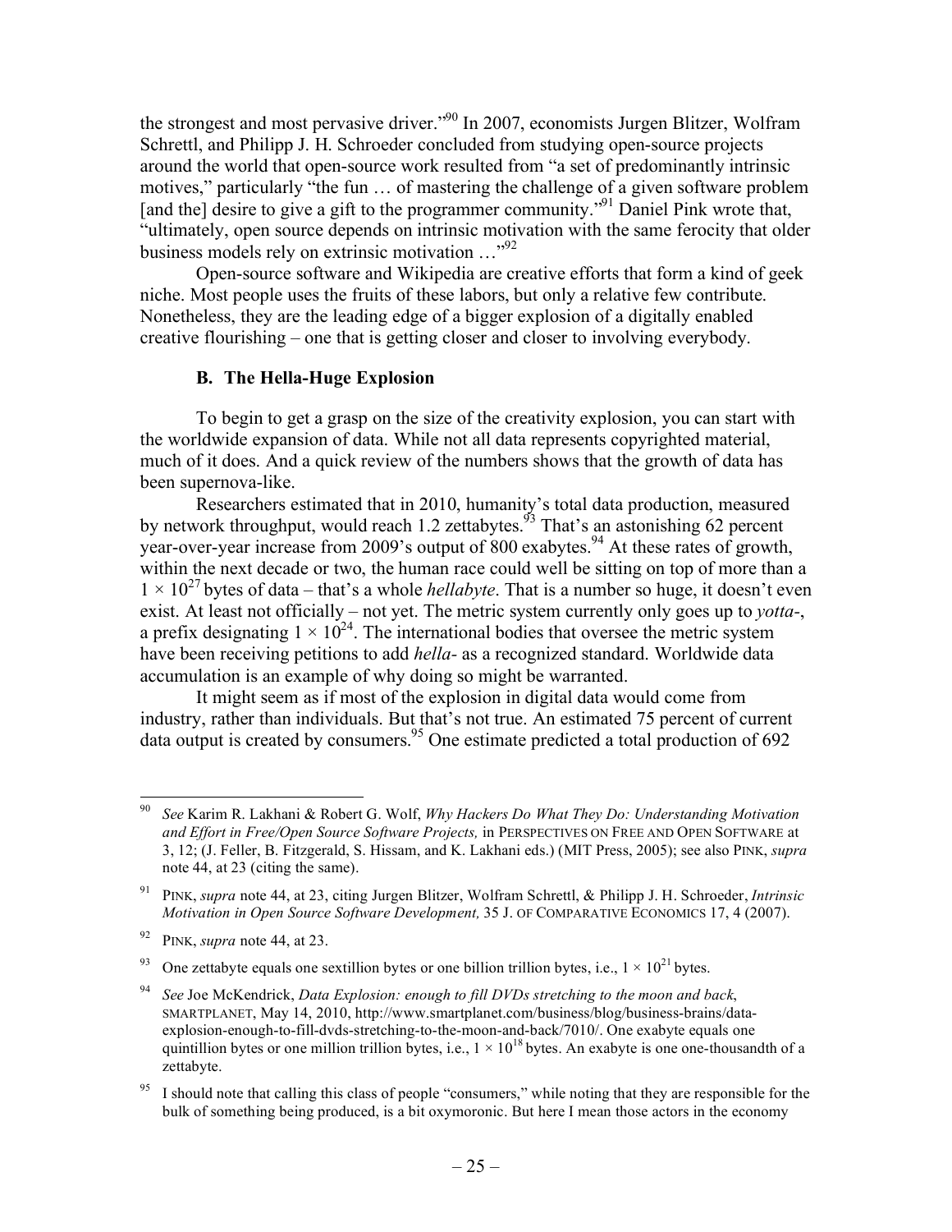the strongest and most pervasive driver."<sup>90</sup> In 2007, economists Jurgen Blitzer, Wolfram Schrettl, and Philipp J. H. Schroeder concluded from studying open-source projects around the world that open-source work resulted from "a set of predominantly intrinsic motives," particularly "the fun … of mastering the challenge of a given software problem [and the] desire to give a gift to the programmer community.<sup> $\mathcal{P}^{91}$ </sup> Daniel Pink wrote that, "ultimately, open source depends on intrinsic motivation with the same ferocity that older business models rely on extrinsic motivation  $\ldots$ <sup>92</sup>

Open-source software and Wikipedia are creative efforts that form a kind of geek niche. Most people uses the fruits of these labors, but only a relative few contribute. Nonetheless, they are the leading edge of a bigger explosion of a digitally enabled creative flourishing – one that is getting closer and closer to involving everybody.

#### **B. The Hella-Huge Explosion**

To begin to get a grasp on the size of the creativity explosion, you can start with the worldwide expansion of data. While not all data represents copyrighted material, much of it does. And a quick review of the numbers shows that the growth of data has been supernova-like.

Researchers estimated that in 2010, humanity's total data production, measured by network throughput, would reach 1.2 zettabytes.<sup> $93$ </sup> That's an astonishing 62 percent year-over-year increase from 2009's output of  $800$  exabytes.<sup>94</sup> At these rates of growth, within the next decade or two, the human race could well be sitting on top of more than a  $1 \times 10^{27}$  bytes of data – that's a whole *hellabyte*. That is a number so huge, it doesn't even exist. At least not officially – not yet. The metric system currently only goes up to *yotta-*, a prefix designating  $1 \times 10^{24}$ . The international bodies that oversee the metric system have been receiving petitions to add *hella-* as a recognized standard. Worldwide data accumulation is an example of why doing so might be warranted.

It might seem as if most of the explosion in digital data would come from industry, rather than individuals. But that's not true. An estimated 75 percent of current data output is created by consumers.<sup>95</sup> One estimate predicted a total production of 692

 <sup>90</sup> *See* Karim R. Lakhani & Robert G. Wolf, *Why Hackers Do What They Do: Understanding Motivation and Effort in Free/Open Source Software Projects,* in PERSPECTIVES ON FREE AND OPEN SOFTWARE at 3, 12; (J. Feller, B. Fitzgerald, S. Hissam, and K. Lakhani eds.) (MIT Press, 2005); see also PINK, *supra*  note 44, at 23 (citing the same).

<sup>91</sup> PINK, *supra* note 44, at 23, citing Jurgen Blitzer, Wolfram Schrettl, & Philipp J. H. Schroeder, *Intrinsic Motivation in Open Source Software Development,* 35 J. OF COMPARATIVE ECONOMICS 17, 4 (2007).

<sup>92</sup> PINK, *supra* note 44, at 23.

<sup>&</sup>lt;sup>93</sup> One zettabyte equals one sextillion bytes or one billion trillion bytes, i.e.,  $1 \times 10^{21}$  bytes.

<sup>94</sup> *See* Joe McKendrick, *Data Explosion: enough to fill DVDs stretching to the moon and back*, SMARTPLANET, May 14, 2010, http://www.smartplanet.com/business/blog/business-brains/dataexplosion-enough-to-fill-dvds-stretching-to-the-moon-and-back/7010/. One exabyte equals one quintillion bytes or one million trillion bytes, i.e.,  $1 \times 10^{18}$  bytes. An exabyte is one one-thousandth of a zettabyte.

<sup>&</sup>lt;sup>95</sup> I should note that calling this class of people "consumers," while noting that they are responsible for the bulk of something being produced, is a bit oxymoronic. But here I mean those actors in the economy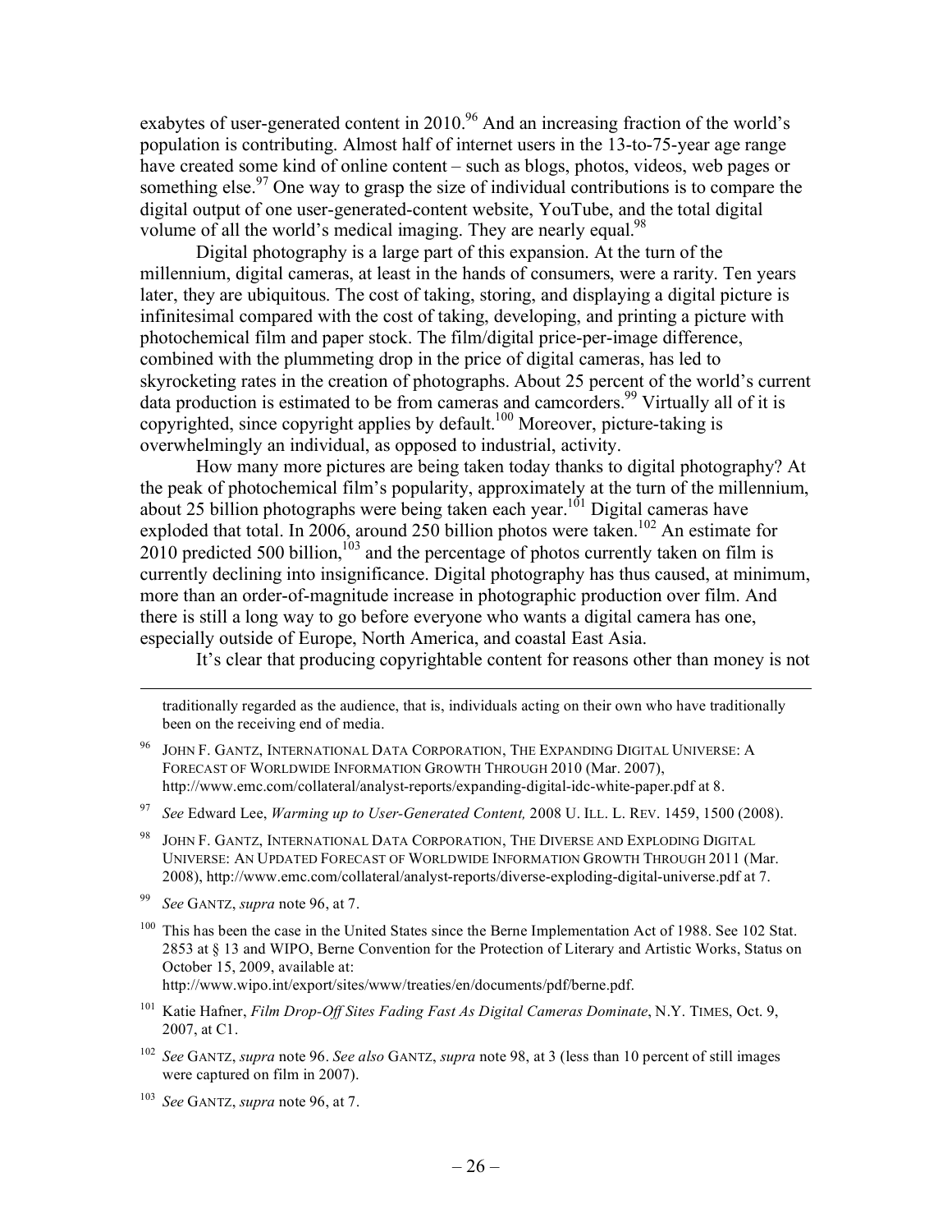exabytes of user-generated content in 2010.<sup>96</sup> And an increasing fraction of the world's population is contributing. Almost half of internet users in the 13-to-75-year age range have created some kind of online content – such as blogs, photos, videos, web pages or something else.<sup>97</sup> One way to grasp the size of individual contributions is to compare the digital output of one user-generated-content website, YouTube, and the total digital volume of all the world's medical imaging. They are nearly equal.<sup>98</sup>

Digital photography is a large part of this expansion. At the turn of the millennium, digital cameras, at least in the hands of consumers, were a rarity. Ten years later, they are ubiquitous. The cost of taking, storing, and displaying a digital picture is infinitesimal compared with the cost of taking, developing, and printing a picture with photochemical film and paper stock. The film/digital price-per-image difference, combined with the plummeting drop in the price of digital cameras, has led to skyrocketing rates in the creation of photographs. About 25 percent of the world's current data production is estimated to be from cameras and camcorders.<sup>99</sup> Virtually all of it is copyrighted, since copyright applies by default.<sup>100</sup> Moreover, picture-taking is overwhelmingly an individual, as opposed to industrial, activity.

How many more pictures are being taken today thanks to digital photography? At the peak of photochemical film's popularity, approximately at the turn of the millennium, about 25 billion photographs were being taken each year.<sup>101</sup> Digital cameras have exploded that total. In 2006, around 250 billion photos were taken.<sup>102</sup> An estimate for  $2010$  predicted 500 billion,<sup>103</sup> and the percentage of photos currently taken on film is currently declining into insignificance. Digital photography has thus caused, at minimum, more than an order-of-magnitude increase in photographic production over film. And there is still a long way to go before everyone who wants a digital camera has one, especially outside of Europe, North America, and coastal East Asia.

It's clear that producing copyrightable content for reasons other than money is not

traditionally regarded as the audience, that is, individuals acting on their own who have traditionally been on the receiving end of media.

- JOHN F. GANTZ, INTERNATIONAL DATA CORPORATION, THE EXPANDING DIGITAL UNIVERSE: A FORECAST OF WORLDWIDE INFORMATION GROWTH THROUGH 2010 (Mar. 2007), http://www.emc.com/collateral/analyst-reports/expanding-digital-idc-white-paper.pdf at 8.
- <sup>97</sup> *See* Edward Lee, *Warming up to User-Generated Content,* 2008 U. ILL. L. REV. 1459, 1500 (2008).
- 98 JOHN F. GANTZ, INTERNATIONAL DATA CORPORATION, THE DIVERSE AND EXPLODING DIGITAL UNIVERSE: AN UPDATED FORECAST OF WORLDWIDE INFORMATION GROWTH THROUGH 2011 (Mar. 2008), http://www.emc.com/collateral/analyst-reports/diverse-exploding-digital-universe.pdf at 7.
- <sup>99</sup> *See* GANTZ, *supra* note 96, at 7.

l

<sup>100</sup> This has been the case in the United States since the Berne Implementation Act of 1988. See 102 Stat. 2853 at § 13 and WIPO, Berne Convention for the Protection of Literary and Artistic Works, Status on October 15, 2009, available at:

http://www.wipo.int/export/sites/www/treaties/en/documents/pdf/berne.pdf.

- <sup>101</sup> Katie Hafner, *Film Drop-Off Sites Fading Fast As Digital Cameras Dominate*, N.Y. TIMES, Oct. 9, 2007, at C1.
- <sup>102</sup> *See* GANTZ, *supra* note 96. *See also* GANTZ, *supra* note 98, at 3 (less than 10 percent of still images were captured on film in 2007).
- <sup>103</sup> *See* GANTZ, *supra* note 96, at 7.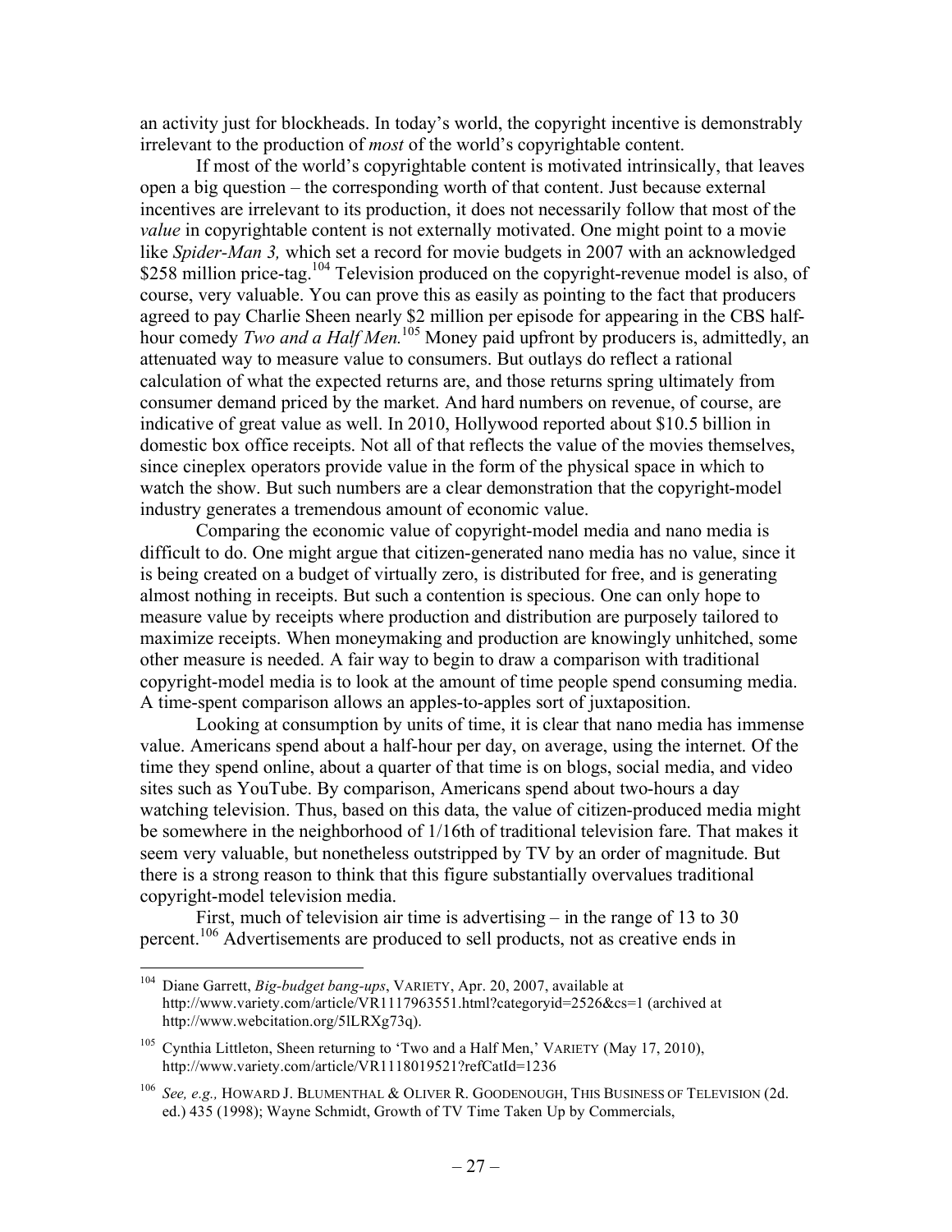an activity just for blockheads. In today's world, the copyright incentive is demonstrably irrelevant to the production of *most* of the world's copyrightable content.

If most of the world's copyrightable content is motivated intrinsically, that leaves open a big question – the corresponding worth of that content. Just because external incentives are irrelevant to its production, it does not necessarily follow that most of the *value* in copyrightable content is not externally motivated. One might point to a movie like *Spider-Man 3,* which set a record for movie budgets in 2007 with an acknowledged \$258 million price-tag.<sup>104</sup> Television produced on the copyright-revenue model is also, of course, very valuable. You can prove this as easily as pointing to the fact that producers agreed to pay Charlie Sheen nearly \$2 million per episode for appearing in the CBS halfhour comedy *Two and a Half Men*.<sup>105</sup> Money paid upfront by producers is, admittedly, an attenuated way to measure value to consumers. But outlays do reflect a rational calculation of what the expected returns are, and those returns spring ultimately from consumer demand priced by the market. And hard numbers on revenue, of course, are indicative of great value as well. In 2010, Hollywood reported about \$10.5 billion in domestic box office receipts. Not all of that reflects the value of the movies themselves, since cineplex operators provide value in the form of the physical space in which to watch the show. But such numbers are a clear demonstration that the copyright-model industry generates a tremendous amount of economic value.

Comparing the economic value of copyright-model media and nano media is difficult to do. One might argue that citizen-generated nano media has no value, since it is being created on a budget of virtually zero, is distributed for free, and is generating almost nothing in receipts. But such a contention is specious. One can only hope to measure value by receipts where production and distribution are purposely tailored to maximize receipts. When moneymaking and production are knowingly unhitched, some other measure is needed. A fair way to begin to draw a comparison with traditional copyright-model media is to look at the amount of time people spend consuming media. A time-spent comparison allows an apples-to-apples sort of juxtaposition.

Looking at consumption by units of time, it is clear that nano media has immense value. Americans spend about a half-hour per day, on average, using the internet. Of the time they spend online, about a quarter of that time is on blogs, social media, and video sites such as YouTube. By comparison, Americans spend about two-hours a day watching television. Thus, based on this data, the value of citizen-produced media might be somewhere in the neighborhood of 1/16th of traditional television fare. That makes it seem very valuable, but nonetheless outstripped by TV by an order of magnitude. But there is a strong reason to think that this figure substantially overvalues traditional copyright-model television media.

First, much of television air time is advertising – in the range of 13 to 30 percent.<sup>106</sup> Advertisements are produced to sell products, not as creative ends in

 <sup>104</sup> Diane Garrett, *Big-budget bang-ups*, VARIETY, Apr. 20, 2007, available at http://www.variety.com/article/VR1117963551.html?categoryid=2526&cs=1 (archived at http://www.webcitation.org/5lLRXg73q).

<sup>&</sup>lt;sup>105</sup> Cynthia Littleton, Sheen returning to 'Two and a Half Men,' VARIETY (May 17, 2010), http://www.variety.com/article/VR1118019521?refCatId=1236

<sup>106</sup> *See, e.g.,* HOWARD J. BLUMENTHAL & OLIVER R. GOODENOUGH, THIS BUSINESS OF TELEVISION (2d. ed.) 435 (1998); Wayne Schmidt, Growth of TV Time Taken Up by Commercials,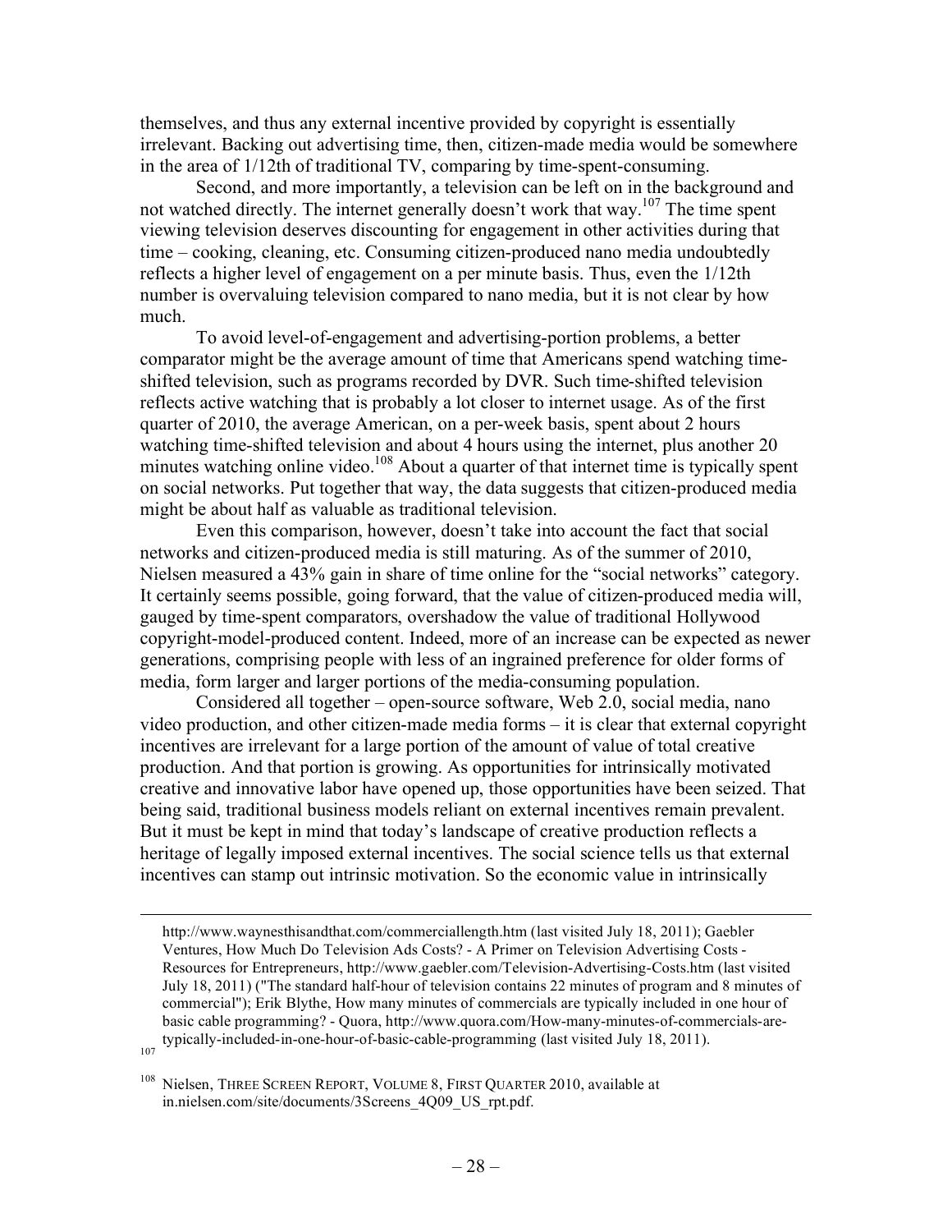themselves, and thus any external incentive provided by copyright is essentially irrelevant. Backing out advertising time, then, citizen-made media would be somewhere in the area of 1/12th of traditional TV, comparing by time-spent-consuming.

Second, and more importantly, a television can be left on in the background and not watched directly. The internet generally doesn't work that way.<sup>107</sup> The time spent viewing television deserves discounting for engagement in other activities during that time – cooking, cleaning, etc. Consuming citizen-produced nano media undoubtedly reflects a higher level of engagement on a per minute basis. Thus, even the 1/12th number is overvaluing television compared to nano media, but it is not clear by how much.

To avoid level-of-engagement and advertising-portion problems, a better comparator might be the average amount of time that Americans spend watching timeshifted television, such as programs recorded by DVR. Such time-shifted television reflects active watching that is probably a lot closer to internet usage. As of the first quarter of 2010, the average American, on a per-week basis, spent about 2 hours watching time-shifted television and about 4 hours using the internet, plus another 20 minutes watching online video.<sup>108</sup> About a quarter of that internet time is typically spent on social networks. Put together that way, the data suggests that citizen-produced media might be about half as valuable as traditional television.

Even this comparison, however, doesn't take into account the fact that social networks and citizen-produced media is still maturing. As of the summer of 2010, Nielsen measured a 43% gain in share of time online for the "social networks" category. It certainly seems possible, going forward, that the value of citizen-produced media will, gauged by time-spent comparators, overshadow the value of traditional Hollywood copyright-model-produced content. Indeed, more of an increase can be expected as newer generations, comprising people with less of an ingrained preference for older forms of media, form larger and larger portions of the media-consuming population.

Considered all together – open-source software, Web 2.0, social media, nano video production, and other citizen-made media forms – it is clear that external copyright incentives are irrelevant for a large portion of the amount of value of total creative production. And that portion is growing. As opportunities for intrinsically motivated creative and innovative labor have opened up, those opportunities have been seized. That being said, traditional business models reliant on external incentives remain prevalent. But it must be kept in mind that today's landscape of creative production reflects a heritage of legally imposed external incentives. The social science tells us that external incentives can stamp out intrinsic motivation. So the economic value in intrinsically

l

http://www.waynesthisandthat.com/commerciallength.htm (last visited July 18, 2011); Gaebler Ventures, How Much Do Television Ads Costs? - A Primer on Television Advertising Costs - Resources for Entrepreneurs, http://www.gaebler.com/Television-Advertising-Costs.htm (last visited July 18, 2011) ("The standard half-hour of television contains 22 minutes of program and 8 minutes of commercial"); Erik Blythe, How many minutes of commercials are typically included in one hour of basic cable programming? - Quora, http://www.quora.com/How-many-minutes-of-commercials-aretypically-included-in-one-hour-of-basic-cable-programming (last visited July 18, 2011).

<sup>&</sup>lt;sup>108</sup> Nielsen, THREE SCREEN REPORT, VOLUME 8, FIRST QUARTER 2010, available at in.nielsen.com/site/documents/3Screens\_4Q09\_US\_rpt.pdf.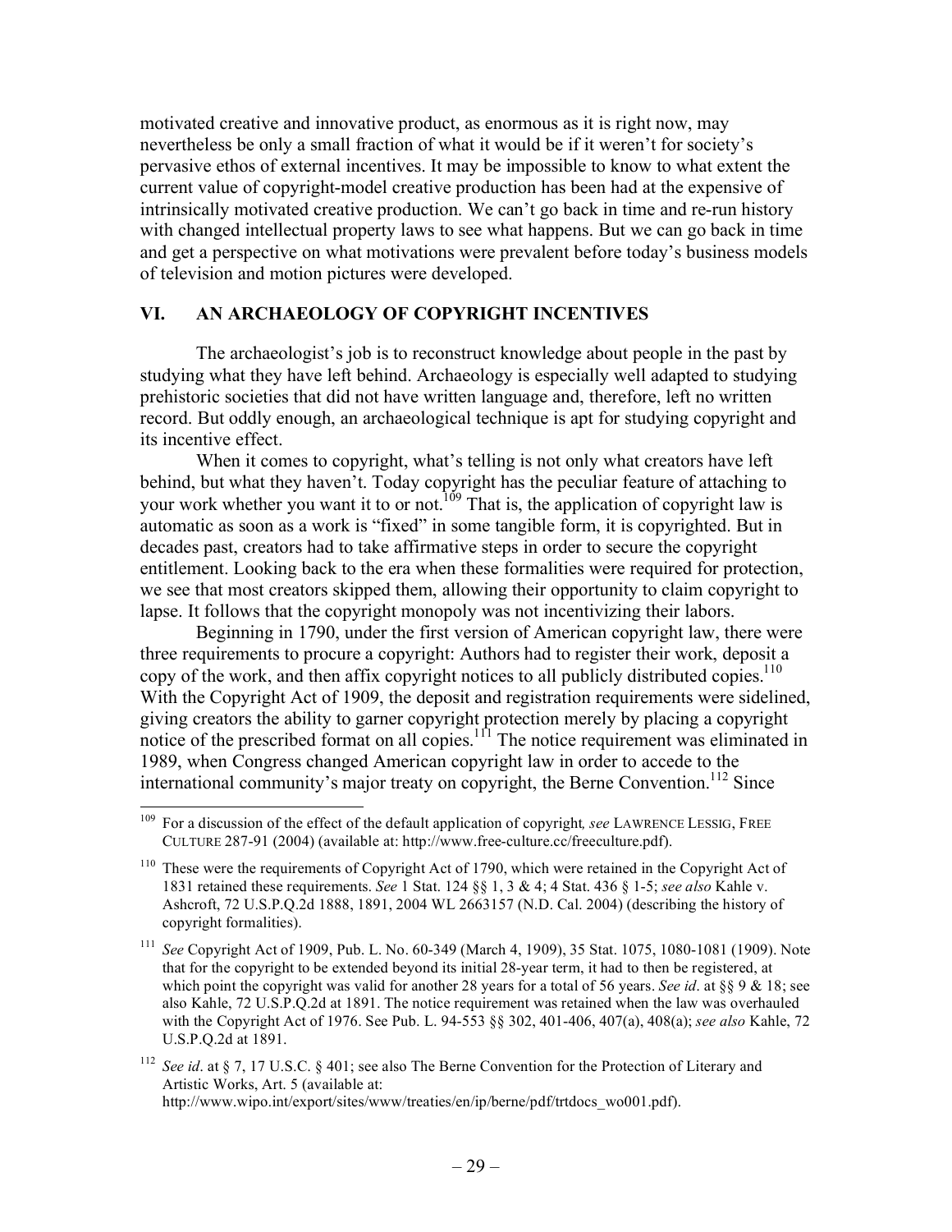motivated creative and innovative product, as enormous as it is right now, may nevertheless be only a small fraction of what it would be if it weren't for society's pervasive ethos of external incentives. It may be impossible to know to what extent the current value of copyright-model creative production has been had at the expensive of intrinsically motivated creative production. We can't go back in time and re-run history with changed intellectual property laws to see what happens. But we can go back in time and get a perspective on what motivations were prevalent before today's business models of television and motion pictures were developed.

## **VI. AN ARCHAEOLOGY OF COPYRIGHT INCENTIVES**

The archaeologist's job is to reconstruct knowledge about people in the past by studying what they have left behind. Archaeology is especially well adapted to studying prehistoric societies that did not have written language and, therefore, left no written record. But oddly enough, an archaeological technique is apt for studying copyright and its incentive effect.

When it comes to copyright, what's telling is not only what creators have left behind, but what they haven't. Today copyright has the peculiar feature of attaching to your work whether you want it to or not.<sup>109</sup> That is, the application of copyright law is automatic as soon as a work is "fixed" in some tangible form, it is copyrighted. But in decades past, creators had to take affirmative steps in order to secure the copyright entitlement. Looking back to the era when these formalities were required for protection, we see that most creators skipped them, allowing their opportunity to claim copyright to lapse. It follows that the copyright monopoly was not incentivizing their labors.

Beginning in 1790, under the first version of American copyright law, there were three requirements to procure a copyright: Authors had to register their work, deposit a copy of the work, and then affix copyright notices to all publicly distributed copies.<sup>110</sup> With the Copyright Act of 1909, the deposit and registration requirements were sidelined, giving creators the ability to garner copyright protection merely by placing a copyright notice of the prescribed format on all copies.<sup>111</sup> The notice requirement was eliminated in 1989, when Congress changed American copyright law in order to accede to the international community's major treaty on copyright, the Berne Convention.<sup>112</sup> Since

 <sup>109</sup> For a discussion of the effect of the default application of copyright*, see* LAWRENCE LESSIG, FREE CULTURE 287-91 (2004) (available at: http://www.free-culture.cc/freeculture.pdf).

<sup>110</sup> These were the requirements of Copyright Act of 1790, which were retained in the Copyright Act of 1831 retained these requirements. *See* 1 Stat. 124 §§ 1, 3 & 4; 4 Stat. 436 § 1-5; *see also* Kahle v. Ashcroft, 72 U.S.P.Q.2d 1888, 1891, 2004 WL 2663157 (N.D. Cal. 2004) (describing the history of copyright formalities).

<sup>111</sup> *See* Copyright Act of 1909, Pub. L. No. 60-349 (March 4, 1909), 35 Stat. 1075, 1080-1081 (1909). Note that for the copyright to be extended beyond its initial 28-year term, it had to then be registered, at which point the copyright was valid for another 28 years for a total of 56 years. *See id*. at §§ 9 & 18; see also Kahle, 72 U.S.P.Q.2d at 1891. The notice requirement was retained when the law was overhauled with the Copyright Act of 1976. See Pub. L. 94-553 §§ 302, 401-406, 407(a), 408(a); *see also* Kahle, 72 U.S.P.Q.2d at 1891.

<sup>112</sup> *See id*. at § 7, 17 U.S.C. § 401; see also The Berne Convention for the Protection of Literary and Artistic Works, Art. 5 (available at: http://www.wipo.int/export/sites/www/treaties/en/ip/berne/pdf/trtdocs\_wo001.pdf).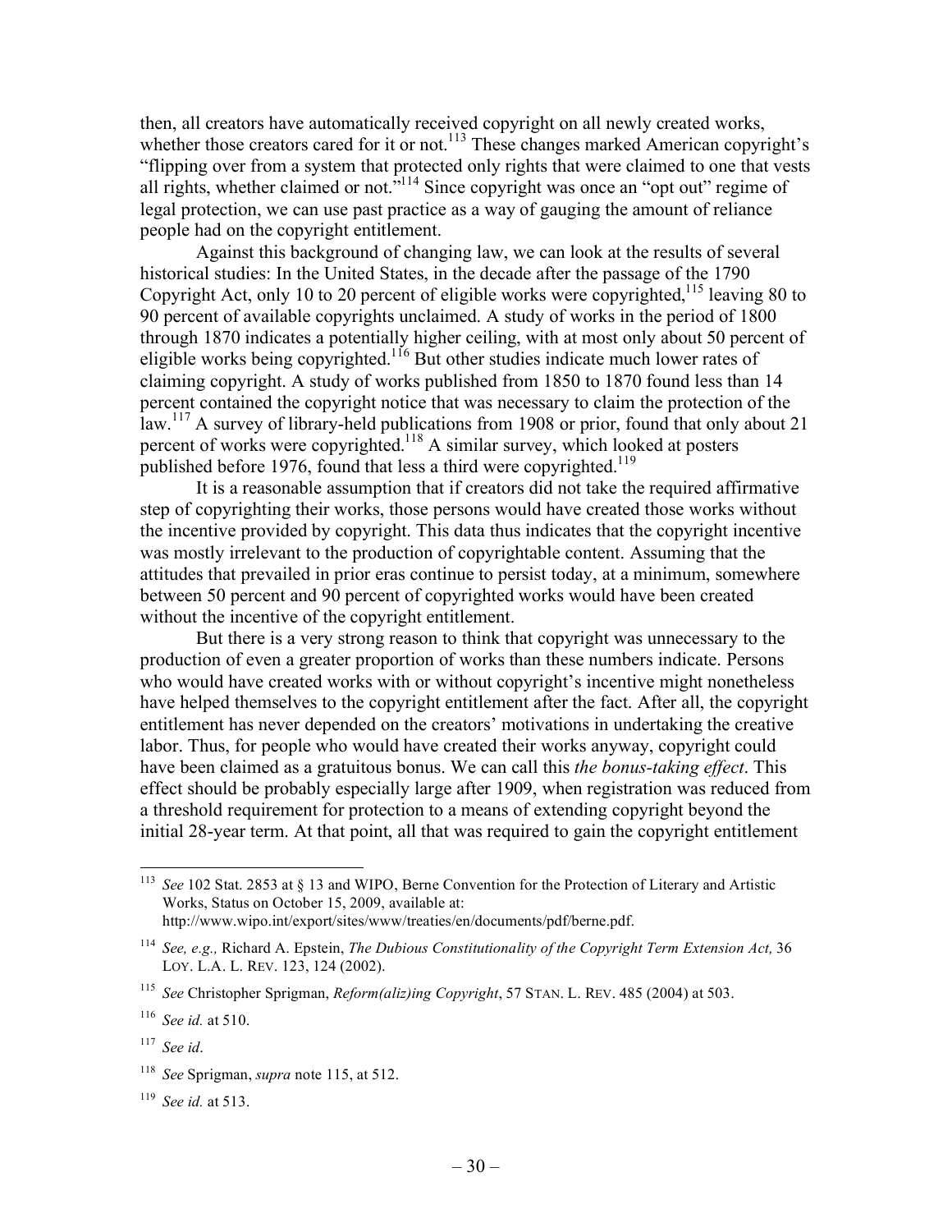then, all creators have automatically received copyright on all newly created works, whether those creators cared for it or not.<sup>113</sup> These changes marked American copyright's "flipping over from a system that protected only rights that were claimed to one that vests all rights, whether claimed or not."<sup>114</sup> Since copyright was once an "opt out" regime of legal protection, we can use past practice as a way of gauging the amount of reliance people had on the copyright entitlement.

Against this background of changing law, we can look at the results of several historical studies: In the United States, in the decade after the passage of the 1790 Copyright Act, only 10 to 20 percent of eligible works were copyrighted,<sup>115</sup> leaving 80 to 90 percent of available copyrights unclaimed. A study of works in the period of 1800 through 1870 indicates a potentially higher ceiling, with at most only about 50 percent of eligible works being copyrighted.116 But other studies indicate much lower rates of claiming copyright. A study of works published from 1850 to 1870 found less than 14 percent contained the copyright notice that was necessary to claim the protection of the law.<sup>117</sup> A survey of library-held publications from 1908 or prior, found that only about 21 percent of works were copyrighted.<sup>118</sup> A similar survey, which looked at posters published before 1976, found that less a third were copyrighted.<sup>119</sup>

It is a reasonable assumption that if creators did not take the required affirmative step of copyrighting their works, those persons would have created those works without the incentive provided by copyright. This data thus indicates that the copyright incentive was mostly irrelevant to the production of copyrightable content. Assuming that the attitudes that prevailed in prior eras continue to persist today, at a minimum, somewhere between 50 percent and 90 percent of copyrighted works would have been created without the incentive of the copyright entitlement.

But there is a very strong reason to think that copyright was unnecessary to the production of even a greater proportion of works than these numbers indicate. Persons who would have created works with or without copyright's incentive might nonetheless have helped themselves to the copyright entitlement after the fact. After all, the copyright entitlement has never depended on the creators' motivations in undertaking the creative labor. Thus, for people who would have created their works anyway, copyright could have been claimed as a gratuitous bonus. We can call this *the bonus-taking effect*. This effect should be probably especially large after 1909, when registration was reduced from a threshold requirement for protection to a means of extending copyright beyond the initial 28-year term. At that point, all that was required to gain the copyright entitlement

 <sup>113</sup> *See* 102 Stat. 2853 at § 13 and WIPO, Berne Convention for the Protection of Literary and Artistic Works, Status on October 15, 2009, available at: http://www.wipo.int/export/sites/www/treaties/en/documents/pdf/berne.pdf.

<sup>114</sup> *See, e.g.,* Richard A. Epstein, *The Dubious Constitutionality of the Copyright Term Extension Act,* 36 LOY. L.A. L. REV. 123, 124 (2002).

<sup>115</sup> *See* Christopher Sprigman, *Reform(aliz)ing Copyright*, 57 STAN. L. REV. 485 (2004) at 503.

<sup>116</sup> *See id.* at 510.

<sup>117</sup> *See id*.

<sup>118</sup> *See* Sprigman, *supra* note 115, at 512.

<sup>119</sup> *See id.* at 513.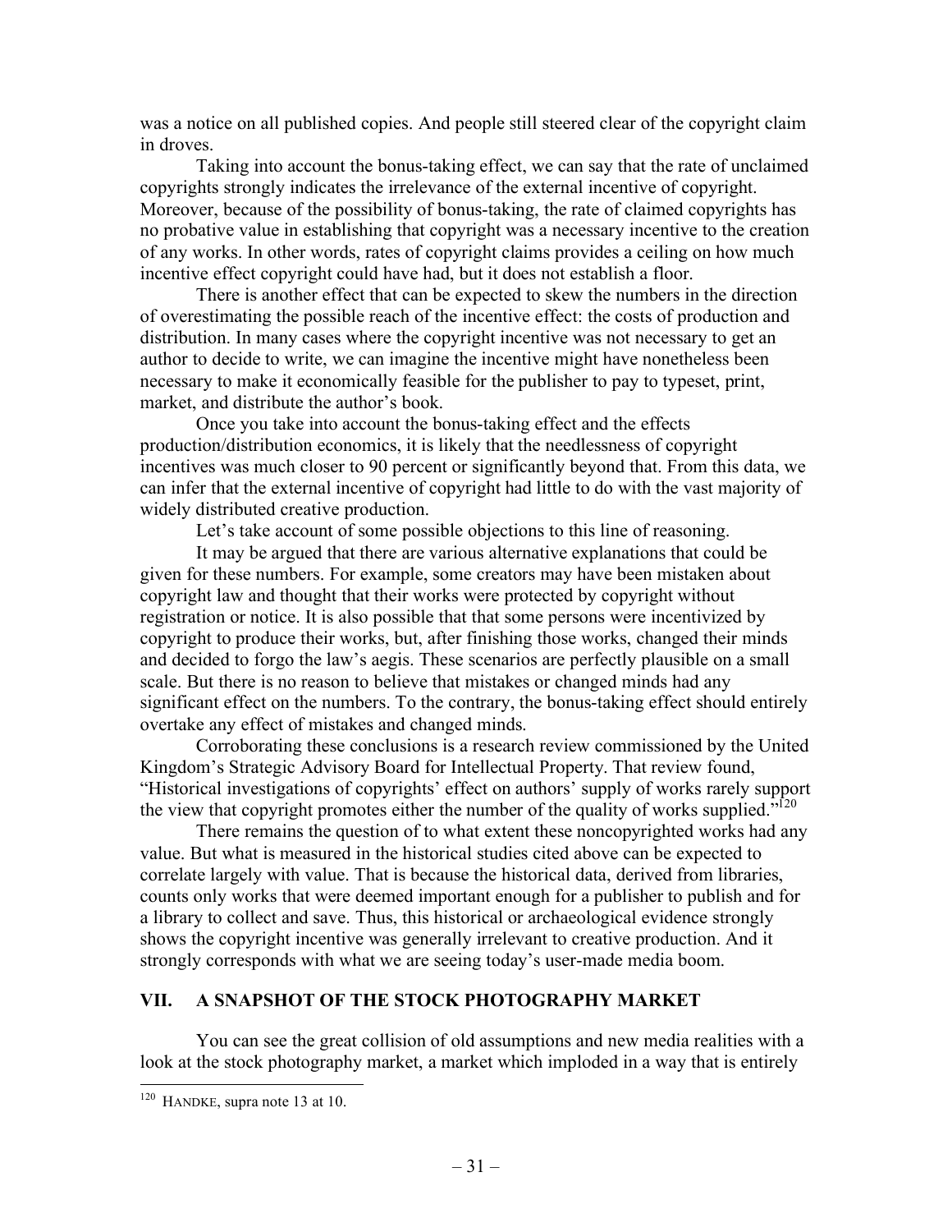was a notice on all published copies. And people still steered clear of the copyright claim in droves.

Taking into account the bonus-taking effect, we can say that the rate of unclaimed copyrights strongly indicates the irrelevance of the external incentive of copyright. Moreover, because of the possibility of bonus-taking, the rate of claimed copyrights has no probative value in establishing that copyright was a necessary incentive to the creation of any works. In other words, rates of copyright claims provides a ceiling on how much incentive effect copyright could have had, but it does not establish a floor.

There is another effect that can be expected to skew the numbers in the direction of overestimating the possible reach of the incentive effect: the costs of production and distribution. In many cases where the copyright incentive was not necessary to get an author to decide to write, we can imagine the incentive might have nonetheless been necessary to make it economically feasible for the publisher to pay to typeset, print, market, and distribute the author's book.

Once you take into account the bonus-taking effect and the effects production/distribution economics, it is likely that the needlessness of copyright incentives was much closer to 90 percent or significantly beyond that. From this data, we can infer that the external incentive of copyright had little to do with the vast majority of widely distributed creative production.

Let's take account of some possible objections to this line of reasoning.

It may be argued that there are various alternative explanations that could be given for these numbers. For example, some creators may have been mistaken about copyright law and thought that their works were protected by copyright without registration or notice. It is also possible that that some persons were incentivized by copyright to produce their works, but, after finishing those works, changed their minds and decided to forgo the law's aegis. These scenarios are perfectly plausible on a small scale. But there is no reason to believe that mistakes or changed minds had any significant effect on the numbers. To the contrary, the bonus-taking effect should entirely overtake any effect of mistakes and changed minds.

Corroborating these conclusions is a research review commissioned by the United Kingdom's Strategic Advisory Board for Intellectual Property. That review found, "Historical investigations of copyrights' effect on authors' supply of works rarely support the view that copyright promotes either the number of the quality of works supplied."<sup>120</sup>

There remains the question of to what extent these noncopyrighted works had any value. But what is measured in the historical studies cited above can be expected to correlate largely with value. That is because the historical data, derived from libraries, counts only works that were deemed important enough for a publisher to publish and for a library to collect and save. Thus, this historical or archaeological evidence strongly shows the copyright incentive was generally irrelevant to creative production. And it strongly corresponds with what we are seeing today's user-made media boom.

## **VII. A SNAPSHOT OF THE STOCK PHOTOGRAPHY MARKET**

You can see the great collision of old assumptions and new media realities with a look at the stock photography market, a market which imploded in a way that is entirely

 <sup>120</sup> HANDKE, supra note 13 at 10.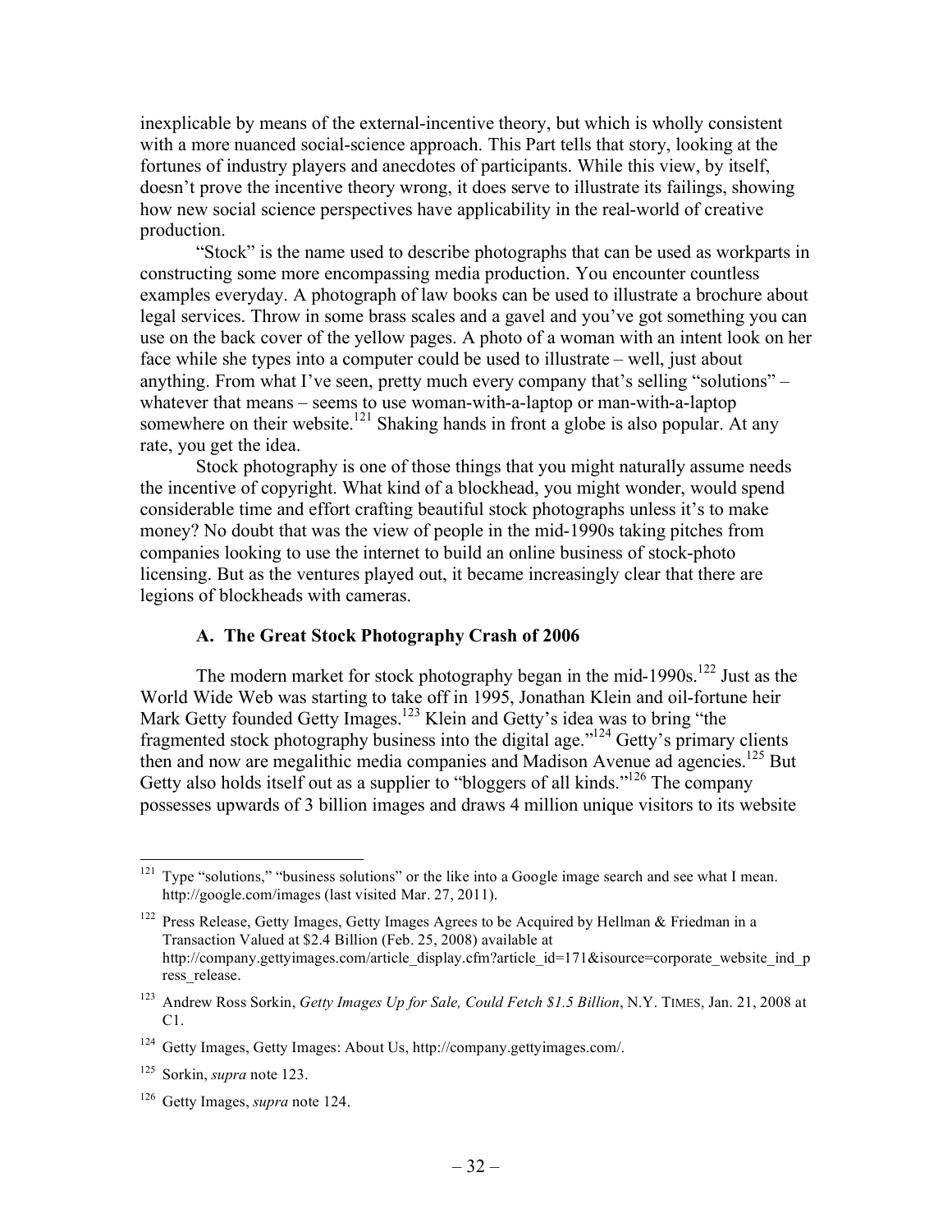inexplicable by means of the external-incentive theory, but which is wholly consistent with a more nuanced social-science approach. This Part tells that story, looking at the fortunes of industry players and anecdotes of participants. While this view, by itself, doesn't prove the incentive theory wrong, it does serve to illustrate its failings, showing how new social science perspectives have applicability in the real-world of creative production.

"Stock" is the name used to describe photographs that can be used as workparts in constructing some more encompassing media production. You encounter countless examples everyday. A photograph of law books can be used to illustrate a brochure about legal services. Throw in some brass scales and a gavel and you've got something you can use on the back cover of the yellow pages. A photo of a woman with an intent look on her face while she types into a computer could be used to illustrate – well, just about anything. From what I've seen, pretty much every company that's selling "solutions" – whatever that means – seems to use woman-with-a-laptop or man-with-a-laptop somewhere on their website.<sup>121</sup> Shaking hands in front a globe is also popular. At any rate, you get the idea.

Stock photography is one of those things that you might naturally assume needs the incentive of copyright. What kind of a blockhead, you might wonder, would spend considerable time and effort crafting beautiful stock photographs unless it's to make money? No doubt that was the view of people in the mid-1990s taking pitches from companies looking to use the internet to build an online business of stock-photo licensing. But as the ventures played out, it became increasingly clear that there are legions of blockheads with cameras.

### **A. The Great Stock Photography Crash of 2006**

The modern market for stock photography began in the mid-1990s.<sup>122</sup> Just as the World Wide Web was starting to take off in 1995, Jonathan Klein and oil-fortune heir Mark Getty founded Getty Images.<sup>123</sup> Klein and Getty's idea was to bring "the fragmented stock photography business into the digital age."124 Getty's primary clients then and now are megalithic media companies and Madison Avenue ad agencies.<sup>125</sup> But Getty also holds itself out as a supplier to "bloggers of all kinds."<sup>126</sup> The company possesses upwards of 3 billion images and draws 4 million unique visitors to its website

<sup>&</sup>lt;sup>121</sup> Type "solutions," "business solutions" or the like into a Google image search and see what I mean. http://google.com/images (last visited Mar. 27, 2011).

<sup>&</sup>lt;sup>122</sup> Press Release, Getty Images, Getty Images Agrees to be Acquired by Hellman & Friedman in a Transaction Valued at \$2.4 Billion (Feb. 25, 2008) available at http://company.gettyimages.com/article\_display.cfm?article\_id=171&isource=corporate\_website\_ind\_p ress\_release.

<sup>123</sup> Andrew Ross Sorkin, *Getty Images Up for Sale, Could Fetch \$1.5 Billion*, N.Y. TIMES, Jan. 21, 2008 at C1.

<sup>124</sup> Getty Images, Getty Images: About Us, http://company.gettyimages.com/.

<sup>125</sup> Sorkin, *supra* note 123.

<sup>126</sup> Getty Images, *supra* note 124.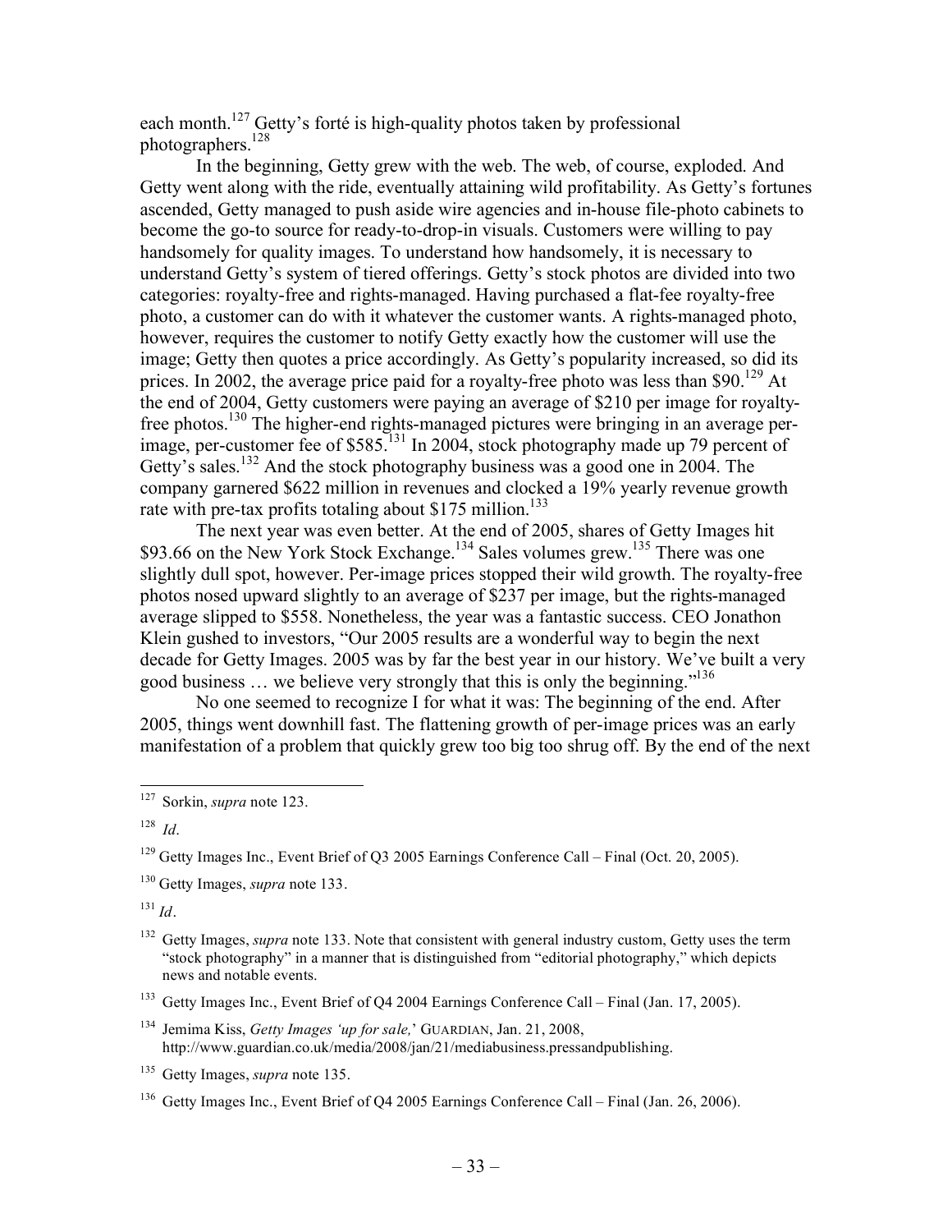each month.127 Getty's forté is high-quality photos taken by professional photographers.<sup>128</sup>

In the beginning, Getty grew with the web. The web, of course, exploded. And Getty went along with the ride, eventually attaining wild profitability. As Getty's fortunes ascended, Getty managed to push aside wire agencies and in-house file-photo cabinets to become the go-to source for ready-to-drop-in visuals. Customers were willing to pay handsomely for quality images. To understand how handsomely, it is necessary to understand Getty's system of tiered offerings. Getty's stock photos are divided into two categories: royalty-free and rights-managed. Having purchased a flat-fee royalty-free photo, a customer can do with it whatever the customer wants. A rights-managed photo, however, requires the customer to notify Getty exactly how the customer will use the image; Getty then quotes a price accordingly. As Getty's popularity increased, so did its prices. In 2002, the average price paid for a royalty-free photo was less than \$90.<sup>129</sup> At the end of 2004, Getty customers were paying an average of \$210 per image for royaltyfree photos.130 The higher-end rights-managed pictures were bringing in an average perimage, per-customer fee of \$585.131 In 2004, stock photography made up 79 percent of Getty's sales.<sup>132</sup> And the stock photography business was a good one in 2004. The company garnered \$622 million in revenues and clocked a 19% yearly revenue growth rate with pre-tax profits totaling about \$175 million.<sup>133</sup>

The next year was even better. At the end of 2005, shares of Getty Images hit \$93.66 on the New York Stock Exchange.<sup>134</sup> Sales volumes grew.<sup>135</sup> There was one slightly dull spot, however. Per-image prices stopped their wild growth. The royalty-free photos nosed upward slightly to an average of \$237 per image, but the rights-managed average slipped to \$558. Nonetheless, the year was a fantastic success. CEO Jonathon Klein gushed to investors, "Our 2005 results are a wonderful way to begin the next decade for Getty Images. 2005 was by far the best year in our history. We've built a very good business  $\ldots$  we believe very strongly that this is only the beginning."<sup>136</sup>

No one seemed to recognize I for what it was: The beginning of the end. After 2005, things went downhill fast. The flattening growth of per-image prices was an early manifestation of a problem that quickly grew too big too shrug off. By the end of the next

 $^{131}$  *Id.* 

 <sup>127</sup> Sorkin, *supra* note 123.

<sup>128</sup> *Id*.

<sup>&</sup>lt;sup>129</sup> Getty Images Inc., Event Brief of Q3 2005 Earnings Conference Call – Final (Oct. 20, 2005).

<sup>130</sup> Getty Images, *supra* note 133.

<sup>&</sup>lt;sup>132</sup> Getty Images, *supra* note 133. Note that consistent with general industry custom, Getty uses the term "stock photography" in a manner that is distinguished from "editorial photography," which depicts news and notable events.

<sup>&</sup>lt;sup>133</sup> Getty Images Inc., Event Brief of Q4 2004 Earnings Conference Call – Final (Jan. 17, 2005).

<sup>134</sup> Jemima Kiss, *Getty Images 'up for sale,*' GUARDIAN, Jan. 21, 2008, http://www.guardian.co.uk/media/2008/jan/21/mediabusiness.pressandpublishing.

<sup>135</sup> Getty Images, *supra* note 135.

<sup>136</sup> Getty Images Inc., Event Brief of Q4 2005 Earnings Conference Call – Final (Jan. 26, 2006).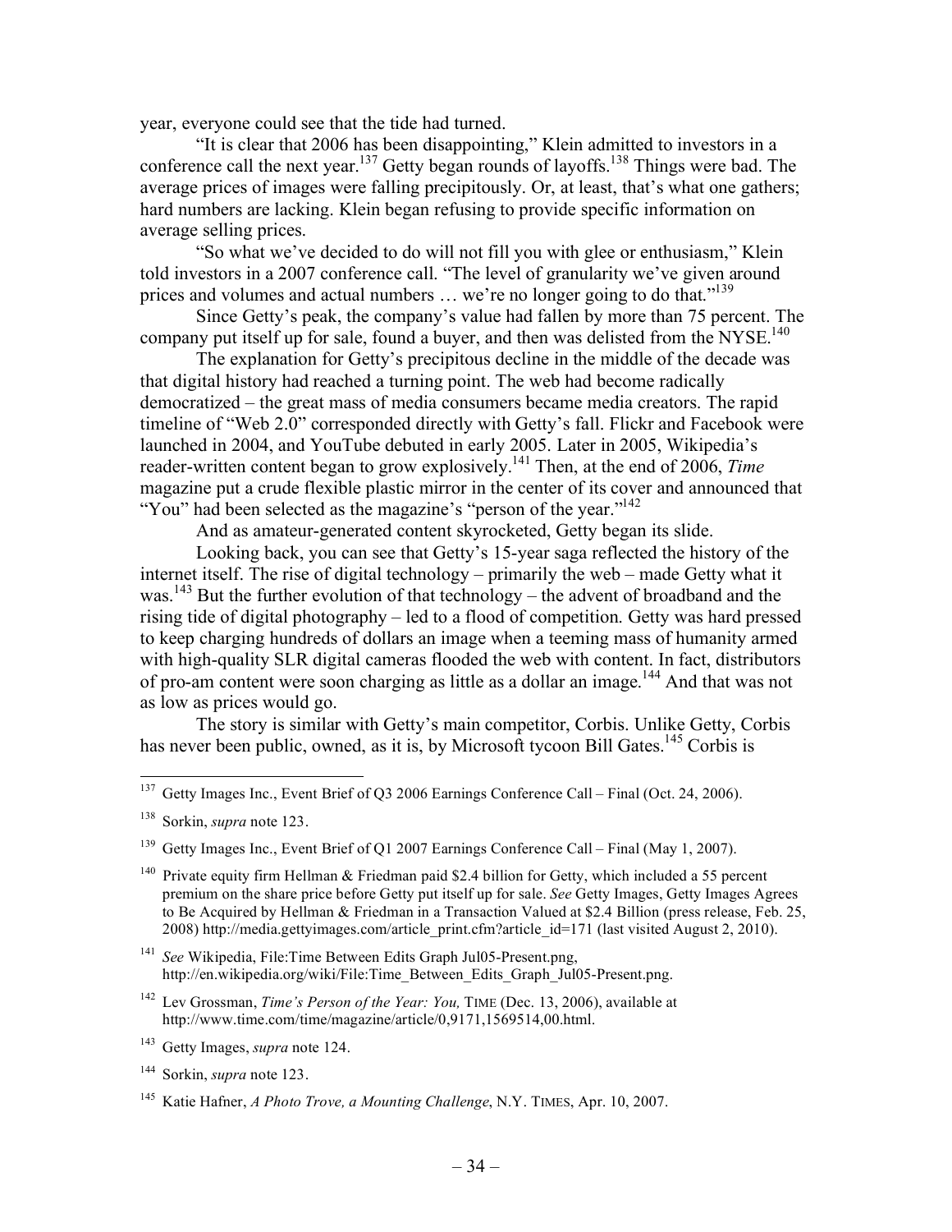year, everyone could see that the tide had turned.

"It is clear that 2006 has been disappointing," Klein admitted to investors in a conference call the next year.<sup>137</sup> Getty began rounds of layoffs.<sup>138</sup> Things were bad. The average prices of images were falling precipitously. Or, at least, that's what one gathers; hard numbers are lacking. Klein began refusing to provide specific information on average selling prices.

"So what we've decided to do will not fill you with glee or enthusiasm," Klein told investors in a 2007 conference call. "The level of granularity we've given around prices and volumes and actual numbers  $\ldots$  we're no longer going to do that."<sup>139</sup>

Since Getty's peak, the company's value had fallen by more than 75 percent. The company put itself up for sale, found a buyer, and then was delisted from the NYSE.<sup>140</sup>

The explanation for Getty's precipitous decline in the middle of the decade was that digital history had reached a turning point. The web had become radically democratized – the great mass of media consumers became media creators. The rapid timeline of "Web 2.0" corresponded directly with Getty's fall. Flickr and Facebook were launched in 2004, and YouTube debuted in early 2005. Later in 2005, Wikipedia's reader-written content began to grow explosively.141 Then, at the end of 2006, *Time* magazine put a crude flexible plastic mirror in the center of its cover and announced that "You" had been selected as the magazine's "person of the year."<sup>142</sup>

And as amateur-generated content skyrocketed, Getty began its slide.

Looking back, you can see that Getty's 15-year saga reflected the history of the internet itself. The rise of digital technology – primarily the web – made Getty what it was.<sup>143</sup> But the further evolution of that technology – the advent of broadband and the rising tide of digital photography – led to a flood of competition. Getty was hard pressed to keep charging hundreds of dollars an image when a teeming mass of humanity armed with high-quality SLR digital cameras flooded the web with content. In fact, distributors of pro-am content were soon charging as little as a dollar an image.<sup>144</sup> And that was not as low as prices would go.

The story is similar with Getty's main competitor, Corbis. Unlike Getty, Corbis has never been public, owned, as it is, by Microsoft tycoon Bill Gates.<sup>145</sup> Corbis is

<sup>140</sup> Private equity firm Hellman & Friedman paid \$2.4 billion for Getty, which included a 55 percent premium on the share price before Getty put itself up for sale. *See* Getty Images, Getty Images Agrees to Be Acquired by Hellman & Friedman in a Transaction Valued at \$2.4 Billion (press release, Feb. 25, 2008) http://media.gettyimages.com/article\_print.cfm?article\_id=171 (last visited August 2, 2010).

<sup>141</sup> *See* Wikipedia, File:Time Between Edits Graph Jul05-Present.png, http://en.wikipedia.org/wiki/File:Time\_Between\_Edits\_Graph\_Jul05-Present.png.

<sup>142</sup> Lev Grossman, *Time's Person of the Year: You,* TIME (Dec. 13, 2006), available at http://www.time.com/time/magazine/article/0,9171,1569514,00.html.

<sup>143</sup> Getty Images, *supra* note 124.

<sup>144</sup> Sorkin, *supra* note 123.

<sup>&</sup>lt;sup>137</sup> Getty Images Inc., Event Brief of Q3 2006 Earnings Conference Call – Final (Oct. 24, 2006).

<sup>138</sup> Sorkin, *supra* note 123.

<sup>&</sup>lt;sup>139</sup> Getty Images Inc., Event Brief of Q1 2007 Earnings Conference Call – Final (May 1, 2007).

<sup>145</sup> Katie Hafner, *A Photo Trove, a Mounting Challenge*, N.Y. TIMES, Apr. 10, 2007.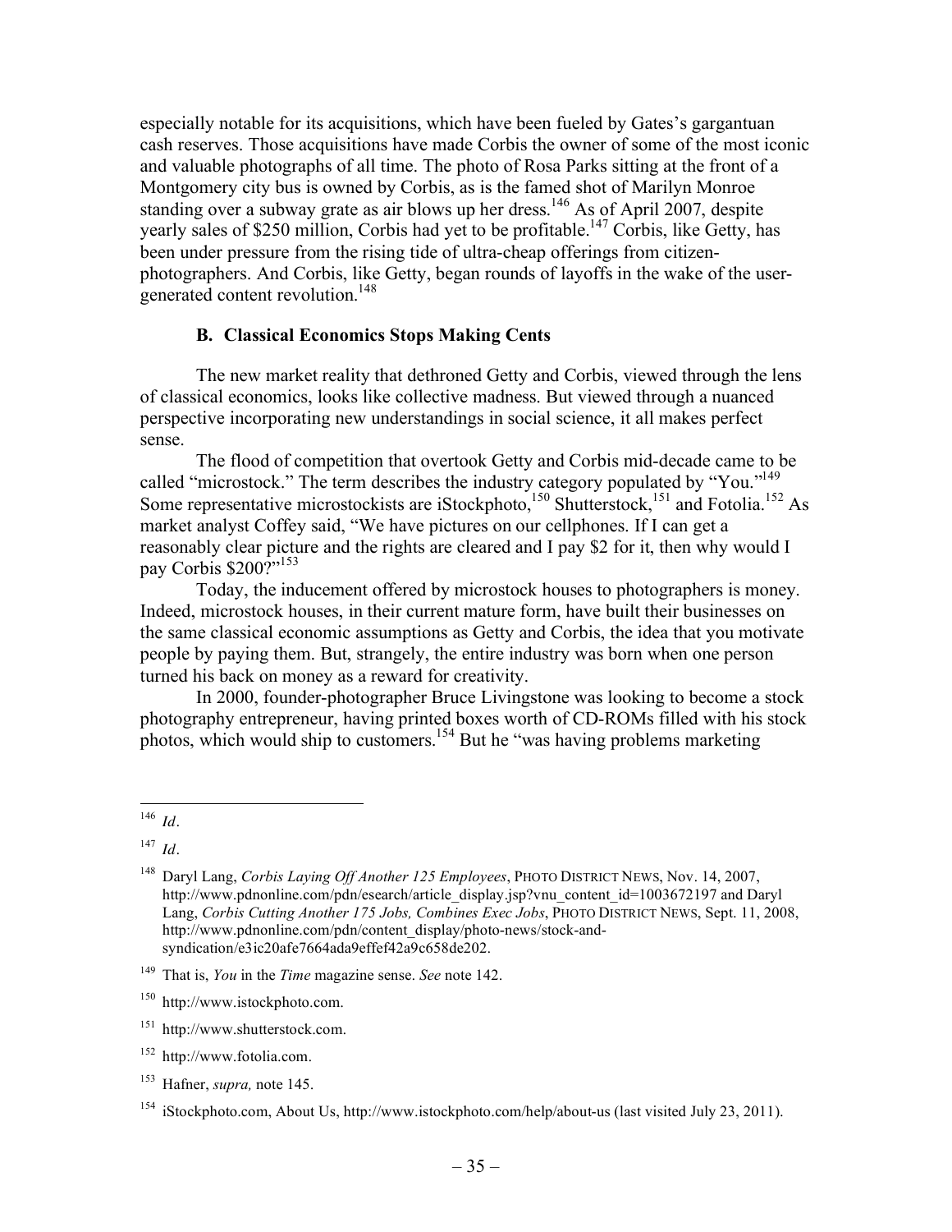especially notable for its acquisitions, which have been fueled by Gates's gargantuan cash reserves. Those acquisitions have made Corbis the owner of some of the most iconic and valuable photographs of all time. The photo of Rosa Parks sitting at the front of a Montgomery city bus is owned by Corbis, as is the famed shot of Marilyn Monroe standing over a subway grate as air blows up her dress.<sup>146</sup> As of April 2007, despite yearly sales of \$250 million, Corbis had yet to be profitable.<sup>147</sup> Corbis, like Getty, has been under pressure from the rising tide of ultra-cheap offerings from citizenphotographers. And Corbis, like Getty, began rounds of layoffs in the wake of the usergenerated content revolution.<sup>148</sup>

## **B. Classical Economics Stops Making Cents**

The new market reality that dethroned Getty and Corbis, viewed through the lens of classical economics, looks like collective madness. But viewed through a nuanced perspective incorporating new understandings in social science, it all makes perfect sense.

The flood of competition that overtook Getty and Corbis mid-decade came to be called "microstock." The term describes the industry category populated by "You."<sup>149</sup> Some representative microstockists are iStockphoto,<sup>150</sup> Shutterstock,<sup>151</sup> and Fotolia.<sup>152</sup> As market analyst Coffey said, "We have pictures on our cellphones. If I can get a reasonably clear picture and the rights are cleared and I pay \$2 for it, then why would I pay Corbis \$200?"<sup>153</sup>

Today, the inducement offered by microstock houses to photographers is money. Indeed, microstock houses, in their current mature form, have built their businesses on the same classical economic assumptions as Getty and Corbis, the idea that you motivate people by paying them. But, strangely, the entire industry was born when one person turned his back on money as a reward for creativity.

In 2000, founder-photographer Bruce Livingstone was looking to become a stock photography entrepreneur, having printed boxes worth of CD-ROMs filled with his stock photos, which would ship to customers.<sup>154</sup> But he "was having problems marketing"

 <sup>146</sup> *Id.*

<sup>147</sup> *Id.*

<sup>148</sup> Daryl Lang, *Corbis Laying Off Another 125 Employees*, PHOTO DISTRICT NEWS, Nov. 14, 2007, http://www.pdnonline.com/pdn/esearch/article\_display.jsp?vnu\_content\_id=1003672197 and Daryl Lang, *Corbis Cutting Another 175 Jobs, Combines Exec Jobs, PHOTO DISTRICT NEWS, Sept. 11, 2008.* http://www.pdnonline.com/pdn/content\_display/photo-news/stock-andsyndication/e3ic20afe7664ada9effef42a9c658de202.

<sup>149</sup> That is, *You* in the *Time* magazine sense. *See* note 142.

<sup>150</sup> http://www.istockphoto.com.

http://www.shutterstock.com.

<sup>152</sup> http://www.fotolia.com.

<sup>153</sup> Hafner, *supra,* note 145.

<sup>154</sup> iStockphoto.com, About Us, http://www.istockphoto.com/help/about-us (last visited July 23, 2011).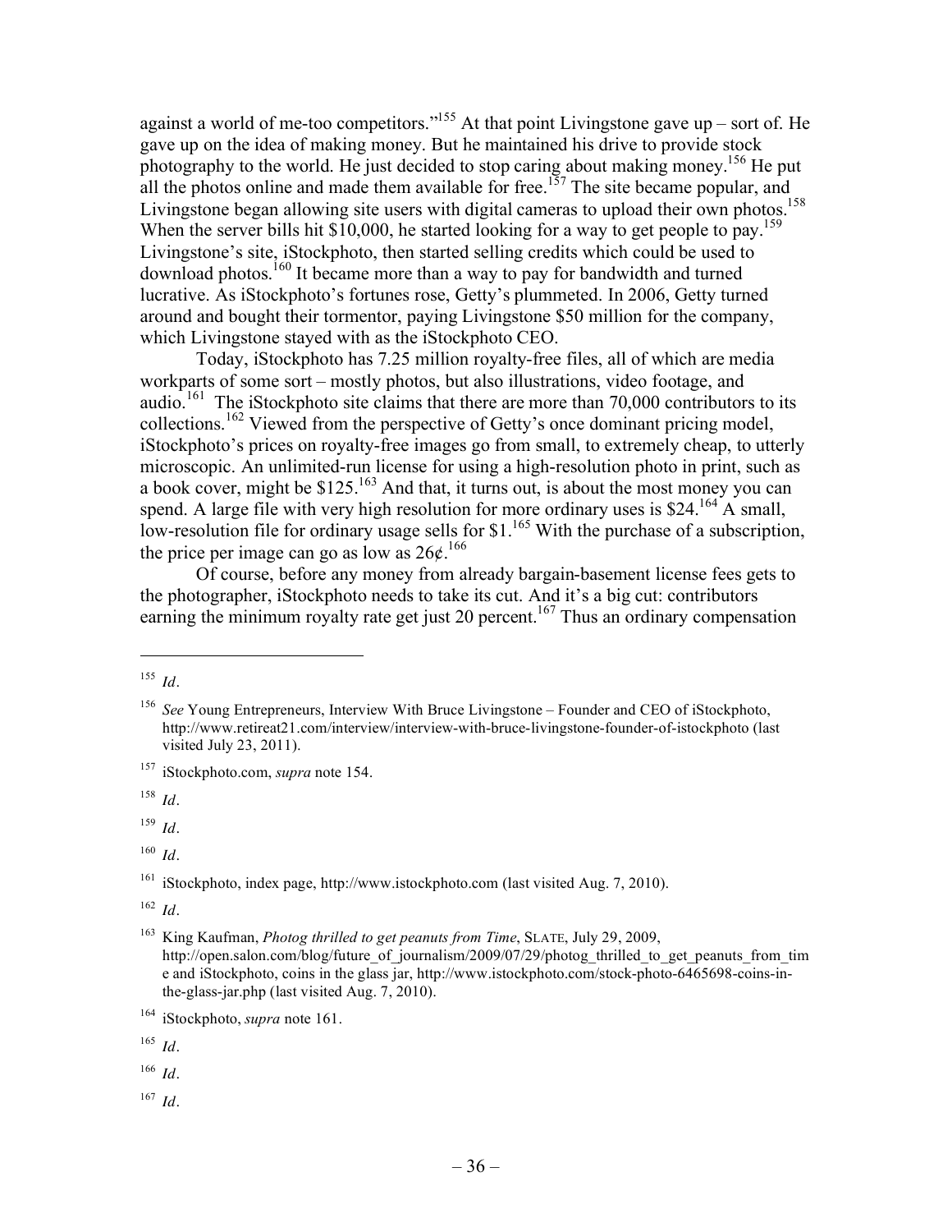against a world of me-too competitors."<sup>155</sup> At that point Livingstone gave up – sort of. He gave up on the idea of making money. But he maintained his drive to provide stock photography to the world. He just decided to stop caring about making money.<sup>156</sup> He put all the photos online and made them available for free.<sup>157</sup> The site became popular, and Livingstone began allowing site users with digital cameras to upload their own photos.<sup>158</sup> When the server bills hit \$10,000, he started looking for a way to get people to pay.<sup>159</sup> Livingstone's site, iStockphoto, then started selling credits which could be used to  $d$ ownload photos.<sup>160</sup> It became more than a way to pay for bandwidth and turned lucrative. As iStockphoto's fortunes rose, Getty's plummeted. In 2006, Getty turned around and bought their tormentor, paying Livingstone \$50 million for the company, which Livingstone stayed with as the iStockphoto CEO.

Today, iStockphoto has 7.25 million royalty-free files, all of which are media workparts of some sort – mostly photos, but also illustrations, video footage, and audio.<sup>161</sup> The iStockphoto site claims that there are more than 70,000 contributors to its collections.162 Viewed from the perspective of Getty's once dominant pricing model, iStockphoto's prices on royalty-free images go from small, to extremely cheap, to utterly microscopic. An unlimited-run license for using a high-resolution photo in print, such as a book cover, might be \$125.<sup>163</sup> And that, it turns out, is about the most money you can spend. A large file with very high resolution for more ordinary uses is \$24.<sup>164</sup> A small, low-resolution file for ordinary usage sells for \$1.<sup>165</sup> With the purchase of a subscription, the price per image can go as low as  $26¢$ .<sup>166</sup>

Of course, before any money from already bargain-basement license fees gets to the photographer, iStockphoto needs to take its cut. And it's a big cut: contributors earning the minimum royalty rate get just 20 percent.<sup>167</sup> Thus an ordinary compensation

l

<sup>158</sup> *Id.*

<sup>159</sup> *Id.*

<sup>165</sup> *Id.*

<sup>166</sup> *Id.*

<sup>167</sup> *Id.*

<sup>155</sup> *Id.*

<sup>156</sup> *See* Young Entrepreneurs, Interview With Bruce Livingstone – Founder and CEO of iStockphoto, http://www.retireat21.com/interview/interview-with-bruce-livingstone-founder-of-istockphoto (last visited July 23, 2011).

<sup>157</sup> iStockphoto.com, *supra* note 154.

<sup>160</sup> *Id.*

<sup>161</sup> iStockphoto, index page, http://www.istockphoto.com (last visited Aug. 7, 2010).

<sup>162</sup> *Id.*

<sup>163</sup> King Kaufman, *Photog thrilled to get peanuts from Time*, SLATE, July 29, 2009, http://open.salon.com/blog/future\_of\_journalism/2009/07/29/photog\_thrilled\_to\_get\_peanuts\_from\_tim e and iStockphoto, coins in the glass jar, http://www.istockphoto.com/stock-photo-6465698-coins-inthe-glass-jar.php (last visited Aug. 7, 2010).

<sup>164</sup> iStockphoto, *supra* note 161.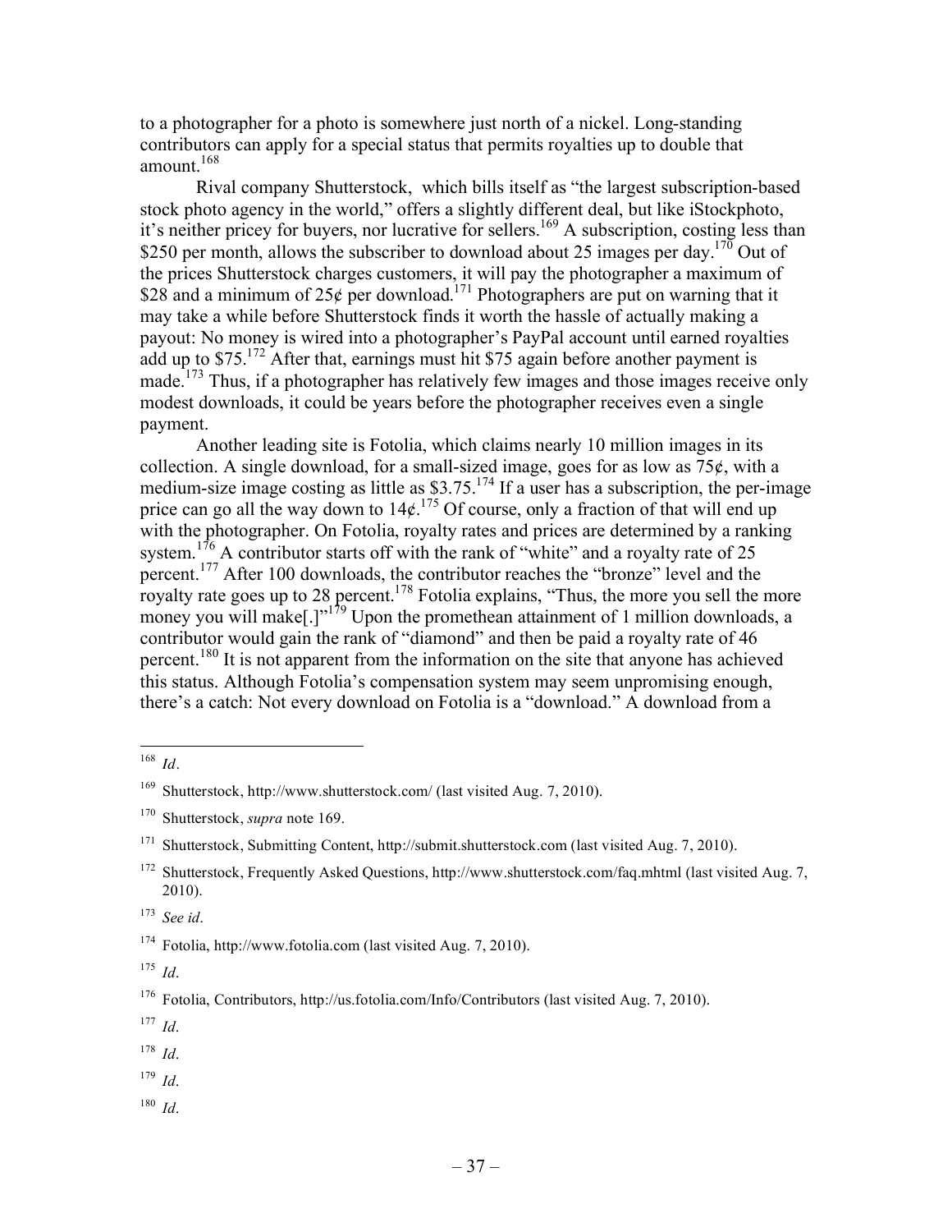to a photographer for a photo is somewhere just north of a nickel. Long-standing contributors can apply for a special status that permits royalties up to double that amount.168

Rival company Shutterstock, which bills itself as "the largest subscription-based stock photo agency in the world," offers a slightly different deal, but like iStockphoto, it's neither pricey for buyers, nor lucrative for sellers.<sup>169</sup> A subscription, costing less than \$250 per month, allows the subscriber to download about 25 images per day.<sup>170</sup> Out of the prices Shutterstock charges customers, it will pay the photographer a maximum of \$28 and a minimum of  $25¢$  per download.<sup>171</sup> Photographers are put on warning that it may take a while before Shutterstock finds it worth the hassle of actually making a payout: No money is wired into a photographer's PayPal account until earned royalties add up to  $$75$ .<sup>172</sup> After that, earnings must hit \$75 again before another payment is made.<sup>173</sup> Thus, if a photographer has relatively few images and those images receive only modest downloads, it could be years before the photographer receives even a single payment.

Another leading site is Fotolia, which claims nearly 10 million images in its collection. A single download, for a small-sized image, goes for as low as  $75¢$ , with a medium-size image costing as little as  $$3.75$ .<sup>174</sup> If a user has a subscription, the per-image price can go all the way down to  $14\ell^{175}$  Of course, only a fraction of that will end up with the photographer. On Fotolia, royalty rates and prices are determined by a ranking system.<sup>176</sup> A contributor starts off with the rank of "white" and a royalty rate of 25 percent.177 After 100 downloads, the contributor reaches the "bronze" level and the royalty rate goes up to 28 percent.<sup>178</sup> Fotolia explains, "Thus, the more you sell the more money you will make<sup>[1]"179</sup> Upon the promethean attainment of 1 million downloads, a contributor would gain the rank of "diamond" and then be paid a royalty rate of 46 percent.<sup>180</sup> It is not apparent from the information on the site that anyone has achieved this status. Although Fotolia's compensation system may seem unpromising enough, there's a catch: Not every download on Fotolia is a "download." A download from a

<sup>177</sup> *Id*.

- <sup>179</sup> *Id*.
- <sup>180</sup> *Id*.

 <sup>168</sup> *Id.*

<sup>169</sup> Shutterstock, http://www.shutterstock.com/ (last visited Aug. 7, 2010).

<sup>170</sup> Shutterstock, *supra* note 169.

<sup>171</sup> Shutterstock, Submitting Content, http://submit.shutterstock.com (last visited Aug. 7, 2010).

<sup>&</sup>lt;sup>172</sup> Shutterstock, Frequently Asked Questions, http://www.shutterstock.com/faq.mhtml (last visited Aug. 7, 2010).

<sup>173</sup> *See id*.

<sup>174</sup> Fotolia, http://www.fotolia.com (last visited Aug. 7, 2010).

<sup>175</sup> *Id*.

<sup>&</sup>lt;sup>176</sup> Fotolia, Contributors, http://us.fotolia.com/Info/Contributors (last visited Aug. 7, 2010).

<sup>178</sup> *Id*.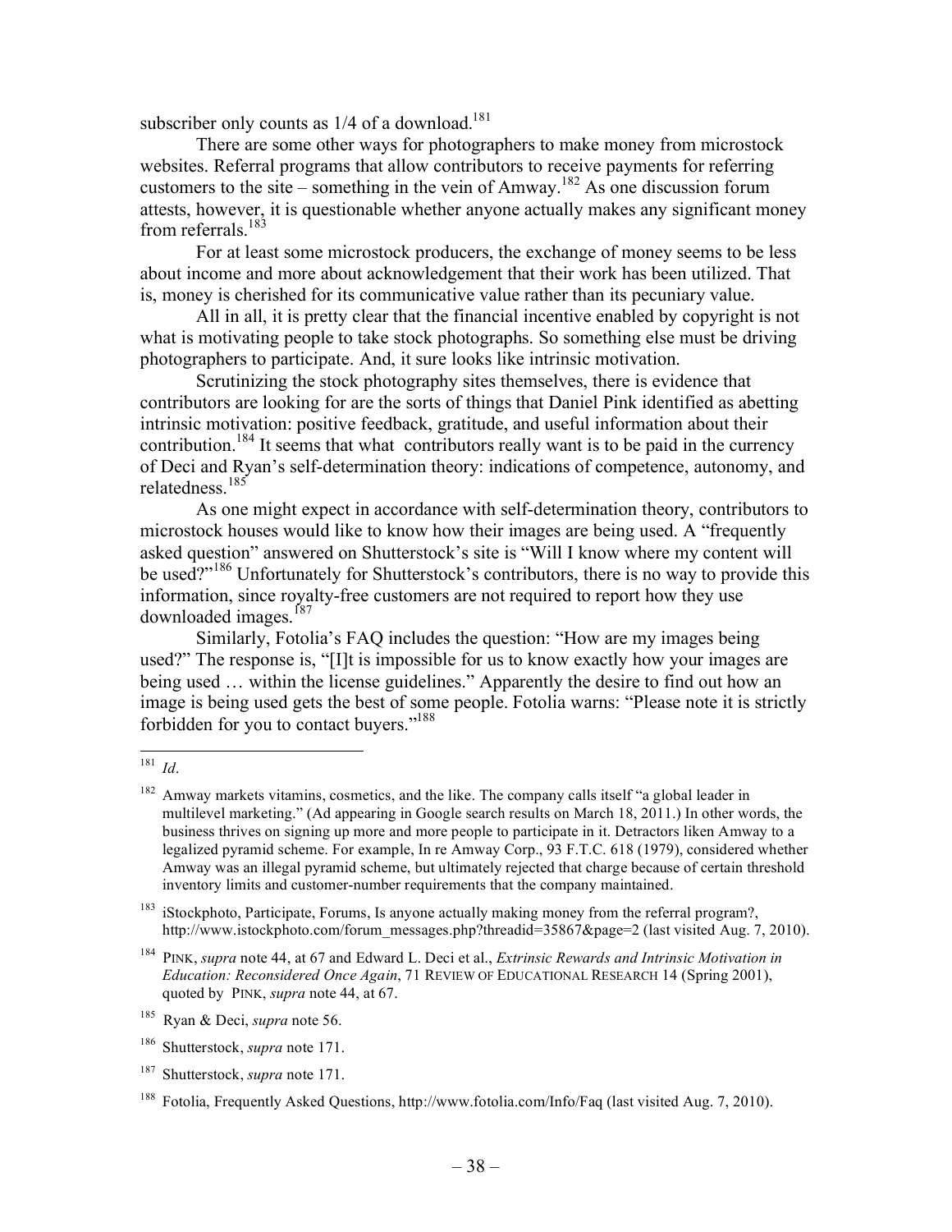subscriber only counts as  $1/4$  of a download.<sup>181</sup>

There are some other ways for photographers to make money from microstock websites. Referral programs that allow contributors to receive payments for referring customers to the site – something in the vein of Amway.<sup>182</sup> As one discussion forum attests, however, it is questionable whether anyone actually makes any significant money from referrals. $183$ 

For at least some microstock producers, the exchange of money seems to be less about income and more about acknowledgement that their work has been utilized. That is, money is cherished for its communicative value rather than its pecuniary value.

All in all, it is pretty clear that the financial incentive enabled by copyright is not what is motivating people to take stock photographs. So something else must be driving photographers to participate. And, it sure looks like intrinsic motivation.

Scrutinizing the stock photography sites themselves, there is evidence that contributors are looking for are the sorts of things that Daniel Pink identified as abetting intrinsic motivation: positive feedback, gratitude, and useful information about their contribution.<sup>184</sup> It seems that what contributors really want is to be paid in the currency of Deci and Ryan's self-determination theory: indications of competence, autonomy, and relatedness.<sup>185</sup>

As one might expect in accordance with self-determination theory, contributors to microstock houses would like to know how their images are being used. A "frequently asked question" answered on Shutterstock's site is "Will I know where my content will be used?"<sup>186</sup> Unfortunately for Shutterstock's contributors, there is no way to provide this information, since royalty-free customers are not required to report how they use downloaded images.<sup>187</sup>

Similarly, Fotolia's FAQ includes the question: "How are my images being used?" The response is, "[I]t is impossible for us to know exactly how your images are being used … within the license guidelines." Apparently the desire to find out how an image is being used gets the best of some people. Fotolia warns: "Please note it is strictly forbidden for you to contact buyers."188

 <sup>181</sup> *Id*.

Amway markets vitamins, cosmetics, and the like. The company calls itself "a global leader in multilevel marketing." (Ad appearing in Google search results on March 18, 2011.) In other words, the business thrives on signing up more and more people to participate in it. Detractors liken Amway to a legalized pyramid scheme. For example, In re Amway Corp., 93 F.T.C. 618 (1979), considered whether Amway was an illegal pyramid scheme, but ultimately rejected that charge because of certain threshold inventory limits and customer-number requirements that the company maintained.

<sup>&</sup>lt;sup>183</sup> iStockphoto, Participate, Forums, Is anyone actually making money from the referral program?, http://www.istockphoto.com/forum\_messages.php?threadid=35867&page=2 (last visited Aug. 7, 2010).

<sup>184</sup> PINK, *supra* note 44, at 67 and Edward L. Deci et al., *Extrinsic Rewards and Intrinsic Motivation in Education: Reconsidered Once Again*, 71 REVIEW OF EDUCATIONAL RESEARCH 14 (Spring 2001), quoted by PINK, *supra* note 44, at 67.

<sup>185</sup> Ryan & Deci, *supra* note 56.

<sup>186</sup> Shutterstock, *supra* note 171.

<sup>187</sup> Shutterstock, *supra* note 171.

<sup>188</sup> Fotolia, Frequently Asked Questions, http://www.fotolia.com/Info/Faq (last visited Aug. 7, 2010).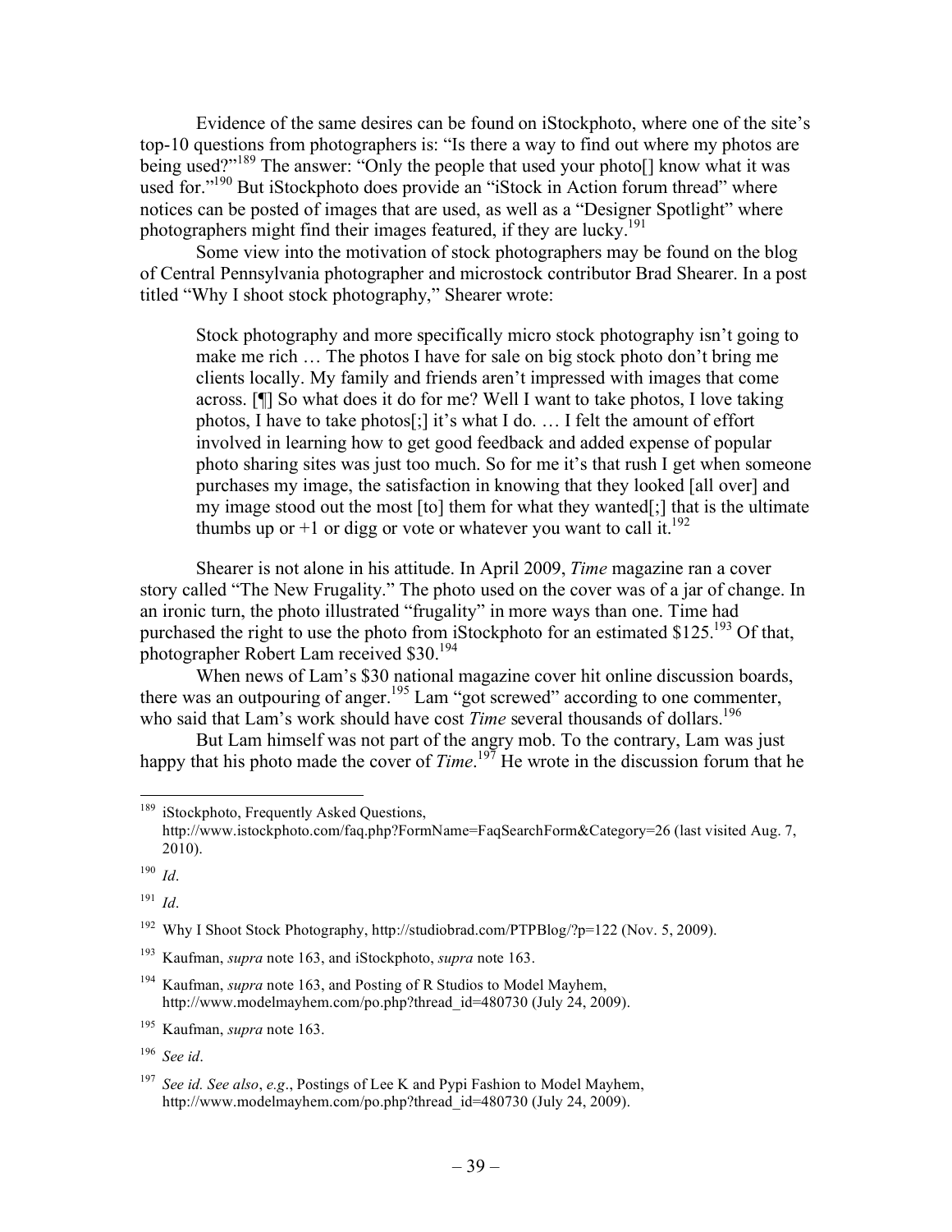Evidence of the same desires can be found on iStockphoto, where one of the site's top-10 questions from photographers is: "Is there a way to find out where my photos are being used?"<sup>189</sup> The answer: "Only the people that used your photo[] know what it was used for."<sup>190</sup> But iStockphoto does provide an "iStock in Action forum thread" where notices can be posted of images that are used, as well as a "Designer Spotlight" where photographers might find their images featured, if they are lucky.<sup>191</sup>

Some view into the motivation of stock photographers may be found on the blog of Central Pennsylvania photographer and microstock contributor Brad Shearer. In a post titled "Why I shoot stock photography," Shearer wrote:

Stock photography and more specifically micro stock photography isn't going to make me rich … The photos I have for sale on big stock photo don't bring me clients locally. My family and friends aren't impressed with images that come across. [¶] So what does it do for me? Well I want to take photos, I love taking photos, I have to take photos[;] it's what I do. … I felt the amount of effort involved in learning how to get good feedback and added expense of popular photo sharing sites was just too much. So for me it's that rush I get when someone purchases my image, the satisfaction in knowing that they looked [all over] and my image stood out the most [to] them for what they wanted[;] that is the ultimate thumbs up or +1 or digg or vote or whatever you want to call it.<sup>192</sup>

Shearer is not alone in his attitude. In April 2009, *Time* magazine ran a cover story called "The New Frugality." The photo used on the cover was of a jar of change. In an ironic turn, the photo illustrated "frugality" in more ways than one. Time had purchased the right to use the photo from iStockphoto for an estimated \$125.<sup>193</sup> Of that, photographer Robert Lam received \$30.194

When news of Lam's \$30 national magazine cover hit online discussion boards, there was an outpouring of anger.<sup>195</sup> Lam "got screwed" according to one commenter, who said that Lam's work should have cost *Time* several thousands of dollars.<sup>196</sup>

But Lam himself was not part of the angry mob. To the contrary, Lam was just happy that his photo made the cover of *Time*.<sup>197</sup> He wrote in the discussion forum that he

<sup>191</sup> *Id*.

<sup>192</sup> Why I Shoot Stock Photography, http://studiobrad.com/PTPBlog/?p=122 (Nov. 5, 2009).

<sup>196</sup> *See id*.

<sup>&</sup>lt;sup>189</sup> iStockphoto, Frequently Asked Questions, http://www.istockphoto.com/faq.php?FormName=FaqSearchForm&Category=26 (last visited Aug. 7, 2010).

<sup>190</sup> *Id*.

<sup>193</sup> Kaufman, *supra* note 163, and iStockphoto, *supra* note 163.

<sup>194</sup> Kaufman, *supra* note 163, and Posting of R Studios to Model Mayhem, http://www.modelmayhem.com/po.php?thread\_id=480730 (July 24, 2009).

<sup>195</sup> Kaufman, *supra* note 163.

<sup>197</sup> *See id. See also*, *e.g*., Postings of Lee K and Pypi Fashion to Model Mayhem, http://www.modelmayhem.com/po.php?thread\_id=480730 (July 24, 2009).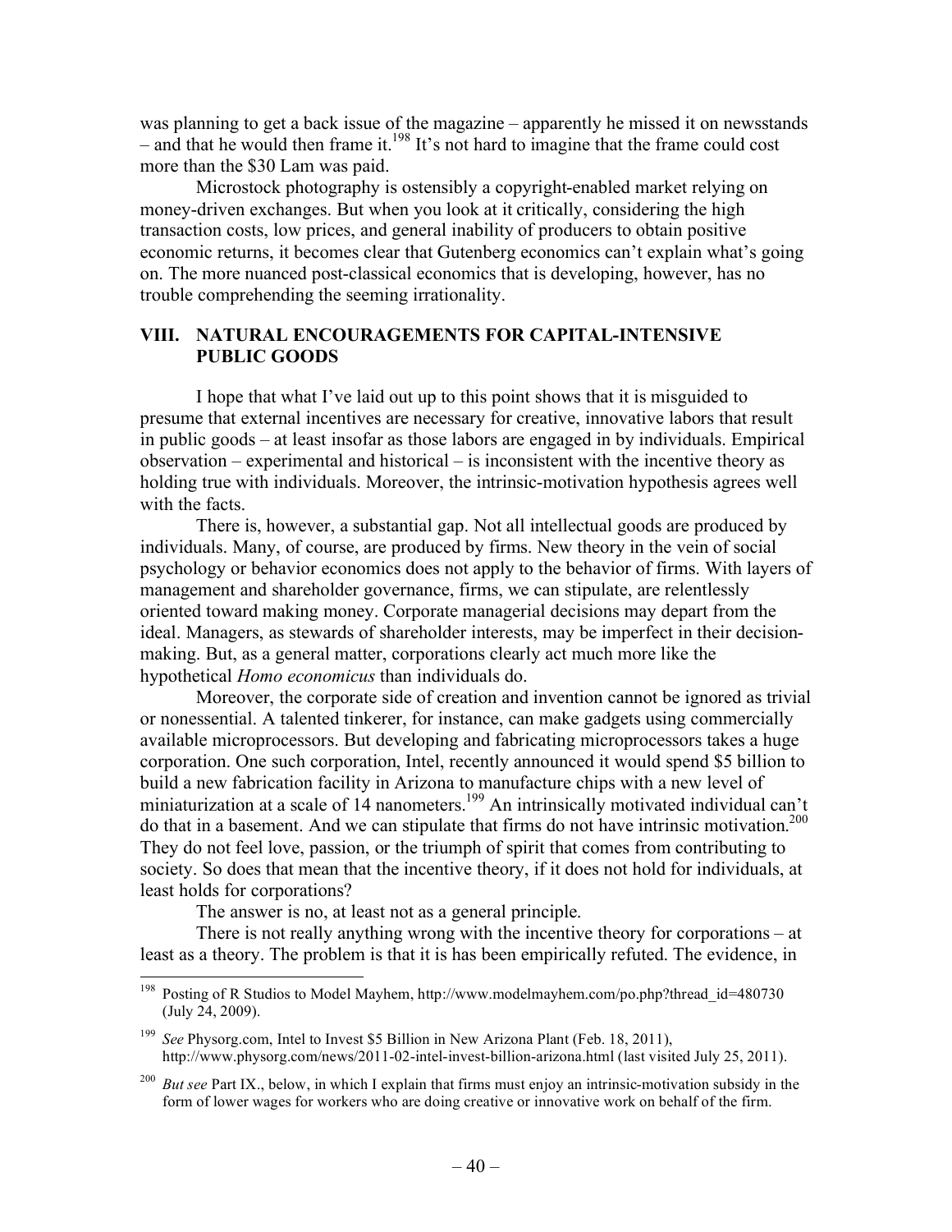was planning to get a back issue of the magazine – apparently he missed it on newsstands – and that he would then frame it.<sup>198</sup> It's not hard to imagine that the frame could cost more than the \$30 Lam was paid.

Microstock photography is ostensibly a copyright-enabled market relying on money-driven exchanges. But when you look at it critically, considering the high transaction costs, low prices, and general inability of producers to obtain positive economic returns, it becomes clear that Gutenberg economics can't explain what's going on. The more nuanced post-classical economics that is developing, however, has no trouble comprehending the seeming irrationality.

## **VIII. NATURAL ENCOURAGEMENTS FOR CAPITAL-INTENSIVE PUBLIC GOODS**

I hope that what I've laid out up to this point shows that it is misguided to presume that external incentives are necessary for creative, innovative labors that result in public goods – at least insofar as those labors are engaged in by individuals. Empirical observation – experimental and historical – is inconsistent with the incentive theory as holding true with individuals. Moreover, the intrinsic-motivation hypothesis agrees well with the facts.

There is, however, a substantial gap. Not all intellectual goods are produced by individuals. Many, of course, are produced by firms. New theory in the vein of social psychology or behavior economics does not apply to the behavior of firms. With layers of management and shareholder governance, firms, we can stipulate, are relentlessly oriented toward making money. Corporate managerial decisions may depart from the ideal. Managers, as stewards of shareholder interests, may be imperfect in their decisionmaking. But, as a general matter, corporations clearly act much more like the hypothetical *Homo economicus* than individuals do.

Moreover, the corporate side of creation and invention cannot be ignored as trivial or nonessential. A talented tinkerer, for instance, can make gadgets using commercially available microprocessors. But developing and fabricating microprocessors takes a huge corporation. One such corporation, Intel, recently announced it would spend \$5 billion to build a new fabrication facility in Arizona to manufacture chips with a new level of miniaturization at a scale of 14 nanometers.<sup>199</sup> An intrinsically motivated individual can't do that in a basement. And we can stipulate that firms do not have intrinsic motivation.<sup>200</sup> They do not feel love, passion, or the triumph of spirit that comes from contributing to society. So does that mean that the incentive theory, if it does not hold for individuals, at least holds for corporations?

The answer is no, at least not as a general principle.

There is not really anything wrong with the incentive theory for corporations – at least as a theory. The problem is that it is has been empirically refuted. The evidence, in

 <sup>198</sup> Posting of R Studios to Model Mayhem, http://www.modelmayhem.com/po.php?thread\_id=480730 (July 24, 2009).

<sup>199</sup> *See* Physorg.com, Intel to Invest \$5 Billion in New Arizona Plant (Feb. 18, 2011), http://www.physorg.com/news/2011-02-intel-invest-billion-arizona.html (last visited July 25, 2011).

<sup>&</sup>lt;sup>200</sup> *But see* Part IX., below, in which I explain that firms must enjoy an intrinsic-motivation subsidy in the form of lower wages for workers who are doing creative or innovative work on behalf of the firm.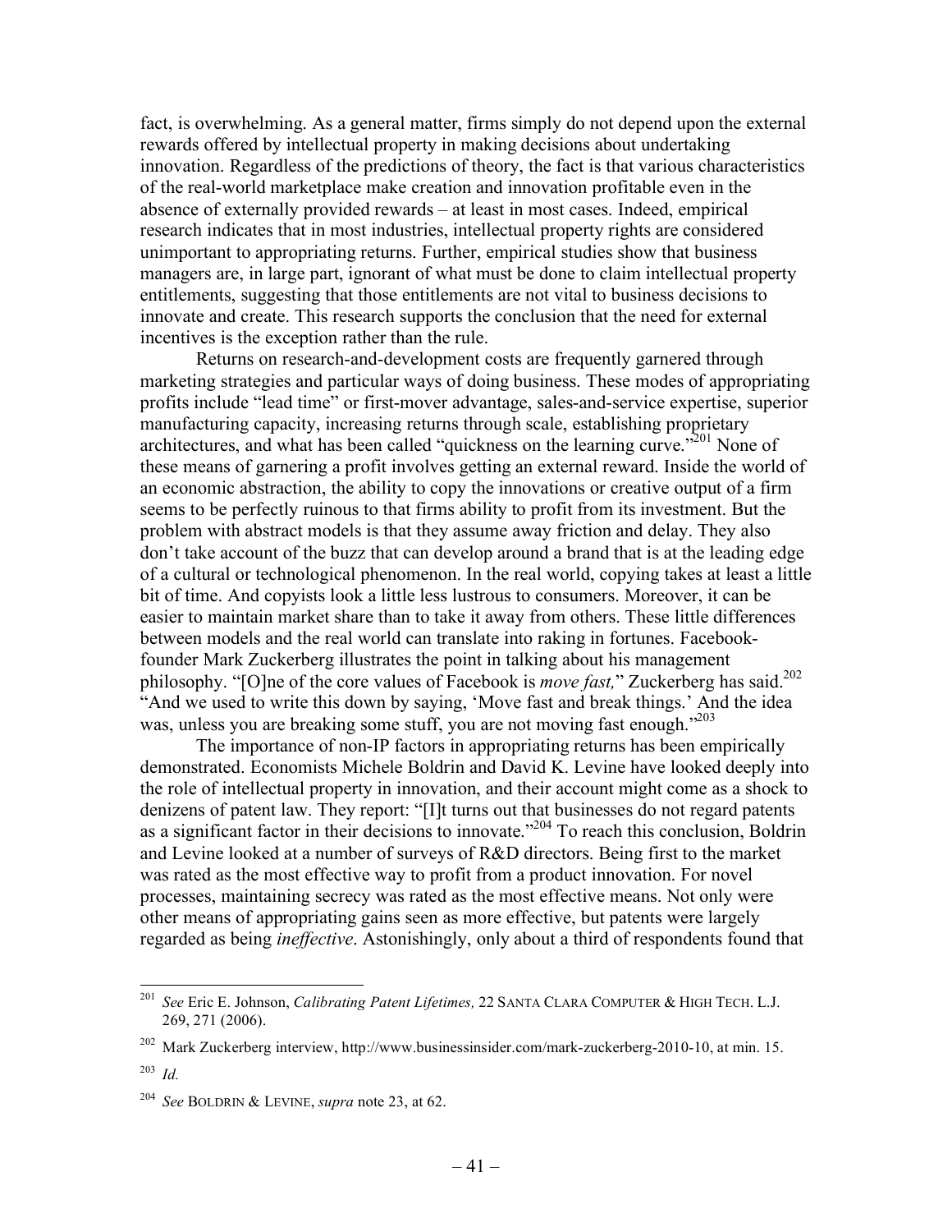fact, is overwhelming. As a general matter, firms simply do not depend upon the external rewards offered by intellectual property in making decisions about undertaking innovation. Regardless of the predictions of theory, the fact is that various characteristics of the real-world marketplace make creation and innovation profitable even in the absence of externally provided rewards – at least in most cases. Indeed, empirical research indicates that in most industries, intellectual property rights are considered unimportant to appropriating returns. Further, empirical studies show that business managers are, in large part, ignorant of what must be done to claim intellectual property entitlements, suggesting that those entitlements are not vital to business decisions to innovate and create. This research supports the conclusion that the need for external incentives is the exception rather than the rule.

Returns on research-and-development costs are frequently garnered through marketing strategies and particular ways of doing business. These modes of appropriating profits include "lead time" or first-mover advantage, sales-and-service expertise, superior manufacturing capacity, increasing returns through scale, establishing proprietary architectures, and what has been called "quickness on the learning curve."201 None of these means of garnering a profit involves getting an external reward. Inside the world of an economic abstraction, the ability to copy the innovations or creative output of a firm seems to be perfectly ruinous to that firms ability to profit from its investment. But the problem with abstract models is that they assume away friction and delay. They also don't take account of the buzz that can develop around a brand that is at the leading edge of a cultural or technological phenomenon. In the real world, copying takes at least a little bit of time. And copyists look a little less lustrous to consumers. Moreover, it can be easier to maintain market share than to take it away from others. These little differences between models and the real world can translate into raking in fortunes. Facebookfounder Mark Zuckerberg illustrates the point in talking about his management philosophy. "[O]ne of the core values of Facebook is *move fast*," Zuckerberg has said.<sup>202</sup> "And we used to write this down by saying, 'Move fast and break things.' And the idea was, unless you are breaking some stuff, you are not moving fast enough."<sup>203</sup>

The importance of non-IP factors in appropriating returns has been empirically demonstrated. Economists Michele Boldrin and David K. Levine have looked deeply into the role of intellectual property in innovation, and their account might come as a shock to denizens of patent law. They report: "[I]t turns out that businesses do not regard patents as a significant factor in their decisions to innovate."<sup>204</sup> To reach this conclusion, Boldrin and Levine looked at a number of surveys of R&D directors. Being first to the market was rated as the most effective way to profit from a product innovation. For novel processes, maintaining secrecy was rated as the most effective means. Not only were other means of appropriating gains seen as more effective, but patents were largely regarded as being *ineffective*. Astonishingly, only about a third of respondents found that

 <sup>201</sup> *See* Eric E. Johnson, *Calibrating Patent Lifetimes,*<sup>22</sup> SANTA CLARA COMPUTER & HIGH TECH. L.J. 269, 271 (2006).

<sup>&</sup>lt;sup>202</sup> Mark Zuckerberg interview, http://www.businessinsider.com/mark-zuckerberg-2010-10, at min. 15.

<sup>203</sup> *Id.*

<sup>204</sup> *See* BOLDRIN & LEVINE, *supra* note 23, at 62.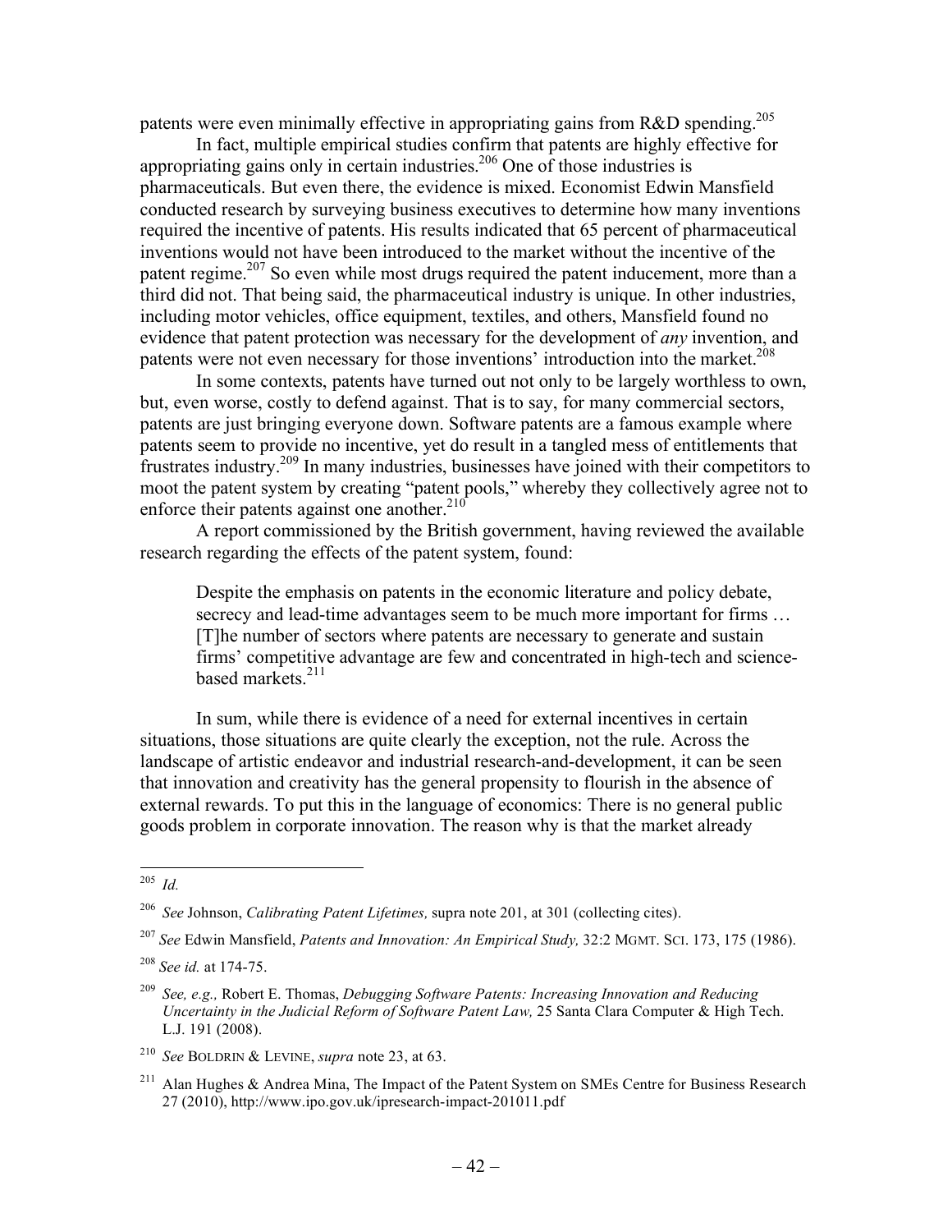patents were even minimally effective in appropriating gains from  $R&D$  spending.<sup>205</sup>

In fact, multiple empirical studies confirm that patents are highly effective for appropriating gains only in certain industries.206 One of those industries is pharmaceuticals. But even there, the evidence is mixed. Economist Edwin Mansfield conducted research by surveying business executives to determine how many inventions required the incentive of patents. His results indicated that 65 percent of pharmaceutical inventions would not have been introduced to the market without the incentive of the patent regime.<sup>207</sup> So even while most drugs required the patent inducement, more than a third did not. That being said, the pharmaceutical industry is unique. In other industries, including motor vehicles, office equipment, textiles, and others, Mansfield found no evidence that patent protection was necessary for the development of *any* invention, and patents were not even necessary for those inventions' introduction into the market.<sup>208</sup>

In some contexts, patents have turned out not only to be largely worthless to own, but, even worse, costly to defend against. That is to say, for many commercial sectors, patents are just bringing everyone down. Software patents are a famous example where patents seem to provide no incentive, yet do result in a tangled mess of entitlements that frustrates industry.209 In many industries, businesses have joined with their competitors to moot the patent system by creating "patent pools," whereby they collectively agree not to enforce their patents against one another. $^{210}$ 

A report commissioned by the British government, having reviewed the available research regarding the effects of the patent system, found:

Despite the emphasis on patents in the economic literature and policy debate, secrecy and lead-time advantages seem to be much more important for firms ... [T]he number of sectors where patents are necessary to generate and sustain firms' competitive advantage are few and concentrated in high-tech and sciencebased markets.<sup>211</sup>

In sum, while there is evidence of a need for external incentives in certain situations, those situations are quite clearly the exception, not the rule. Across the landscape of artistic endeavor and industrial research-and-development, it can be seen that innovation and creativity has the general propensity to flourish in the absence of external rewards. To put this in the language of economics: There is no general public goods problem in corporate innovation. The reason why is that the market already

 <sup>205</sup> *Id.*

<sup>206</sup> *See* Johnson, *Calibrating Patent Lifetimes,* supra note 201, at 301 (collecting cites).

<sup>207</sup> *See* Edwin Mansfield, *Patents and Innovation: An Empirical Study,* 32:2 MGMT. SCI. 173, 175 (1986).

<sup>208</sup> *See id.* at 174-75.

<sup>209</sup> *See, e.g.,* Robert E. Thomas, *Debugging Software Patents: Increasing Innovation and Reducing Uncertainty in the Judicial Reform of Software Patent Law,* 25 Santa Clara Computer & High Tech. L.J. 191 (2008).

<sup>210</sup> *See* BOLDRIN & LEVINE, *supra* note 23, at 63.

<sup>&</sup>lt;sup>211</sup> Alan Hughes & Andrea Mina, The Impact of the Patent System on SMEs Centre for Business Research 27 (2010), http://www.ipo.gov.uk/ipresearch-impact-201011.pdf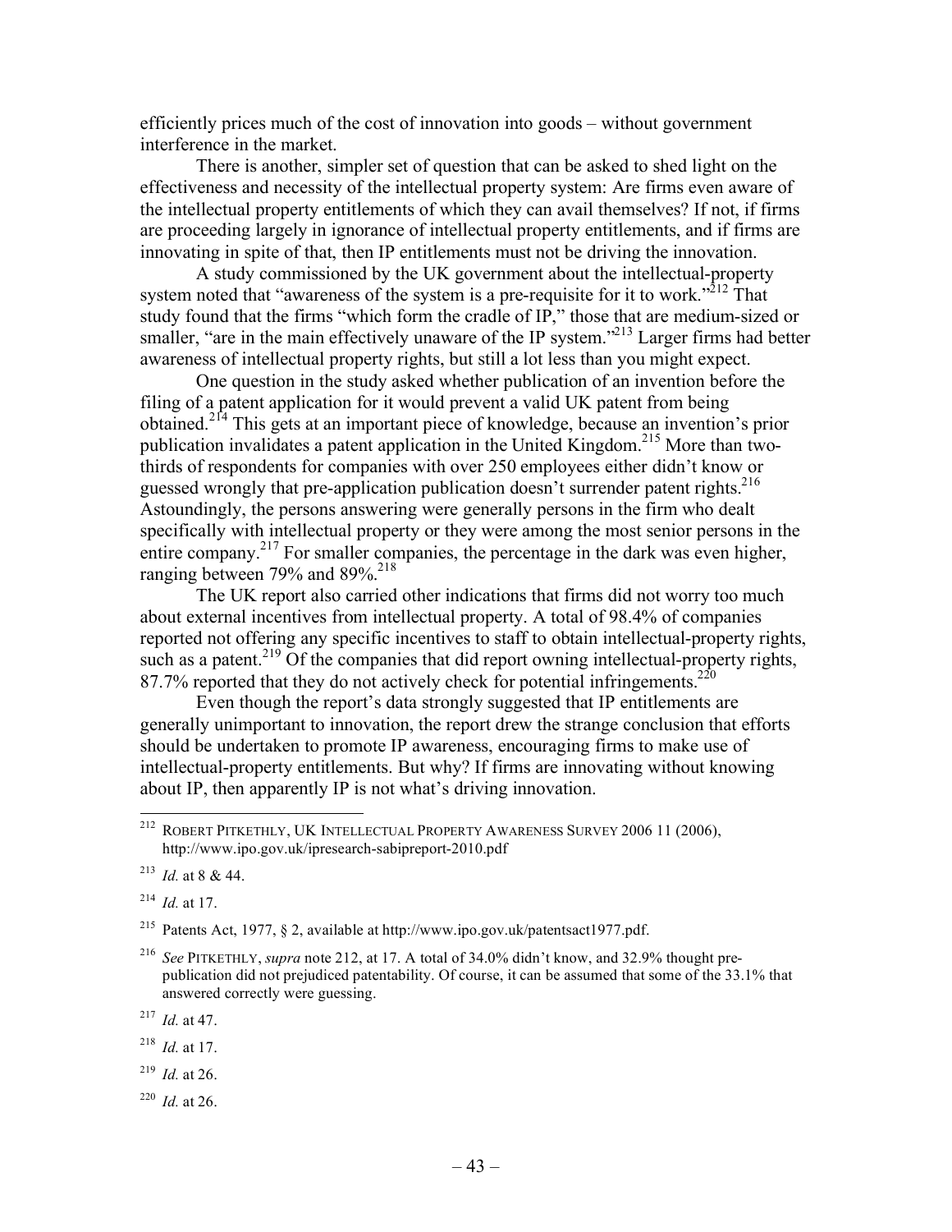efficiently prices much of the cost of innovation into goods – without government interference in the market.

There is another, simpler set of question that can be asked to shed light on the effectiveness and necessity of the intellectual property system: Are firms even aware of the intellectual property entitlements of which they can avail themselves? If not, if firms are proceeding largely in ignorance of intellectual property entitlements, and if firms are innovating in spite of that, then IP entitlements must not be driving the innovation.

A study commissioned by the UK government about the intellectual-property system noted that "awareness of the system is a pre-requisite for it to work."<sup>212</sup> That study found that the firms "which form the cradle of IP," those that are medium-sized or smaller, "are in the main effectively unaware of the IP system."<sup>213</sup> Larger firms had better awareness of intellectual property rights, but still a lot less than you might expect.

One question in the study asked whether publication of an invention before the filing of a patent application for it would prevent a valid UK patent from being obtained.214 This gets at an important piece of knowledge, because an invention's prior publication invalidates a patent application in the United Kingdom.215 More than twothirds of respondents for companies with over 250 employees either didn't know or guessed wrongly that pre-application publication doesn't surrender patent rights.<sup>216</sup> Astoundingly, the persons answering were generally persons in the firm who dealt specifically with intellectual property or they were among the most senior persons in the entire company.<sup>217</sup> For smaller companies, the percentage in the dark was even higher, ranging between 79% and  $89\%$ <sup>218</sup>

The UK report also carried other indications that firms did not worry too much about external incentives from intellectual property. A total of 98.4% of companies reported not offering any specific incentives to staff to obtain intellectual-property rights, such as a patent.<sup>219</sup> Of the companies that did report owning intellectual-property rights, 87.7% reported that they do not actively check for potential infringements.<sup>220</sup>

Even though the report's data strongly suggested that IP entitlements are generally unimportant to innovation, the report drew the strange conclusion that efforts should be undertaken to promote IP awareness, encouraging firms to make use of intellectual-property entitlements. But why? If firms are innovating without knowing about IP, then apparently IP is not what's driving innovation.

<sup>217</sup> *Id.* at 47.

- <sup>218</sup> *Id.* at 17.
- <sup>219</sup> *Id.* at 26.
- <sup>220</sup> *Id.* at 26.

 <sup>212</sup> ROBERT PITKETHLY, UK INTELLECTUAL PROPERTY AWARENESS SURVEY 2006 11 (2006), http://www.ipo.gov.uk/ipresearch-sabipreport-2010.pdf

<sup>213</sup> *Id.* at 8 & 44.

<sup>214</sup> *Id.* at 17.

<sup>&</sup>lt;sup>215</sup> Patents Act, 1977, § 2, available at http://www.ipo.gov.uk/patentsact1977.pdf.

<sup>216</sup> *See* PITKETHLY, *supra* note 212, at 17. A total of 34.0% didn't know, and 32.9% thought prepublication did not prejudiced patentability. Of course, it can be assumed that some of the 33.1% that answered correctly were guessing.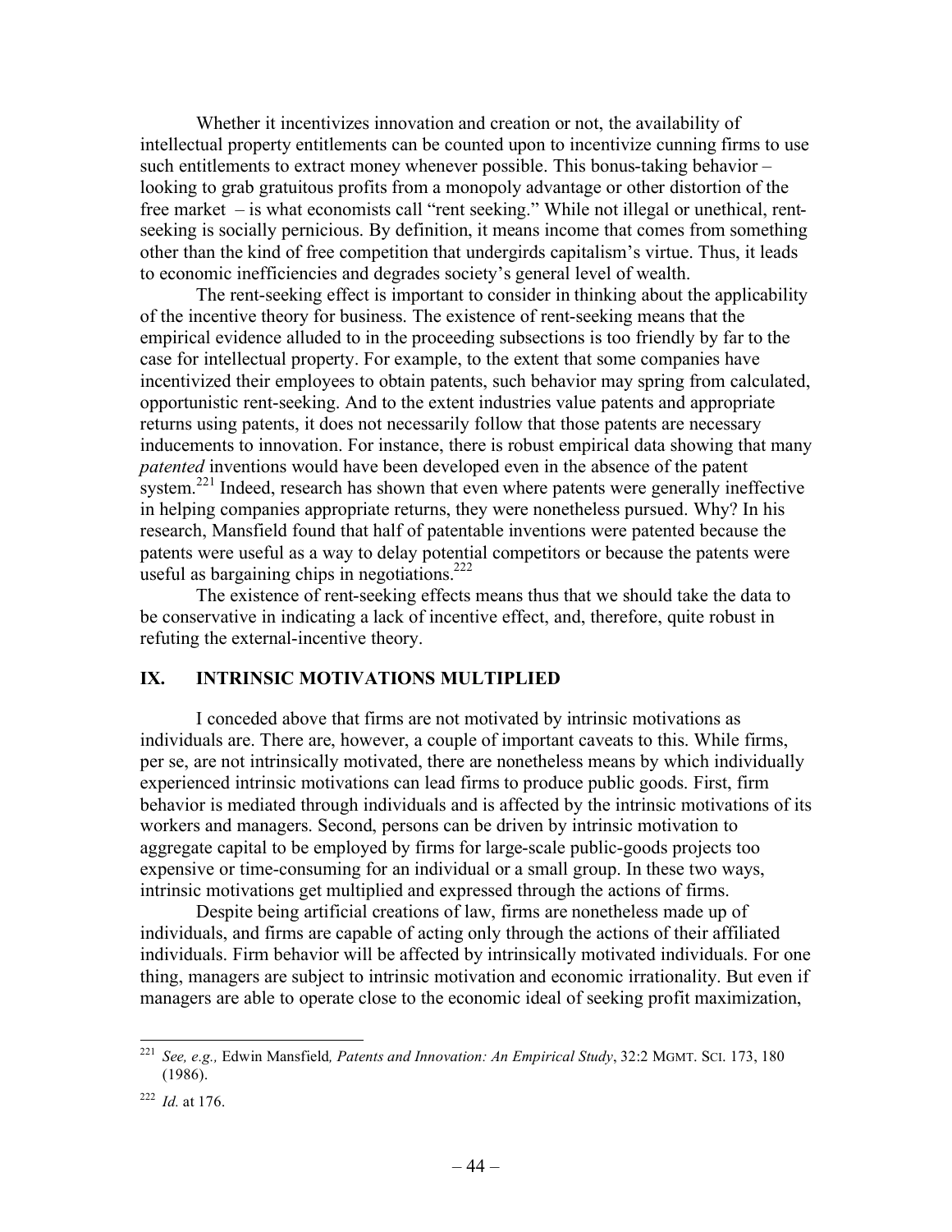Whether it incentivizes innovation and creation or not, the availability of intellectual property entitlements can be counted upon to incentivize cunning firms to use such entitlements to extract money whenever possible. This bonus-taking behavior – looking to grab gratuitous profits from a monopoly advantage or other distortion of the free market – is what economists call "rent seeking." While not illegal or unethical, rentseeking is socially pernicious. By definition, it means income that comes from something other than the kind of free competition that undergirds capitalism's virtue. Thus, it leads to economic inefficiencies and degrades society's general level of wealth.

The rent-seeking effect is important to consider in thinking about the applicability of the incentive theory for business. The existence of rent-seeking means that the empirical evidence alluded to in the proceeding subsections is too friendly by far to the case for intellectual property. For example, to the extent that some companies have incentivized their employees to obtain patents, such behavior may spring from calculated, opportunistic rent-seeking. And to the extent industries value patents and appropriate returns using patents, it does not necessarily follow that those patents are necessary inducements to innovation. For instance, there is robust empirical data showing that many *patented* inventions would have been developed even in the absence of the patent system.<sup>221</sup> Indeed, research has shown that even where patents were generally ineffective in helping companies appropriate returns, they were nonetheless pursued. Why? In his research, Mansfield found that half of patentable inventions were patented because the patents were useful as a way to delay potential competitors or because the patents were useful as bargaining chips in negotiations.<sup>222</sup>

The existence of rent-seeking effects means thus that we should take the data to be conservative in indicating a lack of incentive effect, and, therefore, quite robust in refuting the external-incentive theory.

### **IX. INTRINSIC MOTIVATIONS MULTIPLIED**

I conceded above that firms are not motivated by intrinsic motivations as individuals are. There are, however, a couple of important caveats to this. While firms, per se, are not intrinsically motivated, there are nonetheless means by which individually experienced intrinsic motivations can lead firms to produce public goods. First, firm behavior is mediated through individuals and is affected by the intrinsic motivations of its workers and managers. Second, persons can be driven by intrinsic motivation to aggregate capital to be employed by firms for large-scale public-goods projects too expensive or time-consuming for an individual or a small group. In these two ways, intrinsic motivations get multiplied and expressed through the actions of firms.

Despite being artificial creations of law, firms are nonetheless made up of individuals, and firms are capable of acting only through the actions of their affiliated individuals. Firm behavior will be affected by intrinsically motivated individuals. For one thing, managers are subject to intrinsic motivation and economic irrationality. But even if managers are able to operate close to the economic ideal of seeking profit maximization,

 <sup>221</sup> *See, e.g.,* Edwin Mansfield*, Patents and Innovation: An Empirical Study*, 32:2 MGMT. SCI. 173, 180 (1986).

<sup>222</sup> *Id.* at 176.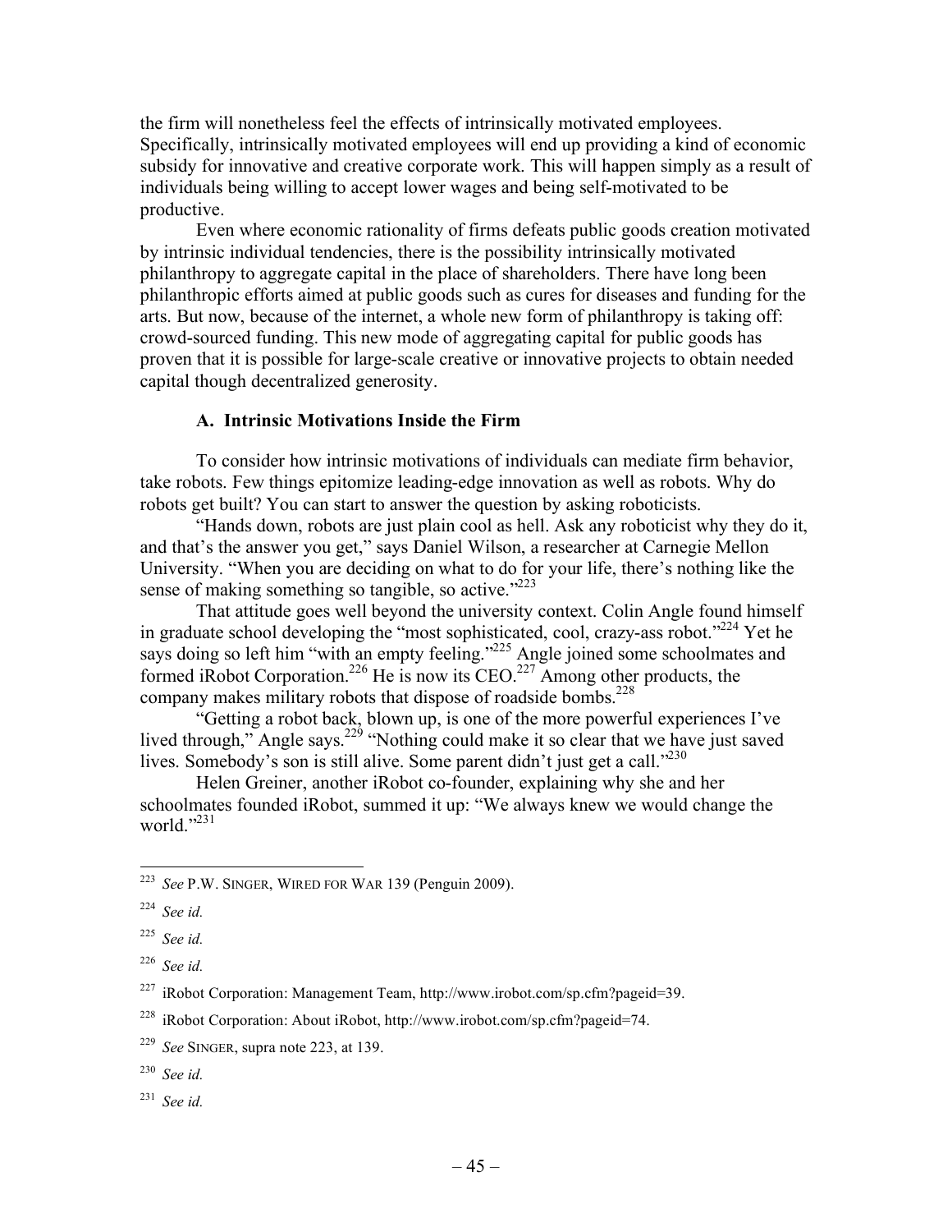the firm will nonetheless feel the effects of intrinsically motivated employees. Specifically, intrinsically motivated employees will end up providing a kind of economic subsidy for innovative and creative corporate work. This will happen simply as a result of individuals being willing to accept lower wages and being self-motivated to be productive.

Even where economic rationality of firms defeats public goods creation motivated by intrinsic individual tendencies, there is the possibility intrinsically motivated philanthropy to aggregate capital in the place of shareholders. There have long been philanthropic efforts aimed at public goods such as cures for diseases and funding for the arts. But now, because of the internet, a whole new form of philanthropy is taking off: crowd-sourced funding. This new mode of aggregating capital for public goods has proven that it is possible for large-scale creative or innovative projects to obtain needed capital though decentralized generosity.

## **A. Intrinsic Motivations Inside the Firm**

To consider how intrinsic motivations of individuals can mediate firm behavior, take robots. Few things epitomize leading-edge innovation as well as robots. Why do robots get built? You can start to answer the question by asking roboticists.

"Hands down, robots are just plain cool as hell. Ask any roboticist why they do it, and that's the answer you get," says Daniel Wilson, a researcher at Carnegie Mellon University. "When you are deciding on what to do for your life, there's nothing like the sense of making something so tangible, so active."<sup>223</sup>

That attitude goes well beyond the university context. Colin Angle found himself in graduate school developing the "most sophisticated, cool, crazy-ass robot."<sup>224</sup> Yet he says doing so left him "with an empty feeling."<sup>225</sup> Angle joined some schoolmates and formed iRobot Corporation.<sup>226</sup> He is now its CEO.<sup>227</sup> Among other products, the company makes military robots that dispose of roadside bombs.<sup>228</sup>

"Getting a robot back, blown up, is one of the more powerful experiences I've lived through," Angle says.<sup>229</sup> "Nothing could make it so clear that we have just saved lives. Somebody's son is still alive. Some parent didn't just get a call."<sup>230</sup>

Helen Greiner, another iRobot co-founder, explaining why she and her schoolmates founded iRobot, summed it up: "We always knew we would change the world. $^{3231}$ 

 <sup>223</sup> *See* P.W. SINGER, WIRED FOR WAR 139 (Penguin 2009).

<sup>224</sup> *See id.* 

<sup>225</sup> *See id.* 

<sup>226</sup> *See id.* 

 $227$  iRobot Corporation: Management Team, http://www.irobot.com/sp.cfm?pageid=39.

<sup>228</sup> iRobot Corporation: About iRobot, http://www.irobot.com/sp.cfm?pageid=74.

<sup>229</sup> *See* SINGER, supra note 223, at 139.

<sup>230</sup> *See id.*

<sup>231</sup> *See id.*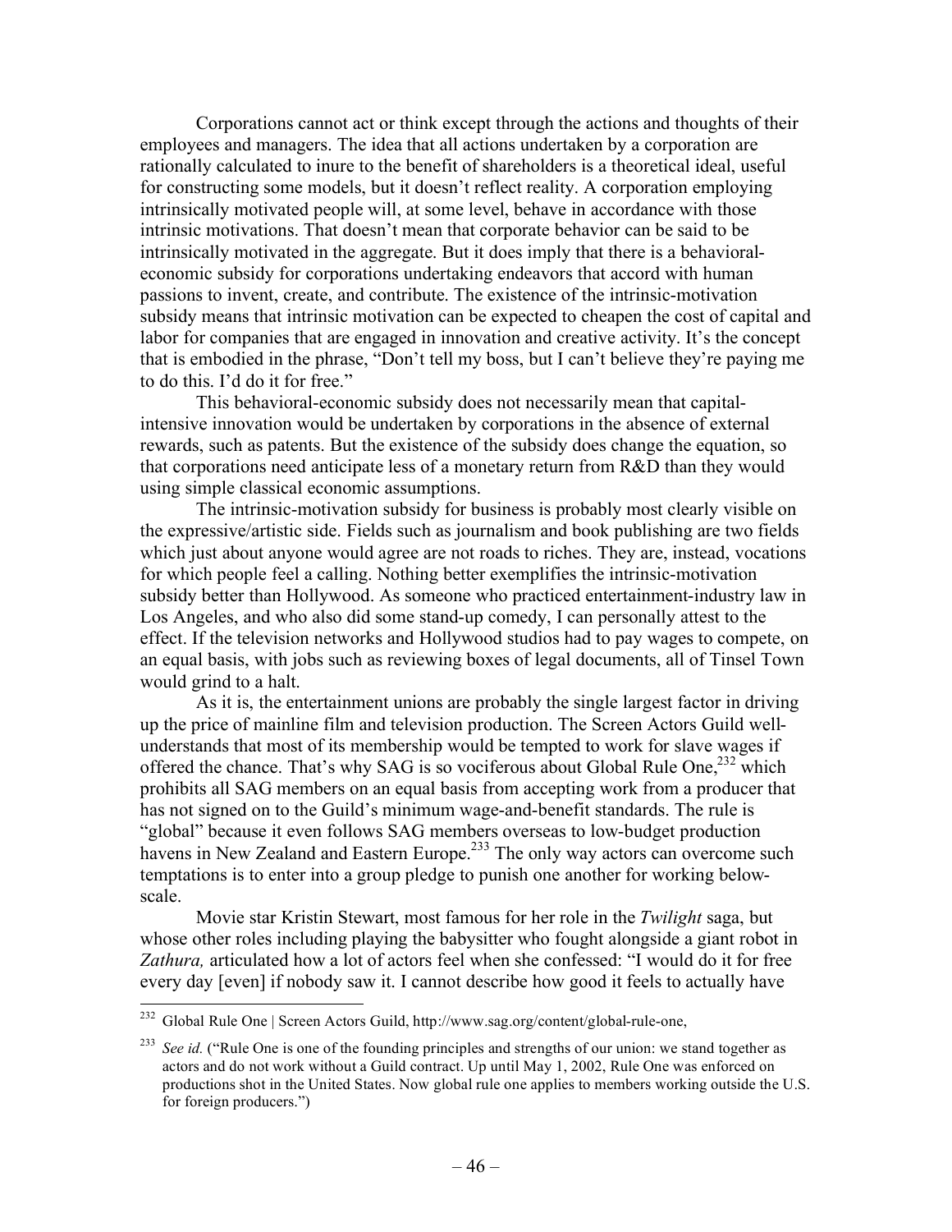Corporations cannot act or think except through the actions and thoughts of their employees and managers. The idea that all actions undertaken by a corporation are rationally calculated to inure to the benefit of shareholders is a theoretical ideal, useful for constructing some models, but it doesn't reflect reality. A corporation employing intrinsically motivated people will, at some level, behave in accordance with those intrinsic motivations. That doesn't mean that corporate behavior can be said to be intrinsically motivated in the aggregate. But it does imply that there is a behavioraleconomic subsidy for corporations undertaking endeavors that accord with human passions to invent, create, and contribute. The existence of the intrinsic-motivation subsidy means that intrinsic motivation can be expected to cheapen the cost of capital and labor for companies that are engaged in innovation and creative activity. It's the concept that is embodied in the phrase, "Don't tell my boss, but I can't believe they're paying me to do this. I'd do it for free."

This behavioral-economic subsidy does not necessarily mean that capitalintensive innovation would be undertaken by corporations in the absence of external rewards, such as patents. But the existence of the subsidy does change the equation, so that corporations need anticipate less of a monetary return from R&D than they would using simple classical economic assumptions.

The intrinsic-motivation subsidy for business is probably most clearly visible on the expressive/artistic side. Fields such as journalism and book publishing are two fields which just about anyone would agree are not roads to riches. They are, instead, vocations for which people feel a calling. Nothing better exemplifies the intrinsic-motivation subsidy better than Hollywood. As someone who practiced entertainment-industry law in Los Angeles, and who also did some stand-up comedy, I can personally attest to the effect. If the television networks and Hollywood studios had to pay wages to compete, on an equal basis, with jobs such as reviewing boxes of legal documents, all of Tinsel Town would grind to a halt.

As it is, the entertainment unions are probably the single largest factor in driving up the price of mainline film and television production. The Screen Actors Guild wellunderstands that most of its membership would be tempted to work for slave wages if offered the chance. That's why SAG is so vociferous about Global Rule One,<sup>232</sup> which prohibits all SAG members on an equal basis from accepting work from a producer that has not signed on to the Guild's minimum wage-and-benefit standards. The rule is "global" because it even follows SAG members overseas to low-budget production havens in New Zealand and Eastern Europe.<sup>233</sup> The only way actors can overcome such temptations is to enter into a group pledge to punish one another for working belowscale.

Movie star Kristin Stewart, most famous for her role in the *Twilight* saga, but whose other roles including playing the babysitter who fought alongside a giant robot in *Zathura,* articulated how a lot of actors feel when she confessed: "I would do it for free every day [even] if nobody saw it. I cannot describe how good it feels to actually have

 <sup>232</sup> Global Rule One | Screen Actors Guild, http://www.sag.org/content/global-rule-one,

<sup>&</sup>lt;sup>233</sup> *See id.* ("Rule One is one of the founding principles and strengths of our union: we stand together as actors and do not work without a Guild contract. Up until May 1, 2002, Rule One was enforced on productions shot in the United States. Now global rule one applies to members working outside the U.S. for foreign producers.")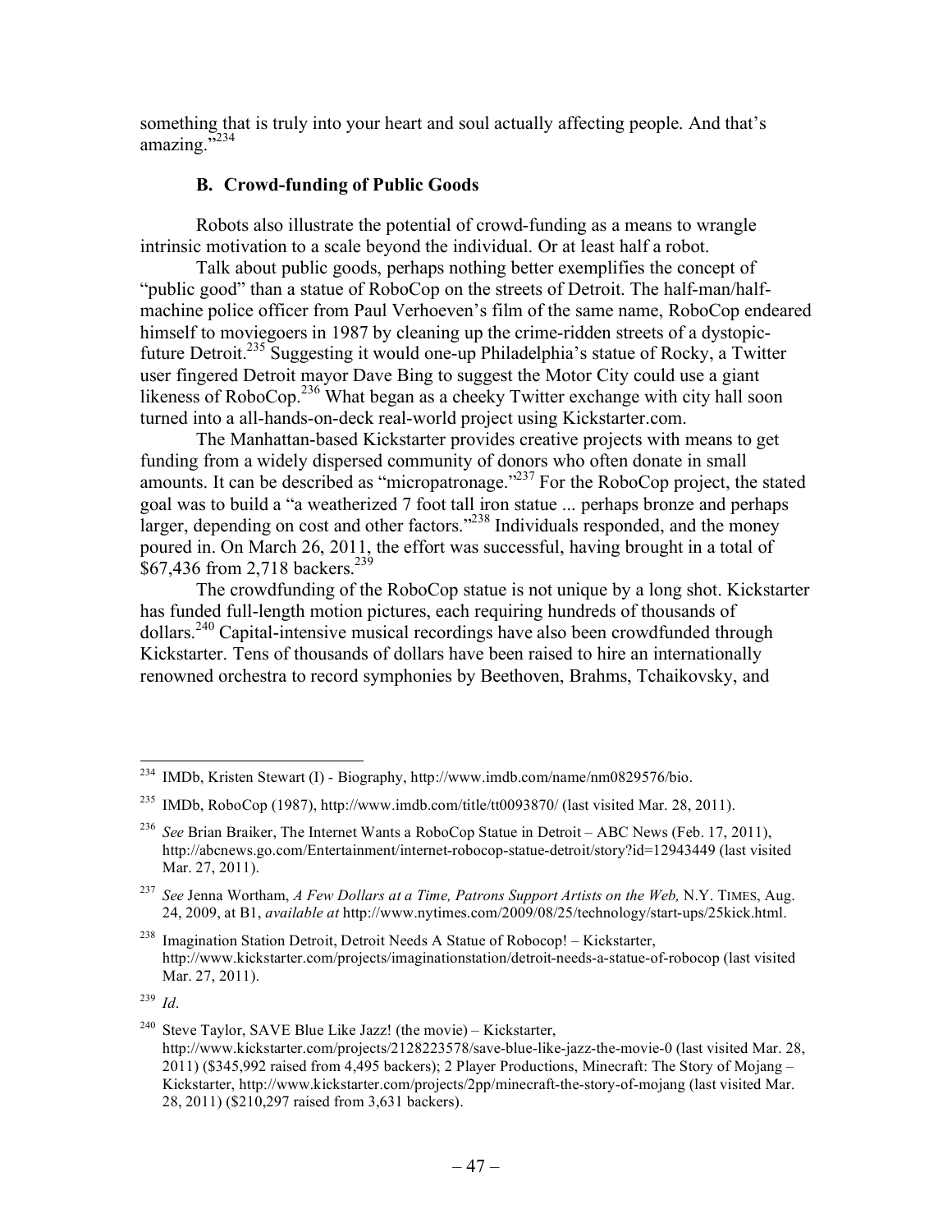something that is truly into your heart and soul actually affecting people. And that's  $amazing.$  $5234$ 

## **B. Crowd-funding of Public Goods**

Robots also illustrate the potential of crowd-funding as a means to wrangle intrinsic motivation to a scale beyond the individual. Or at least half a robot.

Talk about public goods, perhaps nothing better exemplifies the concept of "public good" than a statue of RoboCop on the streets of Detroit. The half-man/halfmachine police officer from Paul Verhoeven's film of the same name, RoboCop endeared himself to moviegoers in 1987 by cleaning up the crime-ridden streets of a dystopicfuture Detroit.235 Suggesting it would one-up Philadelphia's statue of Rocky, a Twitter user fingered Detroit mayor Dave Bing to suggest the Motor City could use a giant likeness of RoboCop.<sup>236</sup> What began as a cheeky Twitter exchange with city hall soon turned into a all-hands-on-deck real-world project using Kickstarter.com.

The Manhattan-based Kickstarter provides creative projects with means to get funding from a widely dispersed community of donors who often donate in small amounts. It can be described as "micropatronage."237 For the RoboCop project, the stated goal was to build a "a weatherized 7 foot tall iron statue ... perhaps bronze and perhaps larger, depending on cost and other factors."<sup>238</sup> Individuals responded, and the money poured in. On March 26, 2011, the effort was successful, having brought in a total of \$67,436 from 2,718 backers.<sup>239</sup>

The crowdfunding of the RoboCop statue is not unique by a long shot. Kickstarter has funded full-length motion pictures, each requiring hundreds of thousands of dollars.<sup>240</sup> Capital-intensive musical recordings have also been crowdfunded through Kickstarter. Tens of thousands of dollars have been raised to hire an internationally renowned orchestra to record symphonies by Beethoven, Brahms, Tchaikovsky, and

 $^{238}$  Imagination Station Detroit, Detroit Needs A Statue of Robocop! – Kickstarter, http://www.kickstarter.com/projects/imaginationstation/detroit-needs-a-statue-of-robocop (last visited Mar. 27, 2011).

 <sup>234</sup> IMDb, Kristen Stewart (I) - Biography, http://www.imdb.com/name/nm0829576/bio.

<sup>&</sup>lt;sup>235</sup> IMDb, RoboCop (1987), http://www.imdb.com/title/tt0093870/ (last visited Mar. 28, 2011).

<sup>236</sup> *See* Brian Braiker, The Internet Wants a RoboCop Statue in Detroit – ABC News (Feb. 17, 2011), http://abcnews.go.com/Entertainment/internet-robocop-statue-detroit/story?id=12943449 (last visited Mar. 27, 2011).

<sup>237</sup> *See* Jenna Wortham, *A Few Dollars at a Time, Patrons Support Artists on the Web,* N.Y. TIMES, Aug. 24, 2009, at B1, *available at* http://www.nytimes.com/2009/08/25/technology/start-ups/25kick.html.

<sup>239</sup> *Id*.

Steve Taylor, SAVE Blue Like Jazz! (the movie) – Kickstarter, http://www.kickstarter.com/projects/2128223578/save-blue-like-jazz-the-movie-0 (last visited Mar. 28, 2011) (\$345,992 raised from 4,495 backers); 2 Player Productions, Minecraft: The Story of Mojang – Kickstarter, http://www.kickstarter.com/projects/2pp/minecraft-the-story-of-mojang (last visited Mar. 28, 2011) (\$210,297 raised from 3,631 backers).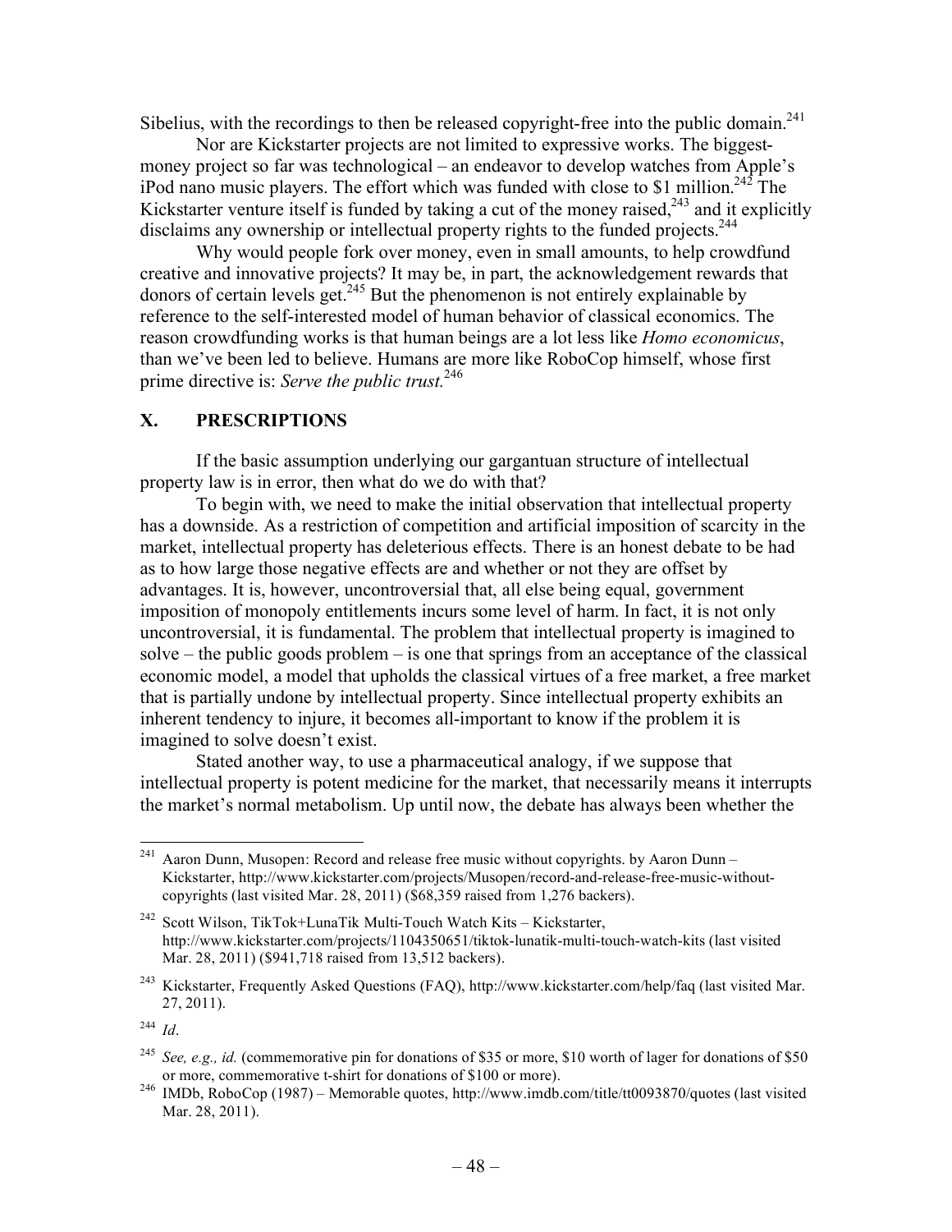Sibelius, with the recordings to then be released copyright-free into the public domain.<sup>241</sup>

Nor are Kickstarter projects are not limited to expressive works. The biggestmoney project so far was technological – an endeavor to develop watches from Apple's iPod nano music players. The effort which was funded with close to \$1 million.<sup>242</sup> The Kickstarter venture itself is funded by taking a cut of the money raised,  $243$  and it explicitly disclaims any ownership or intellectual property rights to the funded projects.<sup>244</sup>

Why would people fork over money, even in small amounts, to help crowdfund creative and innovative projects? It may be, in part, the acknowledgement rewards that donors of certain levels get.<sup>245</sup> But the phenomenon is not entirely explainable by reference to the self-interested model of human behavior of classical economics. The reason crowdfunding works is that human beings are a lot less like *Homo economicus*, than we've been led to believe. Humans are more like RoboCop himself, whose first prime directive is: *Serve the public trust.*246

## **X. PRESCRIPTIONS**

If the basic assumption underlying our gargantuan structure of intellectual property law is in error, then what do we do with that?

To begin with, we need to make the initial observation that intellectual property has a downside. As a restriction of competition and artificial imposition of scarcity in the market, intellectual property has deleterious effects. There is an honest debate to be had as to how large those negative effects are and whether or not they are offset by advantages. It is, however, uncontroversial that, all else being equal, government imposition of monopoly entitlements incurs some level of harm. In fact, it is not only uncontroversial, it is fundamental. The problem that intellectual property is imagined to solve – the public goods problem – is one that springs from an acceptance of the classical economic model, a model that upholds the classical virtues of a free market, a free market that is partially undone by intellectual property. Since intellectual property exhibits an inherent tendency to injure, it becomes all-important to know if the problem it is imagined to solve doesn't exist.

Stated another way, to use a pharmaceutical analogy, if we suppose that intellectual property is potent medicine for the market, that necessarily means it interrupts the market's normal metabolism. Up until now, the debate has always been whether the

<sup>&</sup>lt;sup>241</sup> Aaron Dunn, Musopen: Record and release free music without copyrights, by Aaron Dunn – Kickstarter, http://www.kickstarter.com/projects/Musopen/record-and-release-free-music-withoutcopyrights (last visited Mar. 28, 2011) (\$68,359 raised from 1,276 backers).

<sup>242</sup> Scott Wilson, TikTok+LunaTik Multi-Touch Watch Kits – Kickstarter, http://www.kickstarter.com/projects/1104350651/tiktok-lunatik-multi-touch-watch-kits (last visited Mar. 28, 2011) (\$941,718 raised from 13,512 backers).

<sup>&</sup>lt;sup>243</sup> Kickstarter, Frequently Asked Questions (FAQ), http://www.kickstarter.com/help/faq (last visited Mar. 27, 2011).

<sup>244</sup> *Id*.

<sup>&</sup>lt;sup>245</sup> *See, e.g., id.* (commemorative pin for donations of \$35 or more, \$10 worth of lager for donations of \$50 or more, commemorative t-shirt for donations of \$100 or more).

 $^{246}$  IMDb, RoboCop (1987) – Memorable quotes, http://www.imdb.com/title/tt0093870/quotes (last visited Mar. 28, 2011).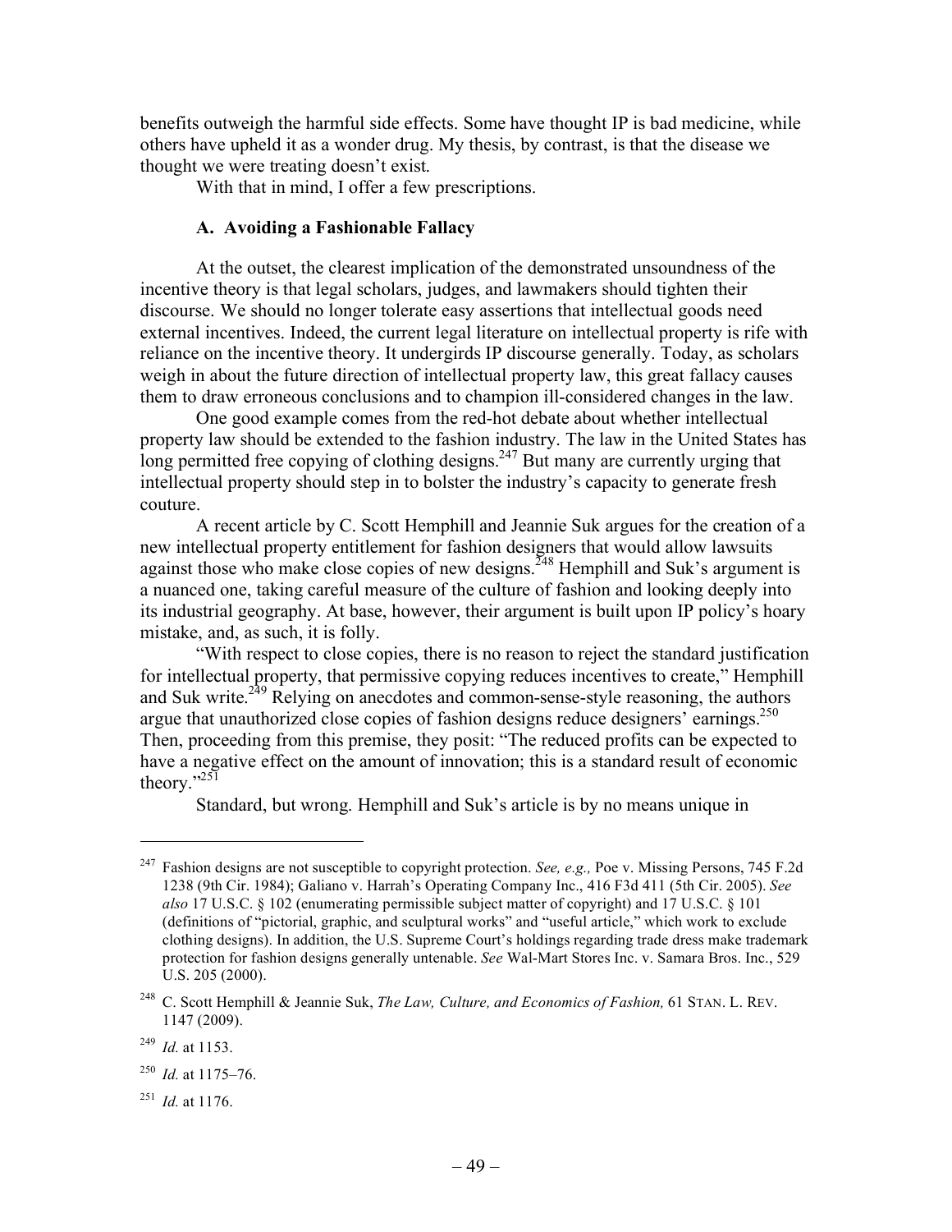benefits outweigh the harmful side effects. Some have thought IP is bad medicine, while others have upheld it as a wonder drug. My thesis, by contrast, is that the disease we thought we were treating doesn't exist.

With that in mind, I offer a few prescriptions.

#### **A. Avoiding a Fashionable Fallacy**

At the outset, the clearest implication of the demonstrated unsoundness of the incentive theory is that legal scholars, judges, and lawmakers should tighten their discourse. We should no longer tolerate easy assertions that intellectual goods need external incentives. Indeed, the current legal literature on intellectual property is rife with reliance on the incentive theory. It undergirds IP discourse generally. Today, as scholars weigh in about the future direction of intellectual property law, this great fallacy causes them to draw erroneous conclusions and to champion ill-considered changes in the law.

One good example comes from the red-hot debate about whether intellectual property law should be extended to the fashion industry. The law in the United States has long permitted free copying of clothing designs.<sup>247</sup> But many are currently urging that intellectual property should step in to bolster the industry's capacity to generate fresh couture.

A recent article by C. Scott Hemphill and Jeannie Suk argues for the creation of a new intellectual property entitlement for fashion designers that would allow lawsuits against those who make close copies of new designs.<sup> $248$ </sup> Hemphill and Suk's argument is a nuanced one, taking careful measure of the culture of fashion and looking deeply into its industrial geography. At base, however, their argument is built upon IP policy's hoary mistake, and, as such, it is folly.

"With respect to close copies, there is no reason to reject the standard justification for intellectual property, that permissive copying reduces incentives to create," Hemphill and Suk write.249 Relying on anecdotes and common-sense-style reasoning, the authors argue that unauthorized close copies of fashion designs reduce designers' earnings.<sup>250</sup> Then, proceeding from this premise, they posit: "The reduced profits can be expected to have a negative effect on the amount of innovation; this is a standard result of economic theory." $251$ 

Standard, but wrong. Hemphill and Suk's article is by no means unique in

 $\overline{a}$ 

<sup>247</sup> Fashion designs are not susceptible to copyright protection. *See, e.g.,* Poe v. Missing Persons, 745 F.2d 1238 (9th Cir. 1984); Galiano v. Harrah's Operating Company Inc., 416 F3d 411 (5th Cir. 2005). *See also* 17 U.S.C. § 102 (enumerating permissible subject matter of copyright) and 17 U.S.C. § 101 (definitions of "pictorial, graphic, and sculptural works" and "useful article," which work to exclude clothing designs). In addition, the U.S. Supreme Court's holdings regarding trade dress make trademark protection for fashion designs generally untenable. *See* Wal-Mart Stores Inc. v. Samara Bros. Inc., 529 U.S. 205 (2000).

<sup>248</sup> C. Scott Hemphill & Jeannie Suk, *The Law, Culture, and Economics of Fashion,* 61 STAN. L. REV. 1147 (2009).

<sup>249</sup> *Id.* at 1153.

<sup>250</sup> *Id.* at 1175–76.

<sup>251</sup> *Id.* at 1176.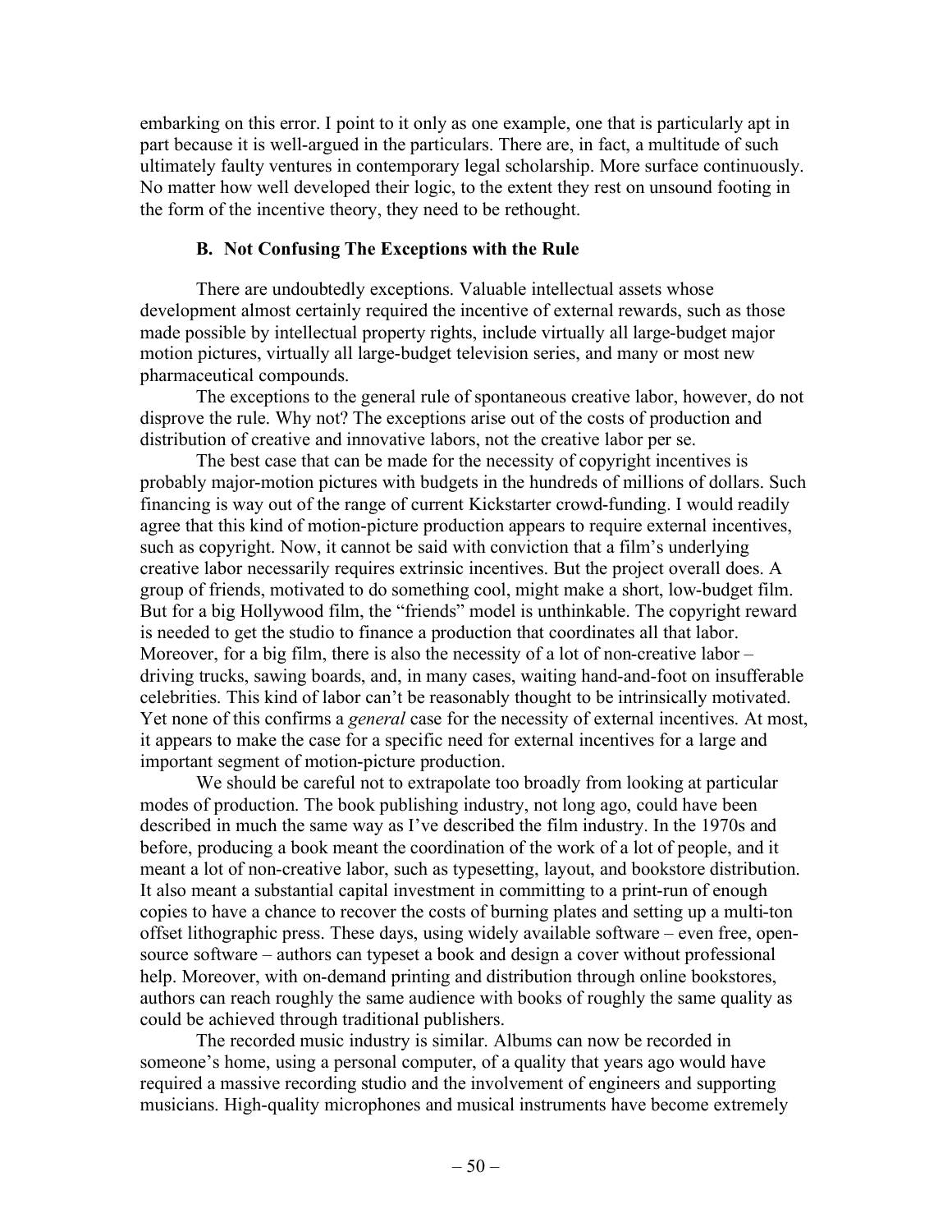embarking on this error. I point to it only as one example, one that is particularly apt in part because it is well-argued in the particulars. There are, in fact, a multitude of such ultimately faulty ventures in contemporary legal scholarship. More surface continuously. No matter how well developed their logic, to the extent they rest on unsound footing in the form of the incentive theory, they need to be rethought.

## **B. Not Confusing The Exceptions with the Rule**

There are undoubtedly exceptions. Valuable intellectual assets whose development almost certainly required the incentive of external rewards, such as those made possible by intellectual property rights, include virtually all large-budget major motion pictures, virtually all large-budget television series, and many or most new pharmaceutical compounds.

The exceptions to the general rule of spontaneous creative labor, however, do not disprove the rule. Why not? The exceptions arise out of the costs of production and distribution of creative and innovative labors, not the creative labor per se.

The best case that can be made for the necessity of copyright incentives is probably major-motion pictures with budgets in the hundreds of millions of dollars. Such financing is way out of the range of current Kickstarter crowd-funding. I would readily agree that this kind of motion-picture production appears to require external incentives, such as copyright. Now, it cannot be said with conviction that a film's underlying creative labor necessarily requires extrinsic incentives. But the project overall does. A group of friends, motivated to do something cool, might make a short, low-budget film. But for a big Hollywood film, the "friends" model is unthinkable. The copyright reward is needed to get the studio to finance a production that coordinates all that labor. Moreover, for a big film, there is also the necessity of a lot of non-creative labor  $$ driving trucks, sawing boards, and, in many cases, waiting hand-and-foot on insufferable celebrities. This kind of labor can't be reasonably thought to be intrinsically motivated. Yet none of this confirms a *general* case for the necessity of external incentives. At most, it appears to make the case for a specific need for external incentives for a large and important segment of motion-picture production.

We should be careful not to extrapolate too broadly from looking at particular modes of production. The book publishing industry, not long ago, could have been described in much the same way as I've described the film industry. In the 1970s and before, producing a book meant the coordination of the work of a lot of people, and it meant a lot of non-creative labor, such as typesetting, layout, and bookstore distribution. It also meant a substantial capital investment in committing to a print-run of enough copies to have a chance to recover the costs of burning plates and setting up a multi-ton offset lithographic press. These days, using widely available software – even free, opensource software – authors can typeset a book and design a cover without professional help. Moreover, with on-demand printing and distribution through online bookstores, authors can reach roughly the same audience with books of roughly the same quality as could be achieved through traditional publishers.

The recorded music industry is similar. Albums can now be recorded in someone's home, using a personal computer, of a quality that years ago would have required a massive recording studio and the involvement of engineers and supporting musicians. High-quality microphones and musical instruments have become extremely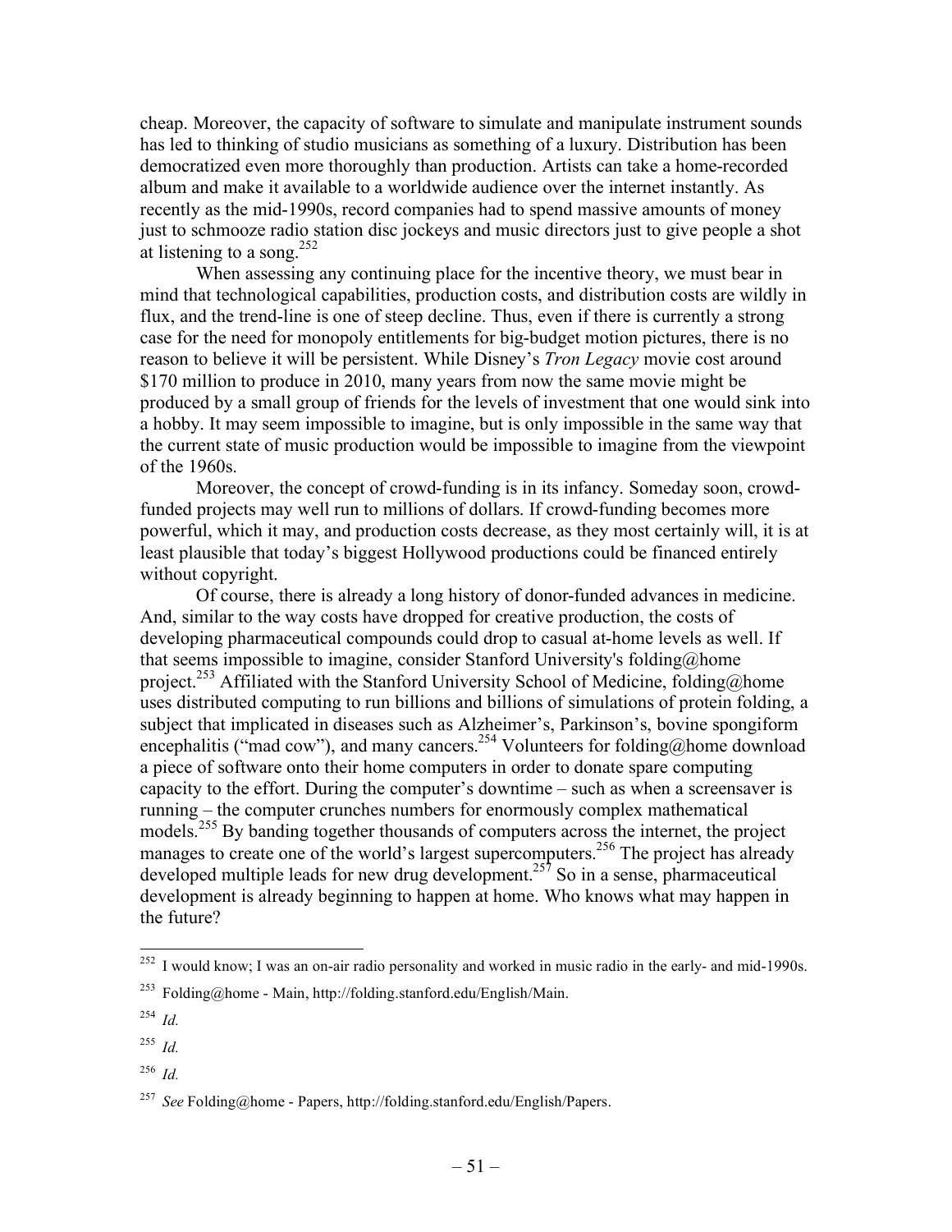cheap. Moreover, the capacity of software to simulate and manipulate instrument sounds has led to thinking of studio musicians as something of a luxury. Distribution has been democratized even more thoroughly than production. Artists can take a home-recorded album and make it available to a worldwide audience over the internet instantly. As recently as the mid-1990s, record companies had to spend massive amounts of money just to schmooze radio station disc jockeys and music directors just to give people a shot at listening to a song.<sup>252</sup>

When assessing any continuing place for the incentive theory, we must bear in mind that technological capabilities, production costs, and distribution costs are wildly in flux, and the trend-line is one of steep decline. Thus, even if there is currently a strong case for the need for monopoly entitlements for big-budget motion pictures, there is no reason to believe it will be persistent. While Disney's *Tron Legacy* movie cost around \$170 million to produce in 2010, many years from now the same movie might be produced by a small group of friends for the levels of investment that one would sink into a hobby. It may seem impossible to imagine, but is only impossible in the same way that the current state of music production would be impossible to imagine from the viewpoint of the 1960s.

Moreover, the concept of crowd-funding is in its infancy. Someday soon, crowdfunded projects may well run to millions of dollars. If crowd-funding becomes more powerful, which it may, and production costs decrease, as they most certainly will, it is at least plausible that today's biggest Hollywood productions could be financed entirely without copyright.

Of course, there is already a long history of donor-funded advances in medicine. And, similar to the way costs have dropped for creative production, the costs of developing pharmaceutical compounds could drop to casual at-home levels as well. If that seems impossible to imagine, consider Stanford University's folding@home project.<sup>253</sup> Affiliated with the Stanford University School of Medicine, folding@home uses distributed computing to run billions and billions of simulations of protein folding, a subject that implicated in diseases such as Alzheimer's, Parkinson's, bovine spongiform encephalitis ("mad cow"), and many cancers.<sup>254</sup> Volunteers for folding@home download a piece of software onto their home computers in order to donate spare computing capacity to the effort. During the computer's downtime – such as when a screensaver is running – the computer crunches numbers for enormously complex mathematical models.255 By banding together thousands of computers across the internet, the project manages to create one of the world's largest supercomputers.<sup>256</sup> The project has already developed multiple leads for new drug development.<sup>257</sup> So in a sense, pharmaceutical development is already beginning to happen at home. Who knows what may happen in the future?

<sup>&</sup>lt;sup>252</sup> I would know; I was an on-air radio personality and worked in music radio in the early- and mid-1990s.

<sup>&</sup>lt;sup>253</sup> Folding@home - Main, http://folding.stanford.edu/English/Main.

<sup>254</sup> *Id.*

<sup>255</sup> *Id.*

<sup>256</sup> *Id.*

<sup>257</sup> *See* Folding@home - Papers, http://folding.stanford.edu/English/Papers.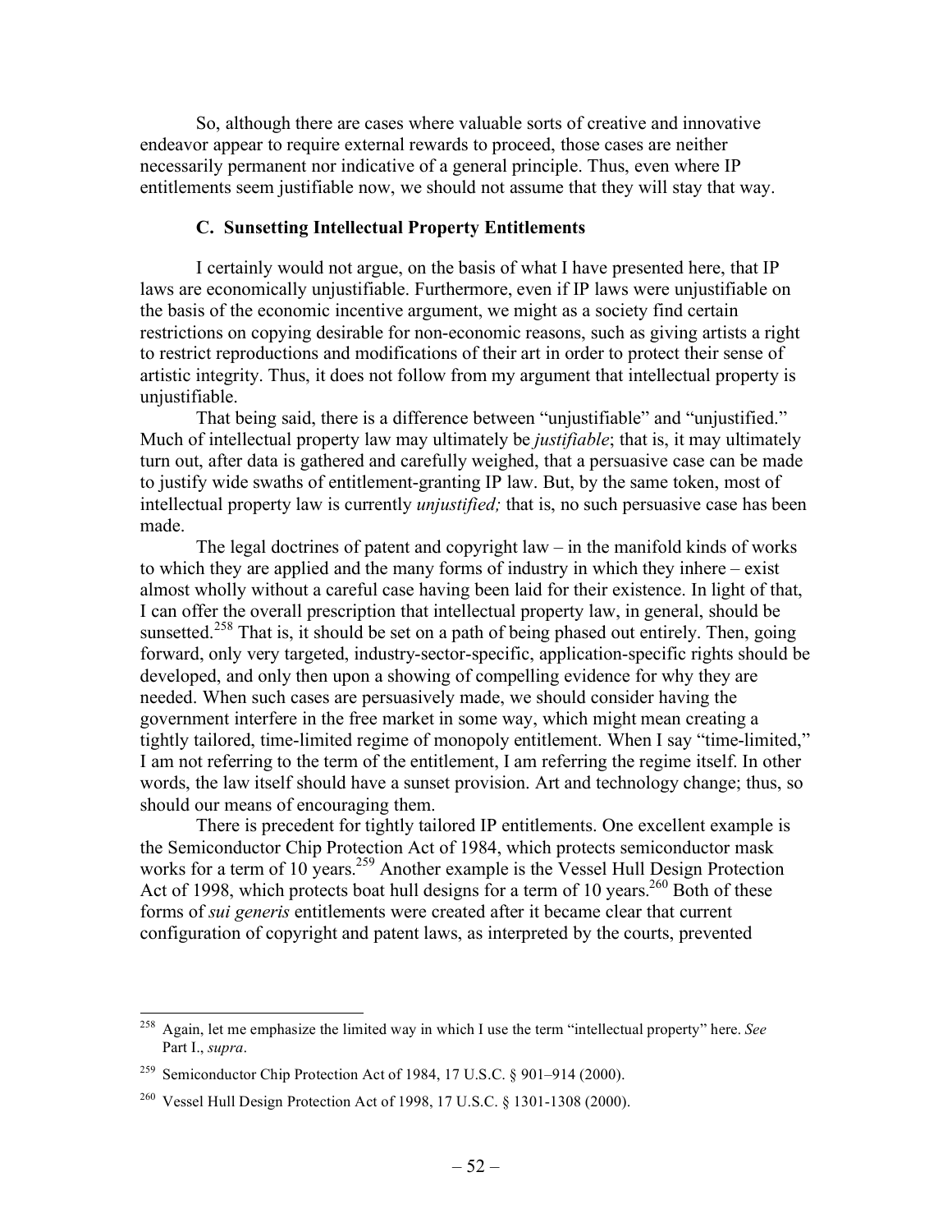So, although there are cases where valuable sorts of creative and innovative endeavor appear to require external rewards to proceed, those cases are neither necessarily permanent nor indicative of a general principle. Thus, even where IP entitlements seem justifiable now, we should not assume that they will stay that way.

## **C. Sunsetting Intellectual Property Entitlements**

I certainly would not argue, on the basis of what I have presented here, that IP laws are economically unjustifiable. Furthermore, even if IP laws were unjustifiable on the basis of the economic incentive argument, we might as a society find certain restrictions on copying desirable for non-economic reasons, such as giving artists a right to restrict reproductions and modifications of their art in order to protect their sense of artistic integrity. Thus, it does not follow from my argument that intellectual property is unjustifiable.

That being said, there is a difference between "unjustifiable" and "unjustified." Much of intellectual property law may ultimately be *justifiable*; that is, it may ultimately turn out, after data is gathered and carefully weighed, that a persuasive case can be made to justify wide swaths of entitlement-granting IP law. But, by the same token, most of intellectual property law is currently *unjustified;* that is, no such persuasive case has been made.

The legal doctrines of patent and copyright law  $-$  in the manifold kinds of works to which they are applied and the many forms of industry in which they inhere – exist almost wholly without a careful case having been laid for their existence. In light of that, I can offer the overall prescription that intellectual property law, in general, should be sunsetted.<sup>258</sup> That is, it should be set on a path of being phased out entirely. Then, going forward, only very targeted, industry-sector-specific, application-specific rights should be developed, and only then upon a showing of compelling evidence for why they are needed. When such cases are persuasively made, we should consider having the government interfere in the free market in some way, which might mean creating a tightly tailored, time-limited regime of monopoly entitlement. When I say "time-limited," I am not referring to the term of the entitlement, I am referring the regime itself. In other words, the law itself should have a sunset provision. Art and technology change; thus, so should our means of encouraging them.

There is precedent for tightly tailored IP entitlements. One excellent example is the Semiconductor Chip Protection Act of 1984, which protects semiconductor mask works for a term of 10 years.<sup>259</sup> Another example is the Vessel Hull Design Protection Act of 1998, which protects boat hull designs for a term of 10 years.<sup>260</sup> Both of these forms of *sui generis* entitlements were created after it became clear that current configuration of copyright and patent laws, as interpreted by the courts, prevented

 <sup>258</sup> Again, let me emphasize the limited way in which I use the term "intellectual property" here. *See*  Part I., *supra*.

<sup>&</sup>lt;sup>259</sup> Semiconductor Chip Protection Act of 1984, 17 U.S.C. § 901–914 (2000).

<sup>260</sup> Vessel Hull Design Protection Act of 1998, 17 U.S.C. § 1301-1308 (2000).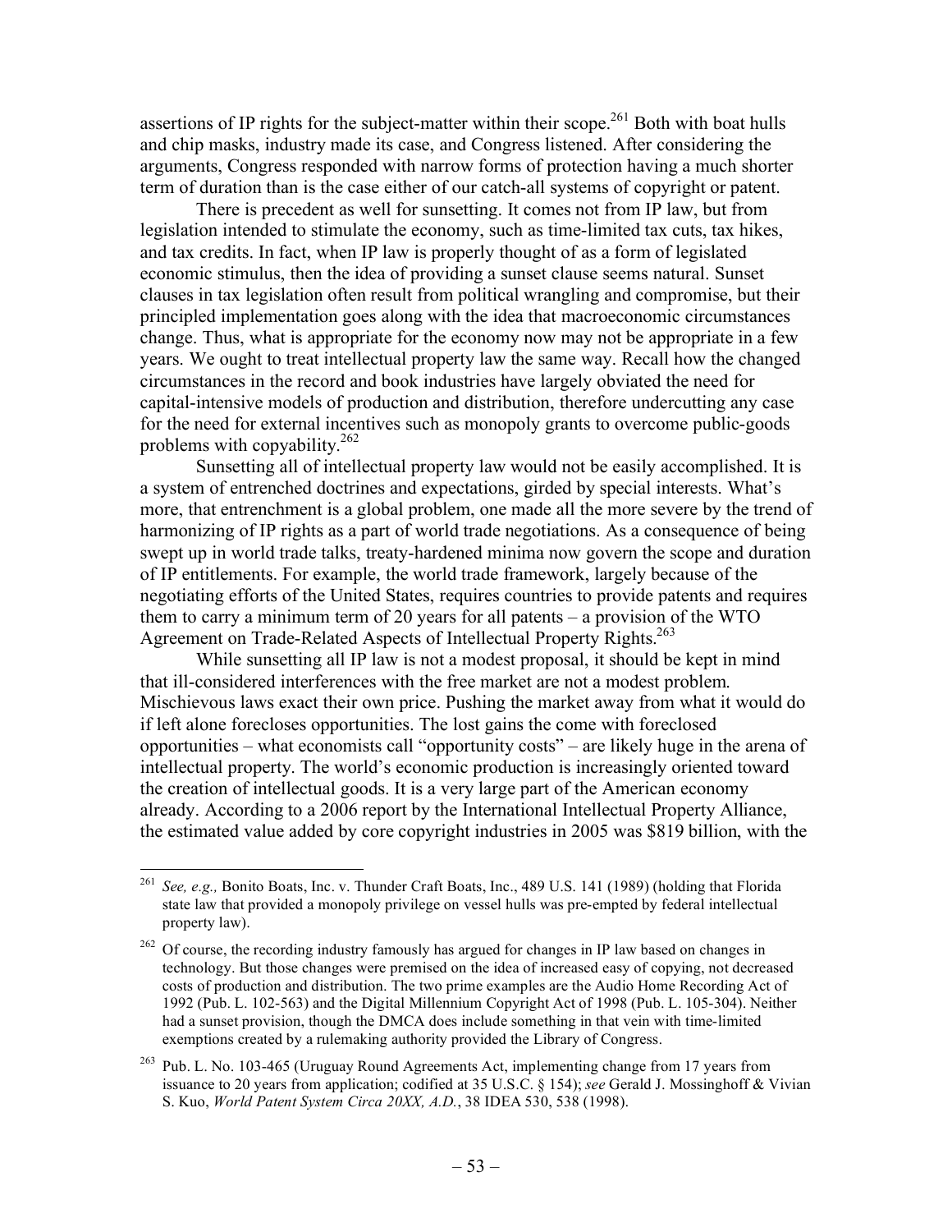assertions of IP rights for the subject-matter within their scope.<sup>261</sup> Both with boat hulls and chip masks, industry made its case, and Congress listened. After considering the arguments, Congress responded with narrow forms of protection having a much shorter term of duration than is the case either of our catch-all systems of copyright or patent.

There is precedent as well for sunsetting. It comes not from IP law, but from legislation intended to stimulate the economy, such as time-limited tax cuts, tax hikes, and tax credits. In fact, when IP law is properly thought of as a form of legislated economic stimulus, then the idea of providing a sunset clause seems natural. Sunset clauses in tax legislation often result from political wrangling and compromise, but their principled implementation goes along with the idea that macroeconomic circumstances change. Thus, what is appropriate for the economy now may not be appropriate in a few years. We ought to treat intellectual property law the same way. Recall how the changed circumstances in the record and book industries have largely obviated the need for capital-intensive models of production and distribution, therefore undercutting any case for the need for external incentives such as monopoly grants to overcome public-goods problems with copyability. $262$ 

Sunsetting all of intellectual property law would not be easily accomplished. It is a system of entrenched doctrines and expectations, girded by special interests. What's more, that entrenchment is a global problem, one made all the more severe by the trend of harmonizing of IP rights as a part of world trade negotiations. As a consequence of being swept up in world trade talks, treaty-hardened minima now govern the scope and duration of IP entitlements. For example, the world trade framework, largely because of the negotiating efforts of the United States, requires countries to provide patents and requires them to carry a minimum term of 20 years for all patents – a provision of the WTO Agreement on Trade-Related Aspects of Intellectual Property Rights.<sup>263</sup>

While sunsetting all IP law is not a modest proposal, it should be kept in mind that ill-considered interferences with the free market are not a modest problem. Mischievous laws exact their own price. Pushing the market away from what it would do if left alone forecloses opportunities. The lost gains the come with foreclosed opportunities – what economists call "opportunity costs" – are likely huge in the arena of intellectual property. The world's economic production is increasingly oriented toward the creation of intellectual goods. It is a very large part of the American economy already. According to a 2006 report by the International Intellectual Property Alliance, the estimated value added by core copyright industries in 2005 was \$819 billion, with the

 <sup>261</sup> *See, e.g.,* Bonito Boats, Inc. v. Thunder Craft Boats, Inc., 489 U.S. 141 (1989) (holding that Florida state law that provided a monopoly privilege on vessel hulls was pre-empted by federal intellectual property law).

<sup>&</sup>lt;sup>262</sup> Of course, the recording industry famously has argued for changes in IP law based on changes in technology. But those changes were premised on the idea of increased easy of copying, not decreased costs of production and distribution. The two prime examples are the Audio Home Recording Act of 1992 (Pub. L. 102-563) and the Digital Millennium Copyright Act of 1998 (Pub. L. 105-304). Neither had a sunset provision, though the DMCA does include something in that vein with time-limited exemptions created by a rulemaking authority provided the Library of Congress.

 $263$  Pub. L. No. 103-465 (Uruguay Round Agreements Act, implementing change from 17 years from issuance to 20 years from application; codified at 35 U.S.C. § 154); *see* Gerald J. Mossinghoff & Vivian S. Kuo, *World Patent System Circa 20XX, A.D.*, 38 IDEA 530, 538 (1998).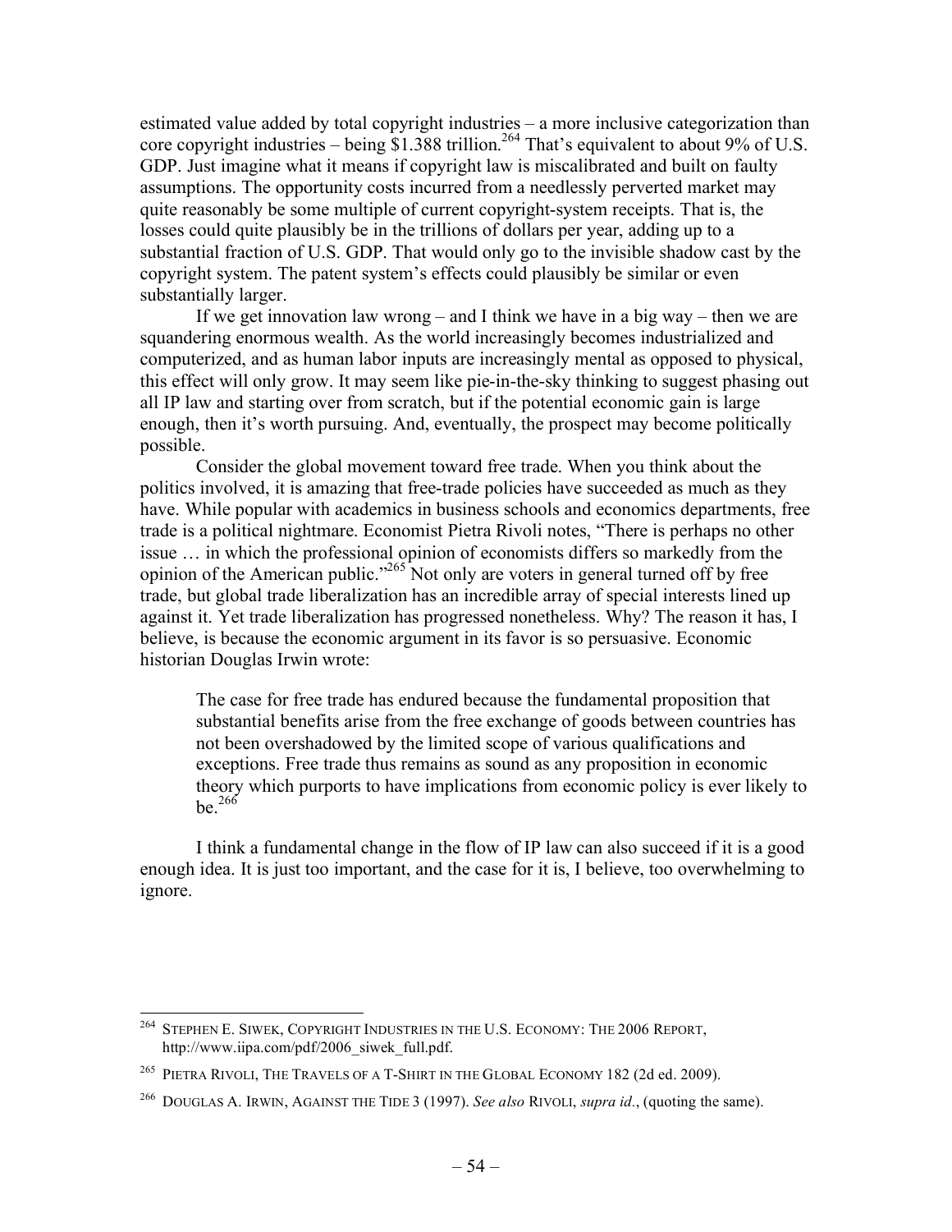estimated value added by total copyright industries – a more inclusive categorization than core copyright industries – being  $$1.388$  trillion.<sup>264</sup> That's equivalent to about 9% of U.S. GDP. Just imagine what it means if copyright law is miscalibrated and built on faulty assumptions. The opportunity costs incurred from a needlessly perverted market may quite reasonably be some multiple of current copyright-system receipts. That is, the losses could quite plausibly be in the trillions of dollars per year, adding up to a substantial fraction of U.S. GDP. That would only go to the invisible shadow cast by the copyright system. The patent system's effects could plausibly be similar or even substantially larger.

If we get innovation law wrong – and I think we have in a big way – then we are squandering enormous wealth. As the world increasingly becomes industrialized and computerized, and as human labor inputs are increasingly mental as opposed to physical, this effect will only grow. It may seem like pie-in-the-sky thinking to suggest phasing out all IP law and starting over from scratch, but if the potential economic gain is large enough, then it's worth pursuing. And, eventually, the prospect may become politically possible.

Consider the global movement toward free trade. When you think about the politics involved, it is amazing that free-trade policies have succeeded as much as they have. While popular with academics in business schools and economics departments, free trade is a political nightmare. Economist Pietra Rivoli notes, "There is perhaps no other issue … in which the professional opinion of economists differs so markedly from the opinion of the American public."<sup>265</sup> Not only are voters in general turned off by free trade, but global trade liberalization has an incredible array of special interests lined up against it. Yet trade liberalization has progressed nonetheless. Why? The reason it has, I believe, is because the economic argument in its favor is so persuasive. Economic historian Douglas Irwin wrote:

The case for free trade has endured because the fundamental proposition that substantial benefits arise from the free exchange of goods between countries has not been overshadowed by the limited scope of various qualifications and exceptions. Free trade thus remains as sound as any proposition in economic theory which purports to have implications from economic policy is ever likely to  $he^{266}$ 

I think a fundamental change in the flow of IP law can also succeed if it is a good enough idea. It is just too important, and the case for it is, I believe, too overwhelming to ignore.

 <sup>264</sup> STEPHEN E. SIWEK, COPYRIGHT INDUSTRIES IN THE U.S. ECONOMY: THE 2006 REPORT, http://www.iipa.com/pdf/2006\_siwek\_full.pdf.

<sup>265</sup> PIETRA RIVOLI, THE TRAVELS OF A T-SHIRT IN THE GLOBAL ECONOMY 182 (2d ed. 2009).

<sup>266</sup> DOUGLAS A. IRWIN, AGAINST THE TIDE 3 (1997). *See also* RIVOLI, *supra id.*, (quoting the same).